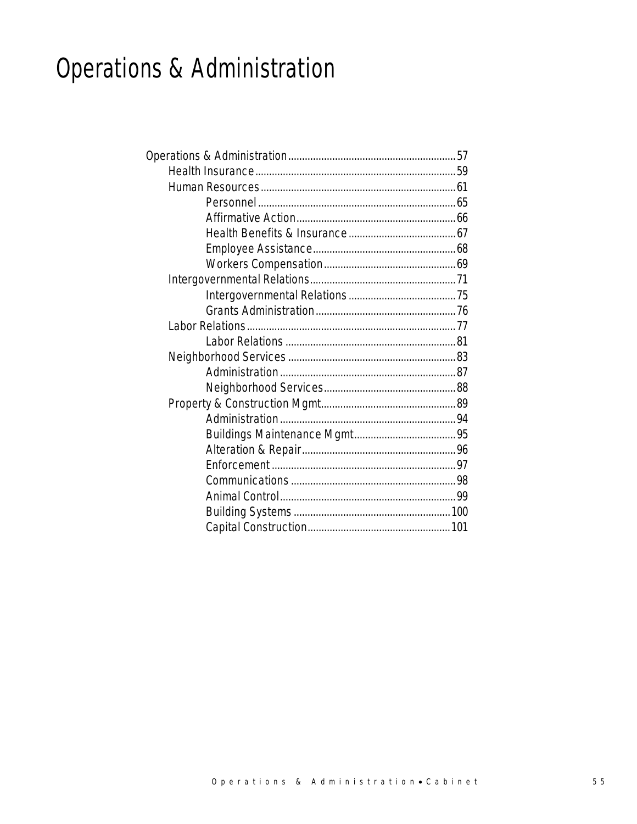## Operations & Administration

| 59 |
|----|
|    |
|    |
|    |
|    |
|    |
|    |
|    |
|    |
|    |
|    |
|    |
|    |
|    |
|    |
|    |
|    |
|    |
|    |
|    |
|    |
|    |
|    |
|    |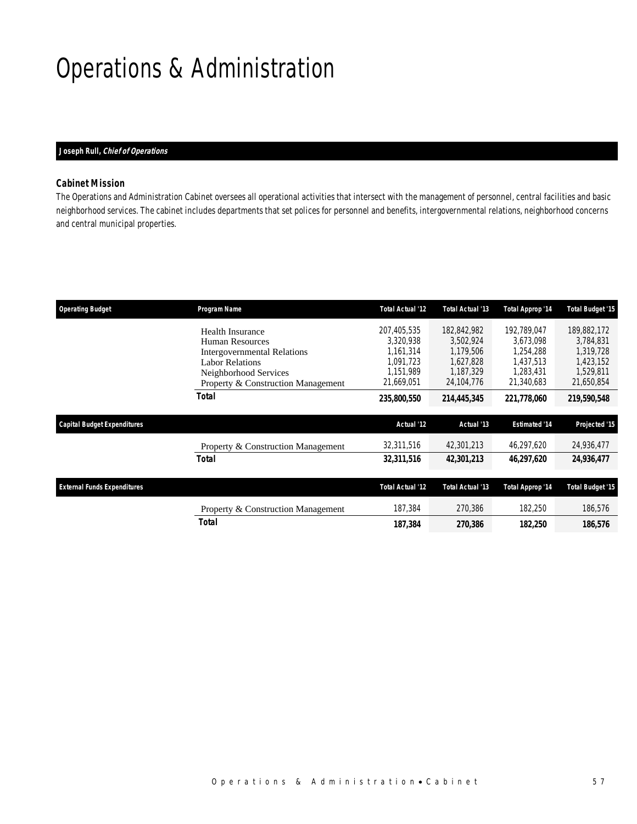## Operations & Administration

#### *Joseph Rull, Chief of Operations*

### *Cabinet Mission*

The Operations and Administration Cabinet oversees all operational activities that intersect with the management of personnel, central facilities and basic neighborhood services. The cabinet includes departments that set polices for personnel and benefits, intergovernmental relations, neighborhood concerns and central municipal properties.

| <b>Operating Budget</b>            | Program Name                       | Total Actual '12 | Total Actual '13 | Total Approp '14     | <b>Total Budget '15</b> |
|------------------------------------|------------------------------------|------------------|------------------|----------------------|-------------------------|
|                                    | <b>Health Insurance</b>            | 207.405.535      | 182,842,982      | 192.789.047          | 189,882,172             |
|                                    | <b>Human Resources</b>             | 3,320,938        | 3,502,924        | 3,673,098            | 3,784,831               |
|                                    | Intergovernmental Relations        | 1.161.314        | 1,179,506        | 1,254,288            | 1,319,728               |
|                                    | <b>Labor Relations</b>             | 1.091.723        | 1.627.828        | 1.437.513            | 1.423.152               |
|                                    | Neighborhood Services              | 1.151.989        | 1,187,329        | 1.283.431            | 1,529,811               |
|                                    | Property & Construction Management | 21,669,051       | 24,104,776       | 21,340,683           | 21,650,854              |
|                                    | <b>Total</b>                       | 235,800,550      | 214,445,345      | 221,778,060          | 219,590,548             |
| Capital Budget Expenditures        |                                    | Actual '12       | Actual '13       | <b>Estimated '14</b> | Projected '15           |
|                                    | Property & Construction Management | 32,311,516       | 42,301,213       | 46,297,620           | 24,936,477              |
|                                    | Total                              | 32,311,516       | 42,301,213       | 46,297,620           | 24,936,477              |
| <b>External Funds Expenditures</b> |                                    | Total Actual '12 | Total Actual '13 | Total Approp '14     | <b>Total Budget '15</b> |
|                                    | Property & Construction Management | 187,384          | 270,386          | 182,250              | 186,576                 |
|                                    | Total                              | 187,384          | 270,386          | 182,250              | 186,576                 |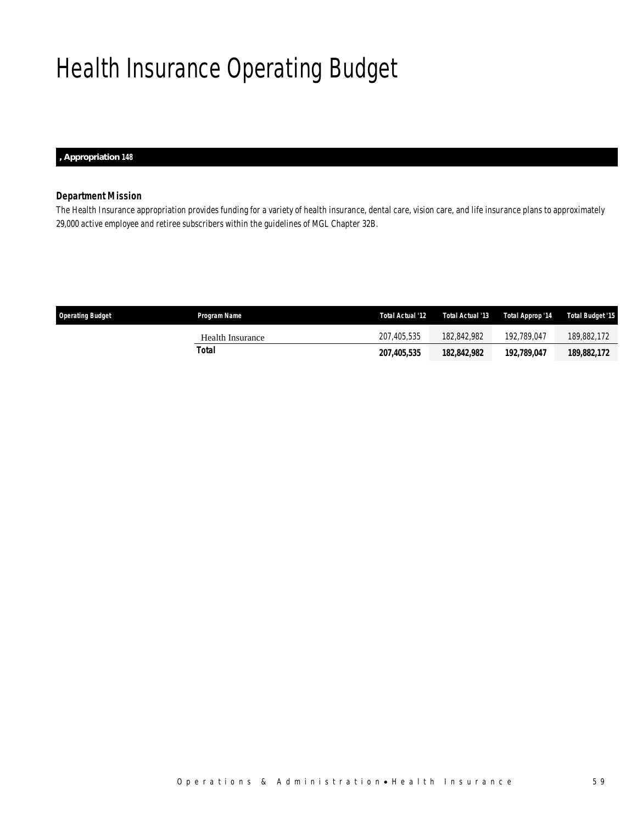## Health Insurance Operating Budget

*, Appropriation 148* 

### *Department Mission*

The Health Insurance appropriation provides funding for a variety of health insurance, dental care, vision care, and life insurance plans to approximately 29,000 active employee and retiree subscribers within the guidelines of MGL Chapter 32B.

| <b>Operating Budget</b> | Program Name     | Total Actual '12 | Total Actual '13 | Total Approp '14 | Total Budget '15 |
|-------------------------|------------------|------------------|------------------|------------------|------------------|
|                         | Health Insurance | 207.405.535      | 182,842,982      | 192.789.047      | 189,882,172      |
|                         | Total            | 207,405,535      | 182,842,982      | 192.789.047      | 189,882,172      |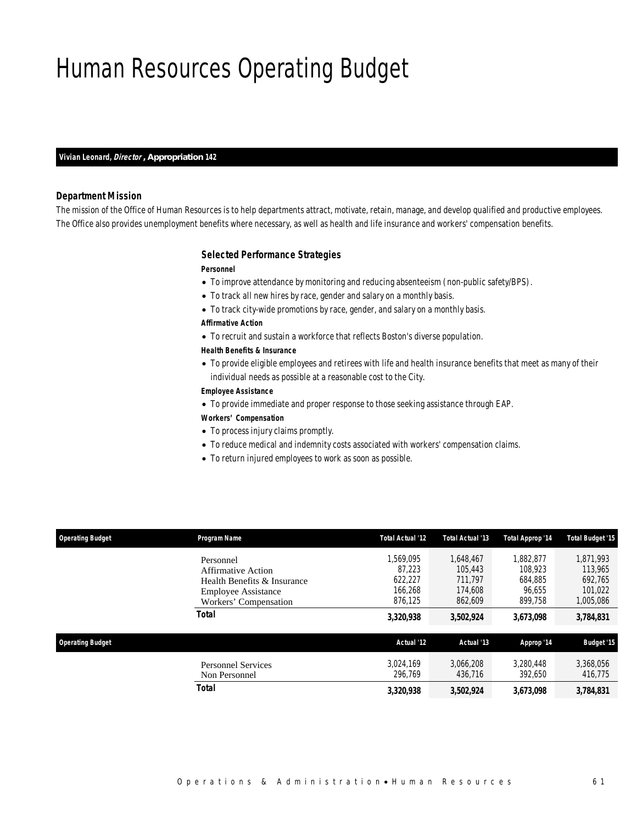## Human Resources Operating Budget

#### *Vivian Leonard, Director , Appropriation 142*

#### *Department Mission*

The mission of the Office of Human Resources is to help departments attract, motivate, retain, manage, and develop qualified and productive employees. The Office also provides unemployment benefits where necessary, as well as health and life insurance and workers' compensation benefits.

#### *Selected Performance Strategies*

#### *Personnel*

- To improve attendance by monitoring and reducing absenteeism (non-public safety/BPS).
- To track all new hires by race, gender and salary on a monthly basis.
- To track city-wide promotions by race, gender, and salary on a monthly basis.
- *Affirmative Action*
- To recruit and sustain a workforce that reflects Boston's diverse population.

#### *Health Benefits & Insurance*

• To provide eligible employees and retirees with life and health insurance benefits that meet as many of their individual needs as possible at a reasonable cost to the City.

#### *Employee Assistance*

• To provide immediate and proper response to those seeking assistance through EAP.

#### *Workers' Compensation*

- To process injury claims promptly.
- To reduce medical and indemnity costs associated with workers' compensation claims.
- To return injured employees to work as soon as possible.

| <b>Operating Budget</b> | Program Name                | <b>Total Actual '12</b> | Total Actual '13 | Total Approp '14 | <b>Total Budget '15</b> |
|-------------------------|-----------------------------|-------------------------|------------------|------------------|-------------------------|
|                         | Personnel                   | .569.095                | 1.648.467        | 1.882.877        | 1.871.993               |
|                         | Affirmative Action          | 87.223                  | 105,443          | 108.923          | 113.965                 |
|                         | Health Benefits & Insurance | 622.227                 | 711.797          | 684.885          | 692.765                 |
|                         | <b>Employee Assistance</b>  | 166.268                 | 174.608          | 96,655           | 101.022                 |
|                         | Workers' Compensation       | 876.125                 | 862,609          | 899.758          | 1,005,086               |
|                         | Total                       | 3,320,938               | 3,502,924        | 3,673,098        | 3,784,831               |
|                         |                             |                         |                  |                  |                         |
| <b>Operating Budget</b> |                             | Actual '12              | Actual '13       | Approp '14       | <b>Budget '15</b>       |
|                         | <b>Personnel Services</b>   | 3.024.169               | 3.066.208        | 3,280,448        | 3,368,056               |
|                         | Non Personnel               | 296.769                 | 436.716          | 392,650          | 416,775                 |
|                         | Total                       | 3,320,938               | 3,502,924        | 3,673,098        | 3,784,831               |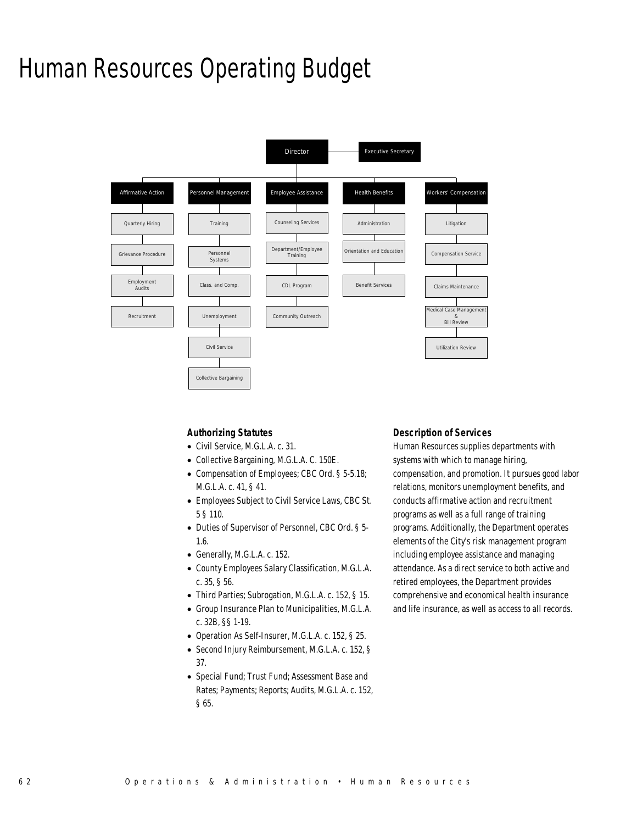## Human Resources Operating Budget



#### *Authorizing Statutes*

- Civil Service, M.G.L.A. c. 31.
- Collective Bargaining, M.G.L.A. C. 150E.
- Compensation of Employees; CBC Ord. § 5-5.18; M.G.L.A. c. 41, § 41.
- Employees Subject to Civil Service Laws, CBC St. 5 § 110.
- Duties of Supervisor of Personnel, CBC Ord. § 5- 1.6.
- Generally, M.G.L.A. c. 152.
- County Employees Salary Classification, M.G.L.A. c. 35, § 56.
- Third Parties; Subrogation, M.G.L.A. c. 152, § 15.
- Group Insurance Plan to Municipalities, M.G.L.A. c. 32B, §§ 1-19.
- Operation As Self-Insurer, M.G.L.A. c. 152, § 25.
- Second Injury Reimbursement, M.G.L.A. c. 152, § 37.
- Special Fund; Trust Fund; Assessment Base and Rates; Payments; Reports; Audits, M.G.L.A. c. 152, § 65.

#### *Description of Services*

Human Resources supplies departments with systems with which to manage hiring, compensation, and promotion. It pursues good labor relations, monitors unemployment benefits, and conducts affirmative action and recruitment programs as well as a full range of training programs. Additionally, the Department operates elements of the City's risk management program including employee assistance and managing attendance. As a direct service to both active and retired employees, the Department provides comprehensive and economical health insurance and life insurance, as well as access to all records.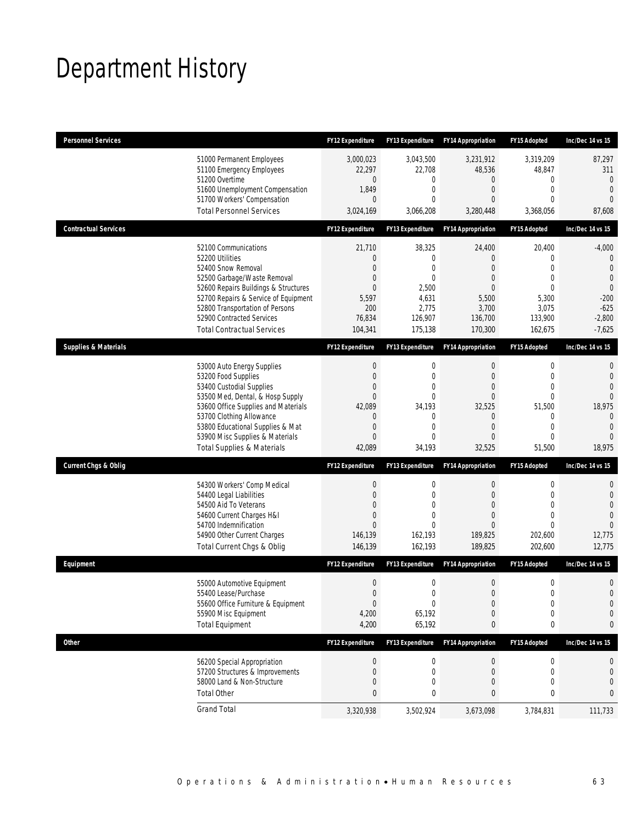## Department History

| <b>Personnel Services</b>       |                                                                                           | <b>FY12 Expenditure</b>              | <b>FY13 Expenditure</b>                   | <b>FY14 Appropriation</b>         | FY15 Adopted                             | Inc/Dec 14 vs 15                           |
|---------------------------------|-------------------------------------------------------------------------------------------|--------------------------------------|-------------------------------------------|-----------------------------------|------------------------------------------|--------------------------------------------|
|                                 | 51000 Permanent Employees<br>51100 Emergency Employees<br>51200 Overtime                  | 3,000,023<br>22,297<br>0             | 3.043.500<br>22,708<br>0                  | 3,231,912<br>48,536<br>0          | 3,319,209<br>48,847<br>0                 | 87,297<br>311<br>$\mathbf{0}$              |
|                                 | 51600 Unemployment Compensation<br>51700 Workers' Compensation                            | 1,849<br>0                           | 0<br>$\overline{0}$                       | $\mathbf{0}$<br>0                 | $\mathbf{0}$<br>$\mathbf{0}$             | $\overline{0}$<br>$\Omega$                 |
|                                 | <b>Total Personnel Services</b>                                                           | 3,024,169                            | 3,066,208                                 | 3,280,448                         | 3,368,056                                | 87,608                                     |
| <b>Contractual Services</b>     |                                                                                           | <b>FY12 Expenditure</b>              | <b>FY13 Expenditure</b>                   | <b>FY14 Appropriation</b>         | FY15 Adopted                             | Inc/Dec 14 vs 15                           |
|                                 | 52100 Communications<br>52200 Utilities                                                   | 21,710<br>0                          | 38,325<br>0                               | 24,400<br>0                       | 20,400<br>$\mathbf{0}$                   | $-4,000$<br>$\mathbf{0}$                   |
|                                 | 52400 Snow Removal<br>52500 Garbage/Waste Removal<br>52600 Repairs Buildings & Structures | $\mathbf{0}$<br>0<br>0               | $\overline{0}$<br>$\overline{0}$<br>2,500 | 0<br>$\mathbf{0}$<br>$\mathbf{0}$ | $\mathbf{0}$<br>$\mathbf{0}$<br>$\Omega$ | $\mathbf{0}$<br>$\overline{0}$<br>$\theta$ |
|                                 | 52700 Repairs & Service of Equipment<br>52800 Transportation of Persons                   | 5,597<br>200                         | 4,631<br>2,775                            | 5,500<br>3,700                    | 5,300<br>3,075                           | $-200$<br>$-625$                           |
|                                 | 52900 Contracted Services<br><b>Total Contractual Services</b>                            | 76,834<br>104,341                    | 126,907<br>175,138                        | 136,700<br>170,300                | 133,900<br>162,675                       | $-2,800$<br>$-7,625$                       |
| <b>Supplies &amp; Materials</b> |                                                                                           | FY12 Expenditure                     | <b>FY13 Expenditure</b>                   | <b>FY14 Appropriation</b>         | FY15 Adopted                             | Inc/Dec 14 vs 15                           |
|                                 | 53000 Auto Energy Supplies<br>53200 Food Supplies                                         | 0<br>0                               | 0<br>0                                    | $\mathbf 0$<br>$\mathbf{0}$       | $\mathbf 0$<br>$\mathbf{0}$              | 0<br>$\overline{0}$                        |
|                                 | 53400 Custodial Supplies                                                                  | 0                                    | $\theta$                                  | 0                                 | $\mathbf{0}$                             | $\Omega$                                   |
|                                 | 53500 Med, Dental, & Hosp Supply<br>53600 Office Supplies and Materials                   | $\overline{0}$<br>42,089             | $\overline{0}$<br>34.193                  | 0<br>32,525                       | $\overline{0}$<br>51,500                 | $\Omega$<br>18,975                         |
|                                 | 53700 Clothing Allowance                                                                  | 0                                    | $\mathbf 0$                               | 0                                 | 0                                        | $\overline{0}$                             |
|                                 | 53800 Educational Supplies & Mat                                                          | 0                                    | 0                                         | 0                                 | $\mathbf{0}$                             | $\overline{0}$                             |
|                                 | 53900 Misc Supplies & Materials<br><b>Total Supplies &amp; Materials</b>                  | 0<br>42,089                          | $\mathbf{0}$<br>34,193                    | 0<br>32,525                       | $\mathbf{0}$<br>51,500                   | $\Omega$<br>18,975                         |
| <b>Current Chgs &amp; Oblig</b> |                                                                                           | FY12 Expenditure                     | FY13 Expenditure                          | <b>FY14 Appropriation</b>         | FY15 Adopted                             | Inc/Dec 14 vs 15                           |
|                                 | 54300 Workers' Comp Medical<br>54400 Legal Liabilities                                    | 0<br>0                               | 0<br>$\overline{0}$                       | $\mathbf 0$<br>$\overline{0}$     | 0<br>$\mathbf{0}$                        | $\mathbf 0$<br>$\mathbf{0}$                |
|                                 | 54500 Aid To Veterans                                                                     | $\Omega$                             | $\Omega$                                  | $\Omega$                          | $\Omega$                                 | $\overline{0}$                             |
|                                 | 54600 Current Charges H&I<br>54700 Indemnification                                        | 0<br>$\Omega$                        | $\overline{0}$<br>$\Omega$                | 0<br>0                            | $\mathbf{0}$<br>$\Omega$                 | $\overline{0}$<br>$\overline{0}$           |
|                                 | 54900 Other Current Charges                                                               | 146,139                              | 162,193                                   | 189,825                           | 202,600                                  | 12,775                                     |
|                                 | Total Current Chgs & Oblig                                                                | 146,139                              | 162,193                                   | 189,825                           | 202,600                                  | 12,775                                     |
| Equipment                       |                                                                                           | <b>FY12 Expenditure</b>              | <b>FY13 Expenditure</b>                   | <b>FY14 Appropriation</b>         | <b>FY15 Adopted</b>                      | Inc/Dec 14 vs 15                           |
|                                 | 55000 Automotive Equipment<br>55400 Lease/Purchase                                        | $\boldsymbol{0}$<br>$\boldsymbol{0}$ | $\mathbf 0$<br>$\overline{0}$             | $\boldsymbol{0}$<br>$\Omega$      | $\mathbf 0$<br>$\theta$                  | $\mathbf 0$<br>$\Omega$                    |
|                                 | 55600 Office Furniture & Equipment                                                        | $\boldsymbol{0}$                     | $\boldsymbol{0}$                          | $\boldsymbol{0}$                  | $\boldsymbol{0}$                         | $\mathbf{0}$                               |
|                                 | 55900 Misc Equipment<br><b>Total Equipment</b>                                            | 4,200<br>4,200                       | 65,192<br>65,192                          | $\mathbf 0$<br>0                  | $\mathbf 0$<br>0                         | $\mathbf 0$<br>0                           |
| Other                           |                                                                                           | FY12 Expenditure                     | <b>FY13 Expenditure</b>                   | <b>FY14 Appropriation</b>         | FY15 Adopted                             | Inc/Dec 14 vs 15                           |
|                                 | 56200 Special Appropriation                                                               | 0                                    | $\boldsymbol{0}$                          | $\bf{0}$                          | 0                                        | 0                                          |
|                                 | 57200 Structures & Improvements                                                           | 0                                    | $\mathbf 0$                               | $\mathbf 0$                       | 0                                        | $\theta$                                   |
|                                 | 58000 Land & Non-Structure                                                                | 0                                    | 0                                         | 0                                 | $\mathbf{0}$                             | 0                                          |
|                                 | <b>Total Other</b>                                                                        | 0                                    | 0                                         | 0                                 | 0                                        | 0                                          |
|                                 | <b>Grand Total</b>                                                                        | 3,320,938                            | 3,502,924                                 | 3,673,098                         | 3,784,831                                | 111,733                                    |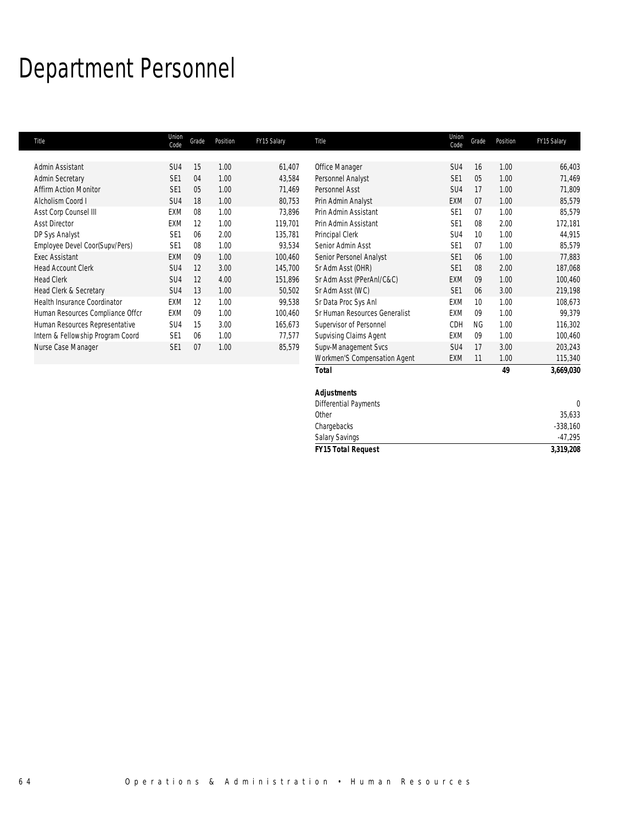## Department Personnel

I.

| Title                               | Union<br>Code   | Grade | Position | FY15 Salary | Title                         | Union<br>Code   | Grade     | Position | FY15 Salary |
|-------------------------------------|-----------------|-------|----------|-------------|-------------------------------|-----------------|-----------|----------|-------------|
|                                     |                 |       |          |             |                               |                 |           |          |             |
| Admin Assistant                     | SU4             | 15    | 1.00     | 61,407      | Office Manager                | SU4             | 16        | 1.00     | 66,403      |
| <b>Admin Secretary</b>              | SE <sub>1</sub> | 04    | 1.00     | 43,584      | Personnel Analyst             | SE <sub>1</sub> | 05        | 1.00     | 71,469      |
| <b>Affirm Action Monitor</b>        | SE <sub>1</sub> | 05    | 1.00     | 71,469      | Personnel Asst                | SU4             | 17        | 1.00     | 71,809      |
| Alcholism Coord I                   | SU4             | 18    | 1.00     | 80,753      | Prin Admin Analyst            | EXM             | 07        | 1.00     | 85,579      |
| Asst Corp Counsel III               | <b>EXM</b>      | 08    | 1.00     | 73,896      | Prin Admin Assistant          | SE <sub>1</sub> | 07        | 1.00     | 85,579      |
| <b>Asst Director</b>                | <b>EXM</b>      | 12    | 1.00     | 119,701     | Prin Admin Assistant          | SE <sub>1</sub> | 08        | 2.00     | 172,181     |
| DP Sys Analyst                      | SE <sub>1</sub> | 06    | 2.00     | 135,781     | Principal Clerk               | SU4             | 10        | 1.00     | 44,915      |
| Employee Devel Coor(Supv/Pers)      | SE <sub>1</sub> | 08    | 1.00     | 93,534      | Senior Admin Asst             | SE <sub>1</sub> | 07        | 1.00     | 85,579      |
| <b>Exec Assistant</b>               | EXM             | 09    | 1.00     | 100,460     | Senior Personel Analyst       | SE <sub>1</sub> | 06        | 1.00     | 77,883      |
| <b>Head Account Clerk</b>           | SU4             | 12    | 3.00     | 145,700     | Sr Adm Asst (OHR)             | SE <sub>1</sub> | 08        | 2.00     | 187,068     |
| <b>Head Clerk</b>                   | SU4             | 12    | 4.00     | 151,896     | Sr Adm Asst (PPerAnI/C&C)     | EXM             | 09        | 1.00     | 100,460     |
| Head Clerk & Secretary              | SU <sub>4</sub> | 13    | 1.00     | 50,502      | Sr Adm Asst (WC)              | SE <sub>1</sub> | 06        | 3.00     | 219,198     |
| <b>Health Insurance Coordinator</b> | <b>EXM</b>      | 12    | 1.00     | 99,538      | Sr Data Proc Sys Anl          | EXM             | 10        | 1.00     | 108,673     |
| Human Resources Compliance Offcr    | EXM             | 09    | 1.00     | 100,460     | Sr Human Resources Generalist | EXM             | 09        | 1.00     | 99,379      |
| Human Resources Representative      | SU4             | 15    | 3.00     | 165,673     | Supervisor of Personnel       | CDH             | <b>NG</b> | 1.00     | 116,302     |
| Intern & Fellowship Program Coord   | SE <sub>1</sub> | 06    | 1.00     | 77,577      | Supvising Claims Agent        | EXM             | 09        | 1.00     | 100,460     |
| Nurse Case Manager                  | SE <sub>1</sub> | 07    | 1.00     | 85,579      | Supv-Management Svcs          | SU <sub>4</sub> | 17        | 3.00     | 203,243     |
|                                     |                 |       |          |             | Workmen'S Compensation Agent  | EXM             | 11        | 1.00     | 115,340     |
|                                     |                 |       |          |             | <b>Total</b>                  |                 |           | 49       | 3,669,030   |
|                                     |                 |       |          |             |                               |                 |           |          |             |
|                                     |                 |       |          |             | <b>Adjustments</b>            |                 |           |          |             |

| <b>FY15 Total Request</b>    | 3,319,208  |
|------------------------------|------------|
| <b>Salary Savings</b>        | $-47.295$  |
| Chargebacks                  | $-338.160$ |
| Other                        | 35.633     |
| <b>Differential Payments</b> | $\Omega$   |
| <b>Adjustments</b>           |            |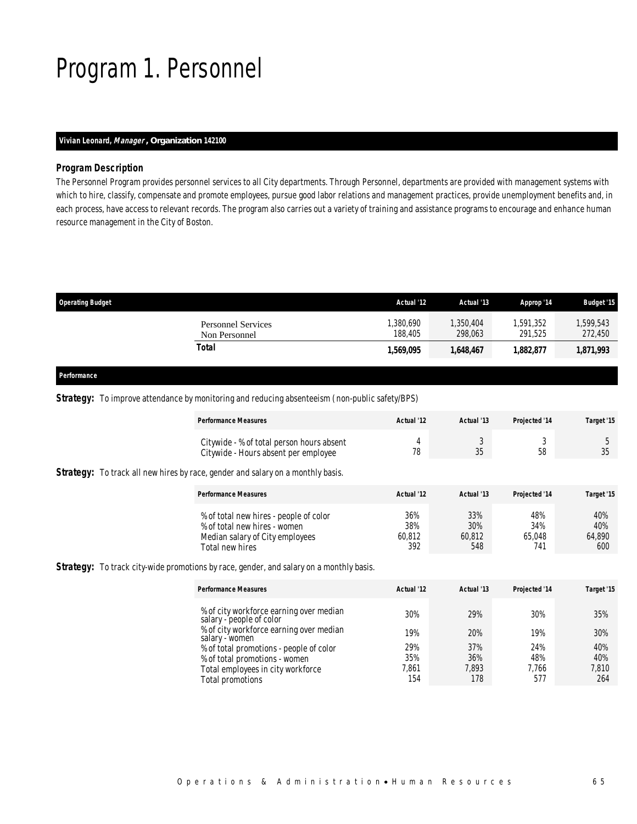## Program 1. Personnel

### *Vivian Leonard, Manager , Organization 142100*

### *Program Description*

The Personnel Program provides personnel services to all City departments. Through Personnel, departments are provided with management systems with which to hire, classify, compensate and promote employees, pursue good labor relations and management practices, provide unemployment benefits and, in each process, have access to relevant records. The program also carries out a variety of training and assistance programs to encourage and enhance human resource management in the City of Boston.

| <b>Operating Budget</b>                    | Actual '12          | Actual '13           | Approp '14           | <b>Budget '15</b>   |
|--------------------------------------------|---------------------|----------------------|----------------------|---------------------|
| <b>Personnel Services</b><br>Non Personnel | .380.690<br>188,405 | 1,350,404<br>298.063 | 1,591,352<br>291.525 | .599.543<br>272,450 |
| Total                                      | 1,569,095           | 1,648,467            | 1,882,877            | 1,871,993           |
|                                            |                     |                      |                      |                     |

#### *Performance*

#### **Strategy:** To improve attendance by monitoring and reducing absenteeism (non-public safety/BPS)

| <b>Performance Measures</b>                                                       | Actual '12 | Actual '13 | <b>Projected '14</b> | Target '15 |
|-----------------------------------------------------------------------------------|------------|------------|----------------------|------------|
| Citywide - % of total person hours absent<br>Citywide - Hours absent per employee |            | 25<br>JJ   | 58                   |            |

#### Strategy: To track all new hires by race, gender and salary on a monthly basis.

| <b>Performance Measures</b>            | Actual '12 | Actual '13 | <b>Projected '14</b> | Target '15 |
|----------------------------------------|------------|------------|----------------------|------------|
| % of total new hires - people of color | 36%        | 33%        | 48%                  | 40%        |
| % of total new hires - women           | 38%        | 30%        | 34%                  | 40%        |
| Median salary of City employees        | 60.812     | 60.812     | 65.048               | 64.890     |
| Total new hires                        | 392        | 548        | 741                  | 600        |

#### **Strategy:** To track city-wide promotions by race, gender, and salary on a monthly basis.

| <b>Performance Measures</b>                                         | Actual '12 | Actual '13 | Projected '14 | Target '15 |
|---------------------------------------------------------------------|------------|------------|---------------|------------|
| % of city workforce earning over median<br>salary - people of color | 30%        | 29%        | 30%           | 35%        |
| % of city workforce earning over median<br>salary - women           | 19%        | 20%        | 19%           | 30%        |
| % of total promotions - people of color                             | 29%        | 37%        | 24%           | 40%        |
| % of total promotions - women                                       | 35%        | 36%        | 48%           | 40%        |
| Total employees in city workforce                                   | 7,861      | 7,893      | 7.766         | 7,810      |
| Total promotions                                                    | 154        | 178        | 577           | 264        |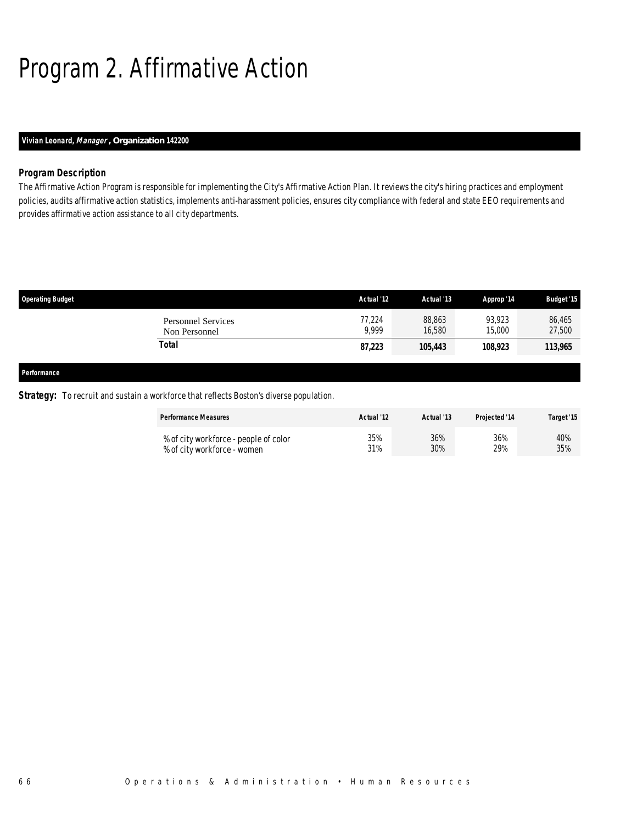# Program 2. Affirmative Action

### *Vivian Leonard, Manager , Organization 142200*

#### *Program Description*

The Affirmative Action Program is responsible for implementing the City's Affirmative Action Plan. It reviews the city's hiring practices and employment policies, audits affirmative action statistics, implements anti-harassment policies, ensures city compliance with federal and state EEO requirements and provides affirmative action assistance to all city departments.

| <b>Operating Budget</b>                    | Actual '12      | Actual '13       | Approp '14       | <b>Budget '15</b> |
|--------------------------------------------|-----------------|------------------|------------------|-------------------|
| <b>Personnel Services</b><br>Non Personnel | 77.224<br>9,999 | 88,863<br>16,580 | 93.923<br>15,000 | 86,465<br>27,500  |
| Total                                      | 87,223          | 105,443          | 108,923          | 113,965           |
|                                            |                 |                  |                  |                   |
| Performance                                |                 |                  |                  |                   |

### **Strategy:** To recruit and sustain a workforce that reflects Boston's diverse population.

| <b>Performance Measures</b>           | Actual '12 | Actual '13 | <b>Projected '14</b> | Target '15 |
|---------------------------------------|------------|------------|----------------------|------------|
| % of city workforce - people of color | 35%        | 36%        | 36%                  | 40%        |
| % of city workforce - women           | 31%        | 30%        | 29%                  | 35%        |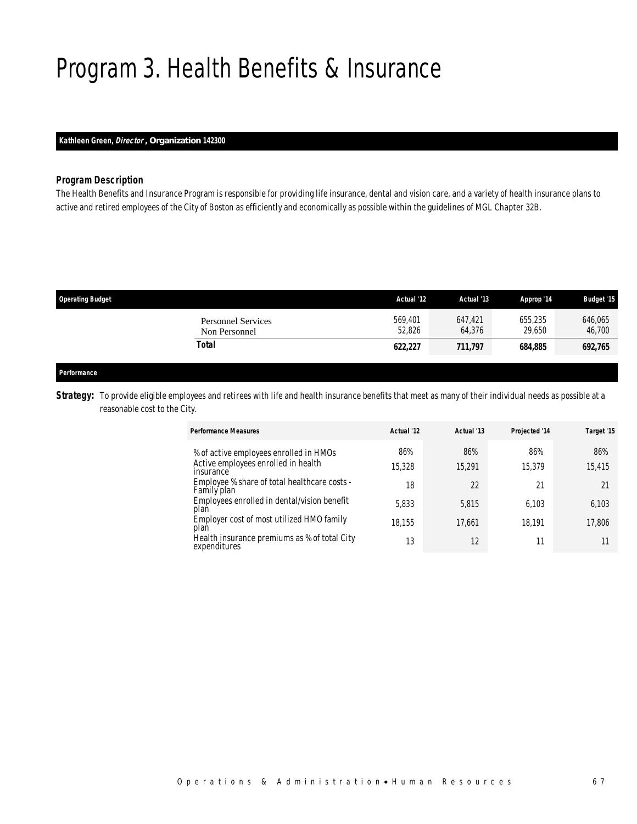## Program 3. Health Benefits & Insurance

### *Kathleen Green, Director , Organization 142300*

#### *Program Description*

The Health Benefits and Insurance Program is responsible for providing life insurance, dental and vision care, and a variety of health insurance plans to active and retired employees of the City of Boston as efficiently and economically as possible within the guidelines of MGL Chapter 32B.

| <b>Operating Budget</b>                    | Actual '12        | Actual '13        | Approp '14        | <b>Budget '15</b> |
|--------------------------------------------|-------------------|-------------------|-------------------|-------------------|
| <b>Personnel Services</b><br>Non Personnel | 569,401<br>52.826 | 647,421<br>64,376 | 655,235<br>29,650 | 646,065<br>46,700 |
| Total                                      | 622,227           | 711,797           | 684,885           | 692,765           |
|                                            |                   |                   |                   |                   |

### *Performance*

Strategy: To provide eligible employees and retirees with life and health insurance benefits that meet as many of their individual needs as possible at a reasonable cost to the City.

| <b>Performance Measures</b>                                  | Actual '12 | Actual '13 | Projected '14 | Target '15 |
|--------------------------------------------------------------|------------|------------|---------------|------------|
| % of active employees enrolled in HMOs                       | 86%        | 86%        | 86%           | 86%        |
| Active employees enrolled in health<br>insurance             | 15,328     | 15.291     | 15,379        | 15,415     |
| Employee % share of total healthcare costs -<br>Family plan  | 18         | 22         | 21            |            |
| Employees enrolled in dental/vision benefit<br>plan          | 5.833      | 5.815      | 6.103         | 6,103      |
| Employer cost of most utilized HMO family<br>plan            | 18.155     | 17.661     | 18.191        | 17,806     |
| Health insurance premiums as % of total City<br>expenditures | 13         | 12         | 11            |            |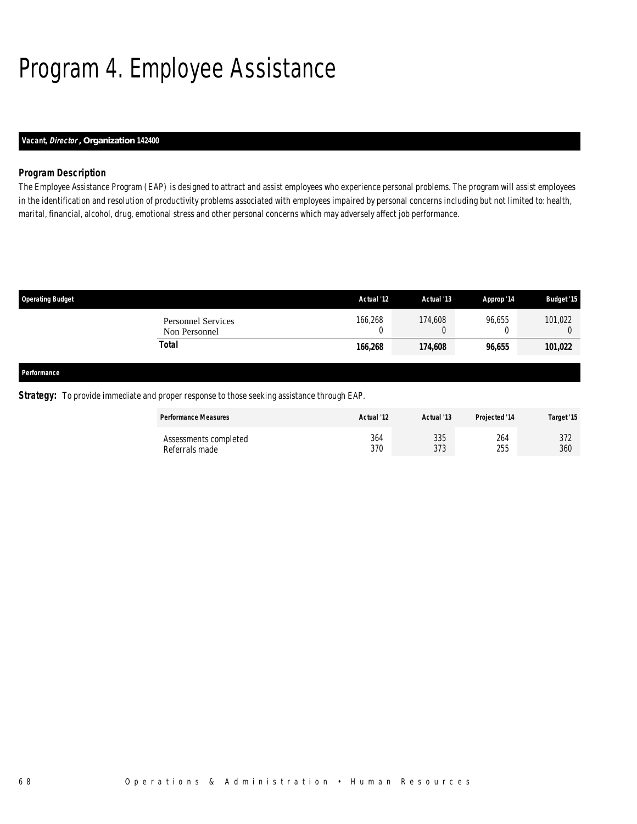# Program 4. Employee Assistance

### *Vacant, Director , Organization 142400*

### *Program Description*

The Employee Assistance Program (EAP) is designed to attract and assist employees who experience personal problems. The program will assist employees in the identification and resolution of productivity problems associated with employees impaired by personal concerns including but not limited to: health, marital, financial, alcohol, drug, emotional stress and other personal concerns which may adversely affect job performance.

| <b>Operating Budget</b>                    | Actual '12        | Actual '13 | Approp '14 | <b>Budget '15</b> |
|--------------------------------------------|-------------------|------------|------------|-------------------|
| <b>Personnel Services</b><br>Non Personnel | 166,268<br>Λ<br>υ | 174,608    | 96,655     | 101,022           |
| <b>Total</b>                               | 166,268           | 174,608    | 96,655     | 101,022           |
|                                            |                   |            |            |                   |
| Performance                                |                   |            |            |                   |

**Strategy:** To provide immediate and proper response to those seeking assistance through EAP.

| <b>Performance Measures</b>             | Actual '12 | Actual '13 | Projected '14 | Target '15        |
|-----------------------------------------|------------|------------|---------------|-------------------|
| Assessments completed<br>Referrals made | 364<br>370 | 335<br>373 | 264<br>255    | 272<br>312<br>360 |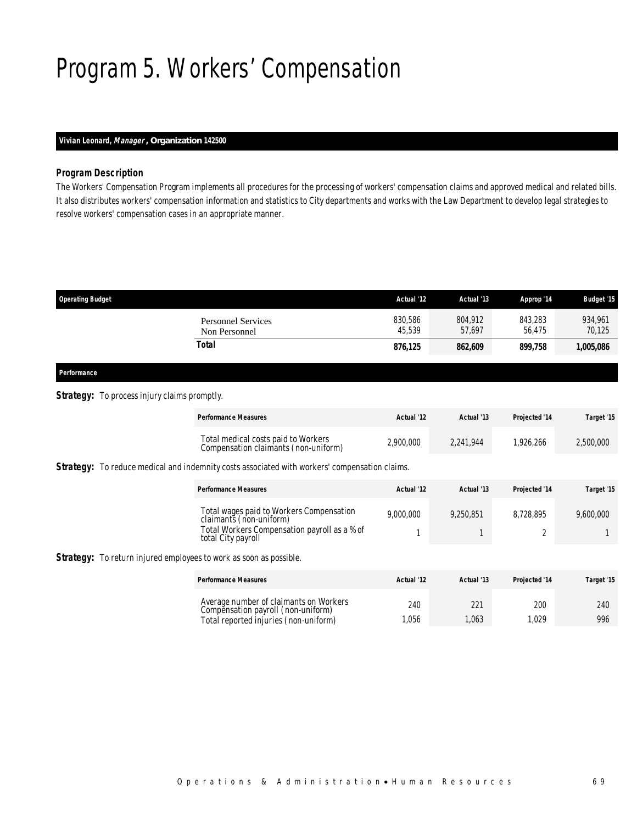## Program 5. Workers' Compensation

## *Vivian Leonard, Manager , Organization 142500*

#### *Program Description*

The Workers' Compensation Program implements all procedures for the processing of workers' compensation claims and approved medical and related bills. It also distributes workers' compensation information and statistics to City departments and works with the Law Department to develop legal strategies to resolve workers' compensation cases in an appropriate manner.

| <b>Operating Budget</b>                    | Actual '12        | Actual '13        | Approp '14        | <b>Budget '15</b> |
|--------------------------------------------|-------------------|-------------------|-------------------|-------------------|
| <b>Personnel Services</b><br>Non Personnel | 830,586<br>45.539 | 804.912<br>57.697 | 843,283<br>56.475 | 934,961<br>70,125 |
| Total                                      | 876.125           | 862,609           | 899,758           | 1,005,086         |

### *Performance*

### **Strategy:** To process injury claims promptly.

| <b>Performance Measures</b>                                                 | Actual '12 | Actual '13 | <b>Projected '14</b> | Target '15 |
|-----------------------------------------------------------------------------|------------|------------|----------------------|------------|
| Total medical costs paid to Workers<br>Compensation claimants (non-uniform) | 2.900.000  | 2.241.944  | 1,926.266            | 2,500,000  |

Strategy: To reduce medical and indemnity costs associated with workers' compensation claims.

| <b>Performance Measures</b>                                         | Actual '12 | Actual '13 | Projected '14 | Target '15 |
|---------------------------------------------------------------------|------------|------------|---------------|------------|
| Total wages paid to Workers Compensation<br>claimants (non-uniform) | 9.000.000  | 9.250.851  | 8.728.895     | 9.600.000  |
| Total Workers Compensation payroll as a % of<br>total City payroll  |            |            |               |            |

Strategy: To return injured employees to work as soon as possible.

| <b>Performance Measures</b>                                                  | Actual '12 | Actual '13 | <b>Projected '14</b> | Target '15 |
|------------------------------------------------------------------------------|------------|------------|----------------------|------------|
| Average number of claimants on Workers<br>Compensation payroll (non-uniform) | 240        | 221        | 200                  | 240        |
| Total reported injuries (non-uniform)                                        | .056       | .063       | .029                 | 996        |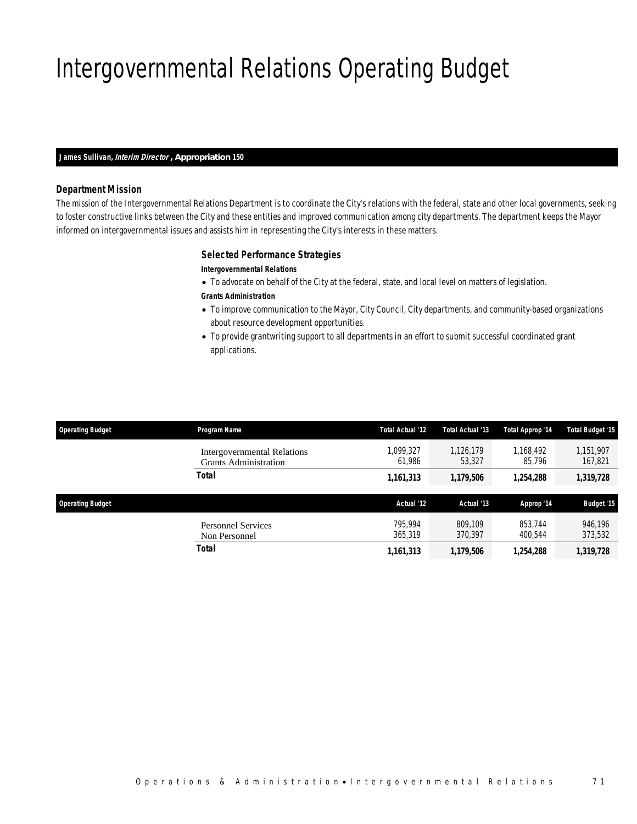## Intergovernmental Relations Operating Budget

#### *James Sullivan, Interim Director , Appropriation 150*

### *Department Mission*

The mission of the Intergovernmental Relations Department is to coordinate the City's relations with the federal, state and other local governments, seeking to foster constructive links between the City and these entities and improved communication among city departments. The department keeps the Mayor informed on intergovernmental issues and assists him in representing the City's interests in these matters.

#### *Selected Performance Strategies*

#### *Intergovernmental Relations*

- To advocate on behalf of the City at the federal, state, and local level on matters of legislation.
- *Grants Administration*
- To improve communication to the Mayor, City Council, City departments, and community-based organizations about resource development opportunities.
- To provide grantwriting support to all departments in an effort to submit successful coordinated grant applications.

| <b>Operating Budget</b> | Program Name                                                | <b>Total Actual '12</b> | Total Actual '13    | <b>Total Approp '14</b> | <b>Total Budget '15</b> |
|-------------------------|-------------------------------------------------------------|-------------------------|---------------------|-------------------------|-------------------------|
|                         | Intergovernmental Relations<br><b>Grants Administration</b> | 1.099.327<br>61.986     | 1.126.179<br>53,327 | 1.168.492<br>85.796     | 1,151,907<br>167,821    |
|                         | <b>Total</b>                                                | 1,161,313               | 1,179,506           | 1,254,288               | 1,319,728               |
| <b>Operating Budget</b> |                                                             | Actual '12              | Actual '13          | Approp '14              | Budget '15              |
|                         | <b>Personnel Services</b><br>Non Personnel                  | 795.994<br>365,319      | 809.109<br>370.397  | 853.744<br>400.544      | 946,196<br>373,532      |
|                         | <b>Total</b>                                                | 1,161,313               | 1,179,506           | 1,254,288               | 1,319,728               |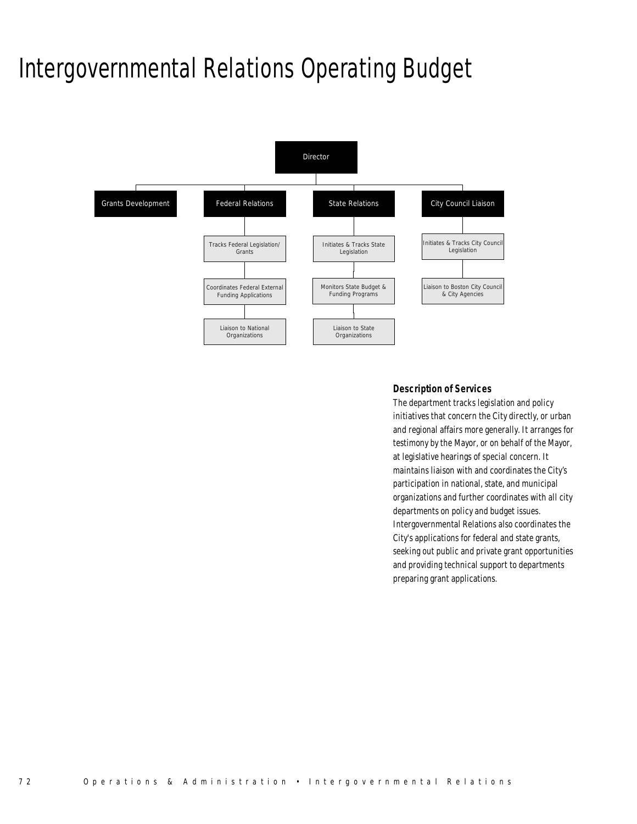## Intergovernmental Relations Operating Budget



#### *Description of Services*

The department tracks legislation and policy initiatives that concern the City directly, or urban and regional affairs more generally. It arranges for testimony by the Mayor, or on behalf of the Mayor, at legislative hearings of special concern. It maintains liaison with and coordinates the City's participation in national, state, and municipal organizations and further coordinates with all city departments on policy and budget issues. Intergovernmental Relations also coordinates the City's applications for federal and state grants, seeking out public and private grant opportunities and providing technical support to departments preparing grant applications.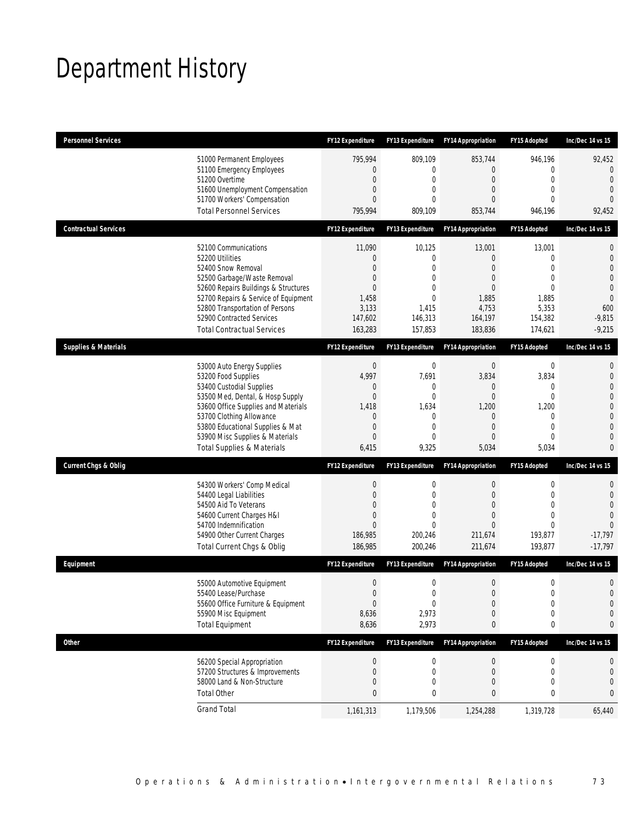## Department History

| <b>Personnel Services</b>       |                                                                                                                                                                                                                                                                                                      | <b>FY12 Expenditure</b>                                                                                    | <b>FY13 Expenditure</b>                                                                                      | <b>FY14 Appropriation</b>                                                 | <b>FY15 Adopted</b>                                                                                        | Inc/Dec 14 vs 15                                                                                                                                  |
|---------------------------------|------------------------------------------------------------------------------------------------------------------------------------------------------------------------------------------------------------------------------------------------------------------------------------------------------|------------------------------------------------------------------------------------------------------------|--------------------------------------------------------------------------------------------------------------|---------------------------------------------------------------------------|------------------------------------------------------------------------------------------------------------|---------------------------------------------------------------------------------------------------------------------------------------------------|
|                                 | 51000 Permanent Employees<br>51100 Emergency Employees<br>51200 Overtime<br>51600 Unemployment Compensation<br>51700 Workers' Compensation<br><b>Total Personnel Services</b>                                                                                                                        | 795,994<br>$\mathbf{0}$<br>$\mathbf 0$<br>0<br>$\Omega$<br>795,994                                         | 809,109<br>0<br>$\mathbf 0$<br>$\mathbf 0$<br>$\Omega$<br>809,109                                            | 853,744<br>0<br>0<br>0<br>0<br>853,744                                    | 946,196<br>0<br>$\mathbf 0$<br>$\mathbf{0}$<br>$\theta$<br>946,196                                         | 92,452<br>$\mathbf{0}$<br>$\mathbf{0}$<br>$\overline{0}$<br>$\Omega$<br>92,452                                                                    |
| <b>Contractual Services</b>     |                                                                                                                                                                                                                                                                                                      | FY12 Expenditure                                                                                           | <b>FY13 Expenditure</b>                                                                                      | <b>FY14 Appropriation</b>                                                 | <b>FY15 Adopted</b>                                                                                        | Inc/Dec 14 vs 15                                                                                                                                  |
|                                 | 52100 Communications<br>52200 Utilities<br>52400 Snow Removal<br>52500 Garbage/Waste Removal<br>52600 Repairs Buildings & Structures<br>52700 Repairs & Service of Equipment<br>52800 Transportation of Persons<br>52900 Contracted Services<br><b>Total Contractual Services</b>                    | 11,090<br>0<br>$\Omega$<br>0<br>0<br>1,458<br>3,133<br>147,602<br>163,283                                  | 10,125<br>$\mathbf 0$<br>$\Omega$<br>$\mathbf{0}$<br>$\Omega$<br>$\mathbf{0}$<br>1,415<br>146,313<br>157,853 | 13,001<br>$\theta$<br>0<br>0<br>0<br>1,885<br>4,753<br>164,197<br>183,836 | 13,001<br>$\mathbf{0}$<br>$\mathbf{0}$<br>$\mathbf{0}$<br>$\theta$<br>1,885<br>5,353<br>154,382<br>174,621 | $\mathbf 0$<br>$\mathbf 0$<br>$\overline{0}$<br>$\overline{0}$<br>$\overline{0}$<br>$\overline{0}$<br>600<br>$-9,815$<br>$-9,215$                 |
| <b>Supplies &amp; Materials</b> |                                                                                                                                                                                                                                                                                                      | FY12 Expenditure                                                                                           | FY13 Expenditure                                                                                             | <b>FY14 Appropriation</b>                                                 | FY15 Adopted                                                                                               | Inc/Dec 14 vs 15                                                                                                                                  |
|                                 | 53000 Auto Energy Supplies<br>53200 Food Supplies<br>53400 Custodial Supplies<br>53500 Med, Dental, & Hosp Supply<br>53600 Office Supplies and Materials<br>53700 Clothing Allowance<br>53800 Educational Supplies & Mat<br>53900 Misc Supplies & Materials<br><b>Total Supplies &amp; Materials</b> | $\boldsymbol{0}$<br>4,997<br>0<br>$\boldsymbol{0}$<br>1,418<br>0<br>$\mathbf 0$<br>$\overline{0}$<br>6,415 | $\mathbf 0$<br>7,691<br>0<br>$\mathbf{0}$<br>1,634<br>$\mathbf{0}$<br>$\mathbf{0}$<br>$\Omega$<br>9,325      | 0<br>3,834<br>0<br>0<br>1,200<br>$\mathbf 0$<br>0<br>0<br>5,034           | 0<br>3,834<br>0<br>$\mathbf 0$<br>1,200<br>$\mathbf{0}$<br>$\mathbf{0}$<br>$\mathbf{0}$<br>5,034           | $\mathbf{0}$<br>$\mathbf{0}$<br>$\overline{0}$<br>$\overline{0}$<br>$\mathbf 0$<br>$\overline{0}$<br>$\overline{0}$<br>$\overline{0}$<br>$\Omega$ |
| <b>Current Chgs &amp; Oblig</b> |                                                                                                                                                                                                                                                                                                      | <b>FY12 Expenditure</b>                                                                                    | FY13 Expenditure                                                                                             | <b>FY14 Appropriation</b>                                                 | <b>FY15 Adopted</b>                                                                                        | Inc/Dec 14 vs 15                                                                                                                                  |
|                                 | 54300 Workers' Comp Medical<br>54400 Legal Liabilities<br>54500 Aid To Veterans<br>54600 Current Charges H&I<br>54700 Indemnification<br>54900 Other Current Charges<br>Total Current Chgs & Oblig                                                                                                   | $\boldsymbol{0}$<br>$\boldsymbol{0}$<br>0<br>0<br>$\Omega$<br>186,985<br>186,985                           | 0<br>$\mathbf 0$<br>$\mathbf{0}$<br>$\mathbf{0}$<br>$\Omega$<br>200,246<br>200,246                           | 0<br>$\overline{0}$<br>0<br>$\overline{0}$<br>0<br>211,674<br>211,674     | 0<br>$\mathbf 0$<br>$\mathbf{0}$<br>$\mathbf{0}$<br>$\theta$<br>193,877<br>193,877                         | 0<br>$\mathbf{0}$<br>$\overline{0}$<br>$\Omega$<br>$\Omega$<br>$-17,797$<br>$-17,797$                                                             |
| Equipment                       |                                                                                                                                                                                                                                                                                                      | <b>FY12 Expenditure</b>                                                                                    | <b>FY13 Expenditure</b>                                                                                      | <b>FY14 Appropriation</b>                                                 | FY15 Adopted                                                                                               | Inc/Dec 14 vs 15                                                                                                                                  |
|                                 | 55000 Automotive Equipment<br>55400 Lease/Purchase<br>55600 Office Furniture & Equipment<br>55900 Misc Equipment<br><b>Total Equipment</b>                                                                                                                                                           | $\boldsymbol{0}$<br>$\Omega$<br>$\boldsymbol{0}$<br>8,636<br>8,636                                         | 0<br>$\mathbf 0$<br>$\boldsymbol{0}$<br>2,973<br>2,973                                                       | 0<br>$\mathbf{0}$<br>$\boldsymbol{0}$<br>0<br>0                           | $\mathbf 0$<br>$\mathbf 0$<br>$\boldsymbol{0}$<br>$\boldsymbol{0}$<br>0                                    | $\mathbf 0$<br>$\overline{0}$<br>$\mathbf 0$<br>$\mathbf 0$<br>0                                                                                  |
| <b>Other</b>                    |                                                                                                                                                                                                                                                                                                      | <b>FY12 Expenditure</b>                                                                                    | FY13 Expenditure                                                                                             | <b>FY14 Appropriation</b>                                                 | FY15 Adopted                                                                                               | Inc/Dec 14 vs 15                                                                                                                                  |
|                                 | 56200 Special Appropriation<br>57200 Structures & Improvements<br>58000 Land & Non-Structure<br><b>Total Other</b>                                                                                                                                                                                   | $\boldsymbol{0}$<br>0<br>0<br>0                                                                            | 0<br>0<br>$\mathbf 0$<br>0                                                                                   | $\pmb{0}$<br>$\mathbf 0$<br>0<br>0                                        | 0<br>0<br>$\mathbf 0$<br>0                                                                                 | 0<br>$\theta$<br>$\mathbf 0$<br>0                                                                                                                 |
|                                 | <b>Grand Total</b>                                                                                                                                                                                                                                                                                   | 1,161,313                                                                                                  | 1,179,506                                                                                                    | 1,254,288                                                                 | 1,319,728                                                                                                  | 65,440                                                                                                                                            |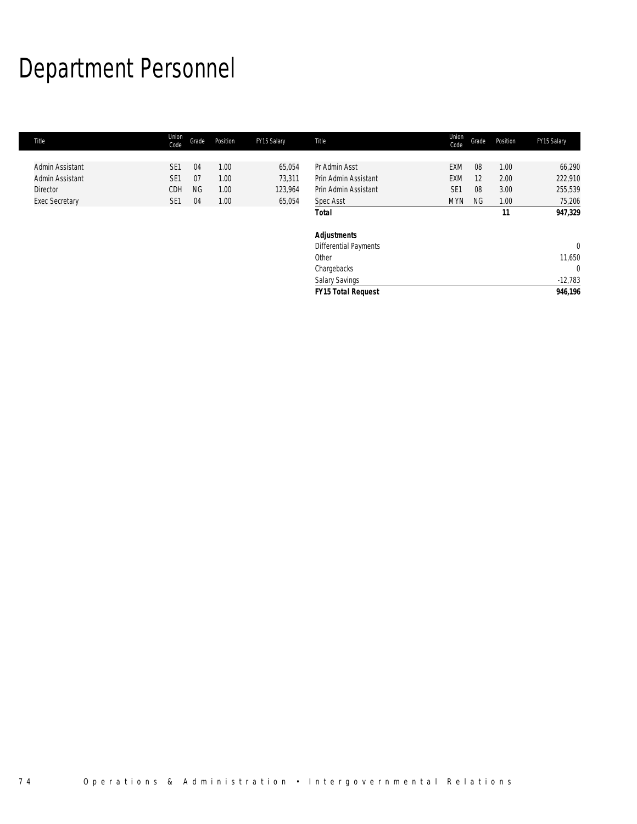## Department Personnel

| Title                 | Union<br>Code   | Grade     | Position | FY15 Salary | Title                     | Union<br>Code   | Grade | Position | FY15 Salary  |
|-----------------------|-----------------|-----------|----------|-------------|---------------------------|-----------------|-------|----------|--------------|
|                       |                 |           |          |             |                           |                 |       |          |              |
| Admin Assistant       | SE <sub>1</sub> | 04        | 1.00     | 65,054      | Pr Admin Asst             | <b>EXM</b>      | 08    | 1.00     | 66,290       |
| Admin Assistant       | SE <sub>1</sub> | 07        | 1.00     | 73,311      | Prin Admin Assistant      | <b>EXM</b>      | 12    | 2.00     | 222,910      |
| Director              | CDH             | <b>NG</b> | 1.00     | 123,964     | Prin Admin Assistant      | SE <sub>1</sub> | 08    | 3.00     | 255,539      |
| <b>Exec Secretary</b> | SE <sub>1</sub> | 04        | 1.00     | 65,054      | Spec Asst                 | <b>MYN</b>      | NG.   | 1.00     | 75,206       |
|                       |                 |           |          |             | Total                     |                 |       | 11       | 947,329      |
|                       |                 |           |          |             | Adjustments               |                 |       |          |              |
|                       |                 |           |          |             | Differential Payments     |                 |       |          | $\mathbf{0}$ |
|                       |                 |           |          |             | Other                     |                 |       |          | 11,650       |
|                       |                 |           |          |             | Chargebacks               |                 |       |          | $\mathbf 0$  |
|                       |                 |           |          |             | Salary Savings            |                 |       |          | $-12,783$    |
|                       |                 |           |          |             | <b>FY15 Total Request</b> |                 |       |          | 946,196      |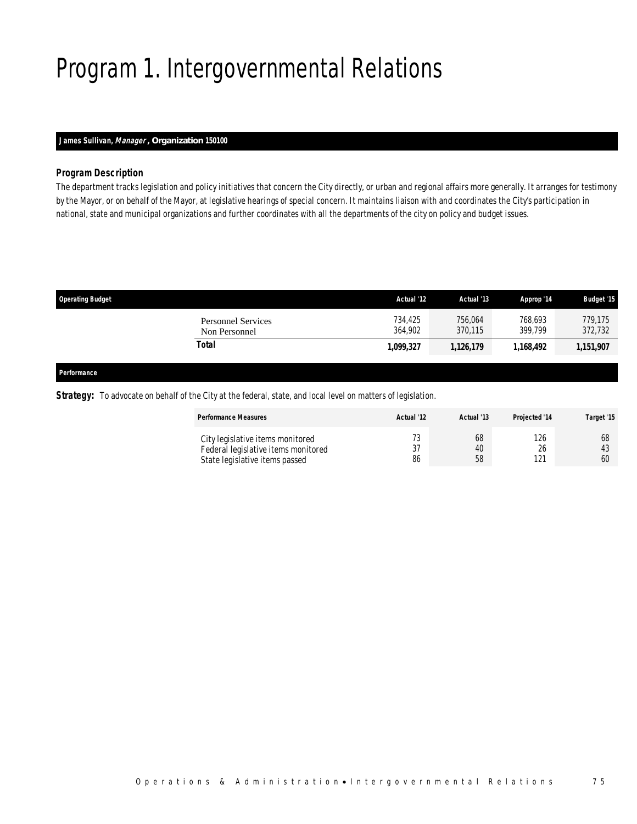# Program 1. Intergovernmental Relations

### *James Sullivan, Manager , Organization 150100*

### *Program Description*

The department tracks legislation and policy initiatives that concern the City directly, or urban and regional affairs more generally. It arranges for testimony by the Mayor, or on behalf of the Mayor, at legislative hearings of special concern. It maintains liaison with and coordinates the City's participation in national, state and municipal organizations and further coordinates with all the departments of the city on policy and budget issues.

| <b>Operating Budget</b>                    | Actual '12         | Actual '13         | Approp '14         | <b>Budget '15</b>  |
|--------------------------------------------|--------------------|--------------------|--------------------|--------------------|
| <b>Personnel Services</b><br>Non Personnel | 734.425<br>364.902 | 756.064<br>370.115 | 768.693<br>399.799 | 779,175<br>372,732 |
| Total                                      | 1,099,327          | 1,126,179          | 1,168,492          | 1,151,907          |
|                                            |                    |                    |                    |                    |

*Performance* 

**Strategy:** To advocate on behalf of the City at the federal, state, and local level on matters of legislation.

| <b>Performance Measures</b>                                                                               | Actual '12 | Actual '13     | Projected '14    | Target '15     |
|-----------------------------------------------------------------------------------------------------------|------------|----------------|------------------|----------------|
| City legislative items monitored<br>Federal legislative items monitored<br>State legislative items passed | ΄3<br>86   | 68<br>40<br>58 | 126<br>26<br>171 | 68<br>43<br>60 |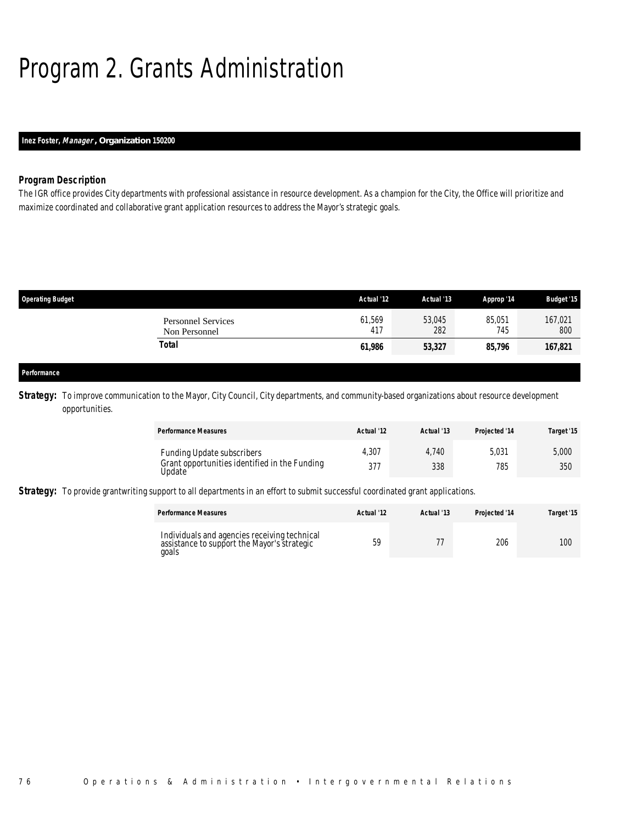## Program 2. Grants Administration

### *Inez Foster, Manager , Organization 150200*

### *Program Description*

The IGR office provides City departments with professional assistance in resource development. As a champion for the City, the Office will prioritize and maximize coordinated and collaborative grant application resources to address the Mayor's strategic goals.

| <b>Operating Budget</b>                    | Actual '12    | Actual '13    | Approp '14    | <b>Budget '15</b> |
|--------------------------------------------|---------------|---------------|---------------|-------------------|
| <b>Personnel Services</b><br>Non Personnel | 61,569<br>417 | 53,045<br>282 | 85,051<br>745 | 167,021<br>800    |
| Total                                      | 61,986        | 53,327        | 85,796        | 167,821           |
|                                            |               |               |               |                   |
| Performance                                |               |               |               |                   |

**Strategy:** To improve communication to the Mayor, City Council, City departments, and community-based organizations about resource development opportunities.

| <b>Performance Measures</b>                                                                         | Actual '12   | Actual '13   | <b>Projected '14</b> | Target '15   |
|-----------------------------------------------------------------------------------------------------|--------------|--------------|----------------------|--------------|
| <b>Funding Update subscribers</b><br>Grant opportunities identified in the Funding<br><b>Update</b> | 4.307<br>377 | 4.740<br>338 | 5.031<br>785         | 5,000<br>350 |

**Strategy:** To provide grantwriting support to all departments in an effort to submit successful coordinated grant applications.

| <b>Performance Measures</b>                                                                          | Actual '12 | Actual '13 | <b>Projected '14</b> | Target '15 |
|------------------------------------------------------------------------------------------------------|------------|------------|----------------------|------------|
| Individuals and agencies receiving technical<br>assistance to support the Mayor's strategic<br>goals | 59         |            | 206                  | 100        |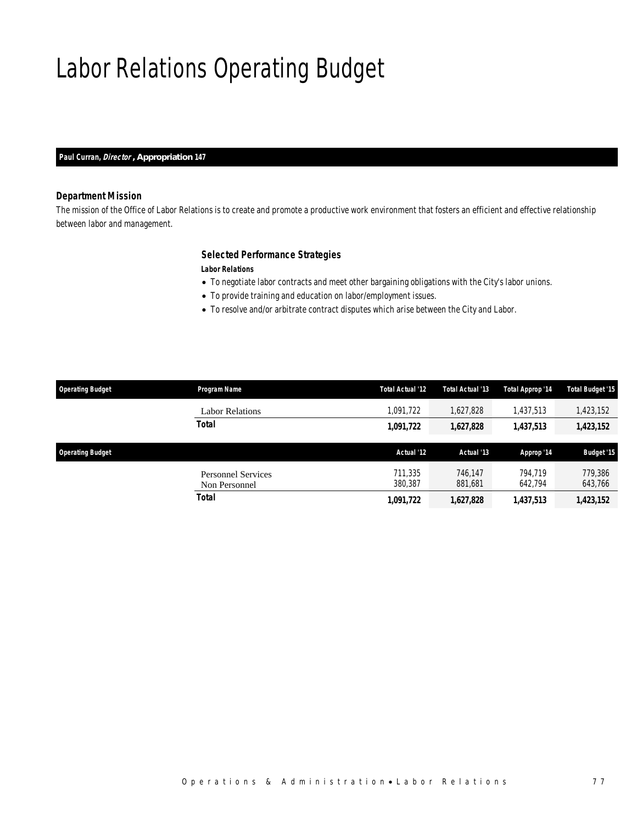## Labor Relations Operating Budget

### *Paul Curran, Director , Appropriation 147*

#### *Department Mission*

The mission of the Office of Labor Relations is to create and promote a productive work environment that fosters an efficient and effective relationship between labor and management.

### *Selected Performance Strategies*

*Labor Relations* 

- To negotiate labor contracts and meet other bargaining obligations with the City's labor unions.
- To provide training and education on labor/employment issues.
- To resolve and/or arbitrate contract disputes which arise between the City and Labor.

| <b>Operating Budget</b> | Program Name                               | Total Actual '12   | Total Actual '13   | Total Approp '14   | <b>Total Budget '15</b> |
|-------------------------|--------------------------------------------|--------------------|--------------------|--------------------|-------------------------|
|                         | <b>Labor Relations</b>                     | 1,091,722          | 1,627,828          | 1,437,513          | 1,423,152               |
|                         | Total                                      | 1,091,722          | 1,627,828          | 1,437,513          | 1,423,152               |
| <b>Operating Budget</b> |                                            | Actual '12         | Actual '13         | Approp '14         | <b>Budget '15</b>       |
|                         | <b>Personnel Services</b><br>Non Personnel | 711,335<br>380.387 | 746.147<br>881.681 | 794.719<br>642.794 | 779,386<br>643,766      |
|                         | Total                                      | 1,091,722          | 1,627,828          | 1,437,513          | 1,423,152               |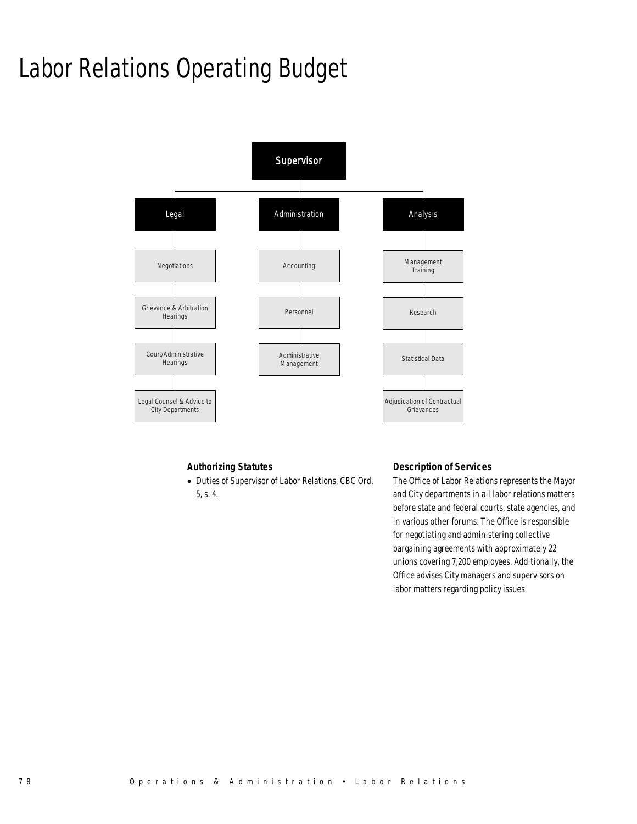## Labor Relations Operating Budget



### *Authorizing Statutes*

- Duties of Supervisor of Labor Relations, CBC Ord.
	- 5, s. 4.

### *Description of Services*

The Office of Labor Relations represents the Mayor and City departments in all labor relations matters before state and federal courts, state agencies, and in various other forums. The Office is responsible for negotiating and administering collective bargaining agreements with approximately 22 unions covering 7,200 employees. Additionally, the Office advises City managers and supervisors on labor matters regarding policy issues.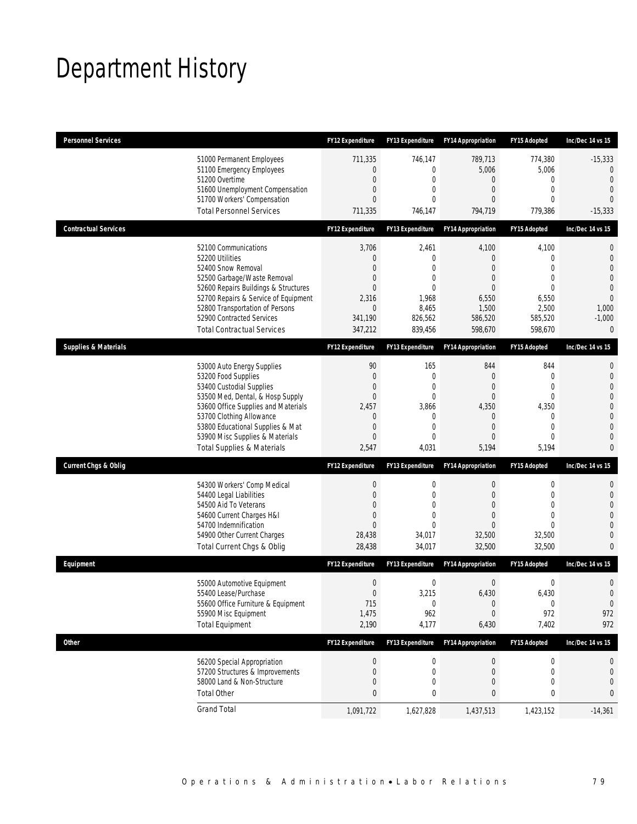## Department History

| <b>Personnel Services</b>       |                                                                                                                                                                                                                                                                                                      | <b>FY12 Expenditure</b>                                                                                     | <b>FY13 Expenditure</b>                                                                                          | <b>FY14 Appropriation</b>                                                                                            | FY15 Adopted                                                                                                      | Inc/Dec 14 vs 15                                                                                                      |
|---------------------------------|------------------------------------------------------------------------------------------------------------------------------------------------------------------------------------------------------------------------------------------------------------------------------------------------------|-------------------------------------------------------------------------------------------------------------|------------------------------------------------------------------------------------------------------------------|----------------------------------------------------------------------------------------------------------------------|-------------------------------------------------------------------------------------------------------------------|-----------------------------------------------------------------------------------------------------------------------|
|                                 | 51000 Permanent Employees<br>51100 Emergency Employees<br>51200 Overtime<br>51600 Unemployment Compensation<br>51700 Workers' Compensation<br><b>Total Personnel Services</b>                                                                                                                        | 711,335<br>$\overline{0}$<br>$\boldsymbol{0}$<br>$\overline{0}$<br>$\overline{0}$<br>711,335                | 746,147<br>0<br>$\mathbf 0$<br>0<br>$\Omega$<br>746,147                                                          | 789,713<br>5,006<br>0<br>$\overline{0}$<br>$\overline{0}$<br>794,719                                                 | 774,380<br>5,006<br>$\mathbf{0}$<br>$\mathbf{0}$<br>$\theta$<br>779,386                                           | $-15,333$<br>$\theta$<br>$\Omega$<br>$\mathbf{0}$<br>$\Omega$<br>$-15,333$                                            |
| <b>Contractual Services</b>     |                                                                                                                                                                                                                                                                                                      | <b>FY12 Expenditure</b>                                                                                     | FY13 Expenditure                                                                                                 | <b>FY14 Appropriation</b>                                                                                            | FY15 Adopted                                                                                                      | Inc/Dec 14 vs 15                                                                                                      |
|                                 | 52100 Communications<br>52200 Utilities<br>52400 Snow Removal<br>52500 Garbage/Waste Removal<br>52600 Repairs Buildings & Structures<br>52700 Repairs & Service of Equipment<br>52800 Transportation of Persons<br>52900 Contracted Services<br><b>Total Contractual Services</b>                    | 3,706<br>$\mathbf 0$<br>$\Omega$<br>0<br>$\overline{0}$<br>2,316<br>$\mathbf 0$<br>341,190<br>347,212       | 2,461<br>0<br>$\Omega$<br>$\mathbf 0$<br>$\theta$<br>1,968<br>8,465<br>826,562<br>839,456                        | 4,100<br>0<br>$\overline{0}$<br>$\mathbf 0$<br>$\overline{0}$<br>6,550<br>1,500<br>586,520<br>598,670                | 4,100<br>$\mathbf{0}$<br>$\theta$<br>$\mathbf{0}$<br>$\theta$<br>6,550<br>2,500<br>585,520<br>598,670             | 0<br>$\mathbf 0$<br>$\overline{0}$<br>$\Omega$<br>$\mathbf{0}$<br>$\overline{0}$<br>1,000<br>$-1,000$<br>$\mathbf{0}$ |
| <b>Supplies &amp; Materials</b> |                                                                                                                                                                                                                                                                                                      | <b>FY12 Expenditure</b>                                                                                     | <b>FY13 Expenditure</b>                                                                                          | <b>FY14 Appropriation</b>                                                                                            | FY15 Adopted                                                                                                      | Inc/Dec 14 vs 15                                                                                                      |
|                                 | 53000 Auto Energy Supplies<br>53200 Food Supplies<br>53400 Custodial Supplies<br>53500 Med, Dental, & Hosp Supply<br>53600 Office Supplies and Materials<br>53700 Clothing Allowance<br>53800 Educational Supplies & Mat<br>53900 Misc Supplies & Materials<br><b>Total Supplies &amp; Materials</b> | 90<br>$\mathbf 0$<br>$\overline{0}$<br>$\mathbf{0}$<br>2,457<br>$\mathbf 0$<br>0<br>$\overline{0}$<br>2,547 | 165<br>$\mathbf 0$<br>$\mathbf 0$<br>$\overline{0}$<br>3,866<br>$\mathbf{0}$<br>$\mathbf 0$<br>$\Omega$<br>4,031 | 844<br>$\overline{0}$<br>$\overline{0}$<br>$\overline{0}$<br>4,350<br>0<br>$\overline{0}$<br>$\overline{0}$<br>5,194 | 844<br>$\mathbf{0}$<br>$\mathbf{0}$<br>$\mathbf{0}$<br>4,350<br>$\mathbf{0}$<br>$\theta$<br>$\mathbf{0}$<br>5,194 | 0<br>$\mathbf{0}$<br>$\overline{0}$<br>$\Omega$<br>$\overline{0}$<br>$\Omega$<br>$\Omega$<br>$\Omega$<br>$\Omega$     |
| <b>Current Chgs &amp; Oblig</b> |                                                                                                                                                                                                                                                                                                      | <b>FY12 Expenditure</b>                                                                                     | FY13 Expenditure                                                                                                 | <b>FY14 Appropriation</b>                                                                                            | FY15 Adopted                                                                                                      | Inc/Dec 14 vs 15                                                                                                      |
|                                 | 54300 Workers' Comp Medical<br>54400 Legal Liabilities<br>54500 Aid To Veterans<br>54600 Current Charges H&I<br>54700 Indemnification<br>54900 Other Current Charges<br>Total Current Chgs & Oblig                                                                                                   | $\boldsymbol{0}$<br>$\boldsymbol{0}$<br>$\overline{0}$<br>$\mathbf 0$<br>$\mathbf{0}$<br>28,438<br>28,438   | $\mathbf 0$<br>$\mathbf 0$<br>0<br>$\mathbf{0}$<br>$\Omega$<br>34,017<br>34,017                                  | 0<br>$\mathbf 0$<br>$\overline{0}$<br>$\overline{0}$<br>$\overline{0}$<br>32,500<br>32,500                           | $\mathbf 0$<br>$\mathbf{0}$<br>$\theta$<br>$\theta$<br>$\Omega$<br>32,500<br>32,500                               | 0<br>$\mathbf{0}$<br>$\overline{0}$<br>$\Omega$<br>$\Omega$<br>$\Omega$<br>$\Omega$                                   |
| Equipment                       |                                                                                                                                                                                                                                                                                                      | <b>FY12 Expenditure</b>                                                                                     | <b>FY13 Expenditure</b>                                                                                          | <b>FY14 Appropriation</b>                                                                                            | FY15 Adopted                                                                                                      | Inc/Dec 14 vs 15                                                                                                      |
|                                 | 55000 Automotive Equipment<br>55400 Lease/Purchase<br>55600 Office Furniture & Equipment<br>55900 Misc Equipment<br><b>Total Equipment</b>                                                                                                                                                           | $\boldsymbol{0}$<br>$\mathbf{0}$<br>715<br>1,475<br>2,190                                                   | 0<br>3,215<br>0<br>962<br>4,177                                                                                  | $\mathbf 0$<br>6,430<br>$\boldsymbol{0}$<br>$\boldsymbol{0}$<br>6,430                                                | $\mathbf 0$<br>6,430<br>$\boldsymbol{0}$<br>972<br>7,402                                                          | 0<br>$\mathbf{0}$<br>$\mathbf 0$<br>972<br>972                                                                        |
| <b>Other</b>                    |                                                                                                                                                                                                                                                                                                      | FY12 Expenditure                                                                                            | FY13 Expenditure                                                                                                 | <b>FY14 Appropriation</b>                                                                                            | FY15 Adopted                                                                                                      | Inc/Dec 14 vs 15                                                                                                      |
|                                 | 56200 Special Appropriation<br>57200 Structures & Improvements<br>58000 Land & Non-Structure<br><b>Total Other</b>                                                                                                                                                                                   | $\boldsymbol{0}$<br>$\boldsymbol{0}$<br>0<br>$\bf{0}$                                                       | 0<br>0<br>0<br>0                                                                                                 | $\pmb{0}$<br>0<br>0<br>0                                                                                             | $\boldsymbol{0}$<br>$\mathbf 0$<br>$\mathbf{0}$<br>0                                                              | 0<br>0<br>$\mathbf 0$<br>0                                                                                            |
|                                 | <b>Grand Total</b>                                                                                                                                                                                                                                                                                   | 1,091,722                                                                                                   | 1,627,828                                                                                                        | 1,437,513                                                                                                            | 1,423,152                                                                                                         | $-14,361$                                                                                                             |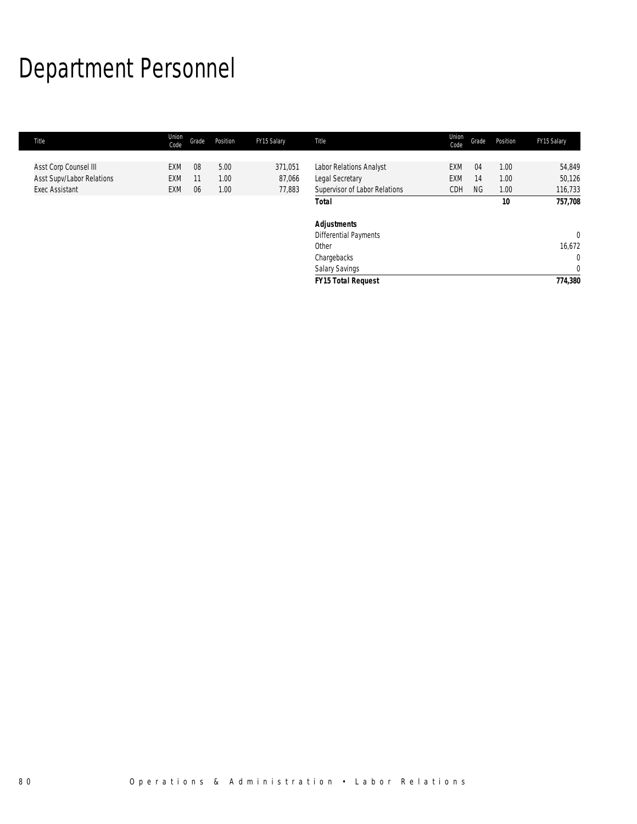## Department Personnel

| Title                            | Union<br>Code | Grade | Position | FY15 Salary | Title                         | Union<br>Code | Grade     | Position | FY15 Salary  |
|----------------------------------|---------------|-------|----------|-------------|-------------------------------|---------------|-----------|----------|--------------|
|                                  |               |       |          |             |                               |               |           |          |              |
| Asst Corp Counsel III            | <b>EXM</b>    | 08    | 5.00     | 371,051     | Labor Relations Analyst       | <b>EXM</b>    | 04        | 1.00     | 54,849       |
| <b>Asst Supv/Labor Relations</b> | EXM           | - 11  | 1.00     | 87,066      | Legal Secretary               | <b>EXM</b>    | 14        | 1.00     | 50,126       |
| <b>Exec Assistant</b>            | EXM           | 06    | 1.00     | 77,883      | Supervisor of Labor Relations | CDH           | <b>NG</b> | 1.00     | 116,733      |
|                                  |               |       |          |             | <b>Total</b>                  |               |           | 10       | 757,708      |
|                                  |               |       |          |             | <b>Adjustments</b>            |               |           |          |              |
|                                  |               |       |          |             | Differential Payments         |               |           |          | $\mathbf{0}$ |
|                                  |               |       |          |             | Other                         |               |           |          | 16,672       |
|                                  |               |       |          |             | Chargebacks                   |               |           |          | $\mathbf 0$  |
|                                  |               |       |          |             | Salary Savings                |               |           |          | $\mathbf 0$  |
|                                  |               |       |          |             | <b>FY15 Total Request</b>     |               |           |          | 774,380      |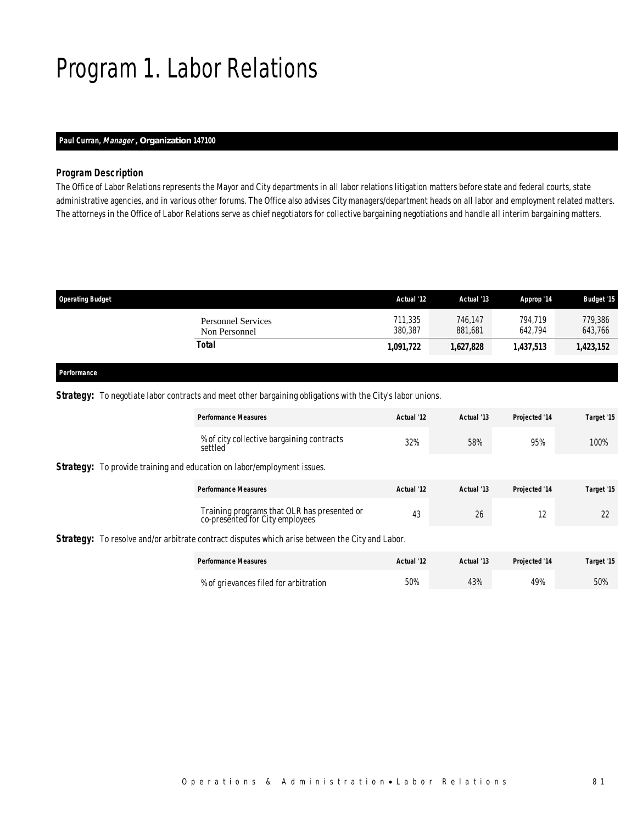## Program 1. Labor Relations

### *Paul Curran, Manager , Organization 147100*

### *Program Description*

The Office of Labor Relations represents the Mayor and City departments in all labor relations litigation matters before state and federal courts, state administrative agencies, and in various other forums. The Office also advises City managers/department heads on all labor and employment related matters. The attorneys in the Office of Labor Relations serve as chief negotiators for collective bargaining negotiations and handle all interim bargaining matters.

| <b>Operating Budget</b>                    | Actual '12         | Actual '13         | Approp '14         | <b>Budget '15</b>  |
|--------------------------------------------|--------------------|--------------------|--------------------|--------------------|
| <b>Personnel Services</b><br>Non Personnel | 711,335<br>380,387 | 746.147<br>881,681 | 794.719<br>642.794 | 779,386<br>643,766 |
| Total                                      | 1,091,722          | 1,627,828          | 1,437,513          | 1,423,152          |
|                                            |                    |                    |                    |                    |

### *Performance*

**Strategy:** To negotiate labor contracts and meet other bargaining obligations with the City's labor unions.

|  | <b>Performance Measures</b>                                                                            | Actual '12 | Actual '13 | Projected '14 | Target '15 |
|--|--------------------------------------------------------------------------------------------------------|------------|------------|---------------|------------|
|  | % of city collective bargaining contracts<br>settled                                                   | 32%        | 58%        | 95%           | 100%       |
|  | <b>Strategy:</b> To provide training and education on labor/employment issues.                         |            |            |               |            |
|  | <b>Performance Measures</b>                                                                            | Actual '12 | Actual '13 | Projected '14 | Target '15 |
|  | Training programs that OLR has presented or<br>co-presented for City employees                         | 43         | 26         | 12            | 22         |
|  | <b>Strategy:</b> To resolve and/or arbitrate contract disputes which arise between the City and Labor. |            |            |               |            |

| <b>Performance Measures</b>           | Actual '12 | Actual '13 | Projected '14 | Target '15 |
|---------------------------------------|------------|------------|---------------|------------|
| % of grievances filed for arbitration | 50%        | 43%        | 49%           | 50%        |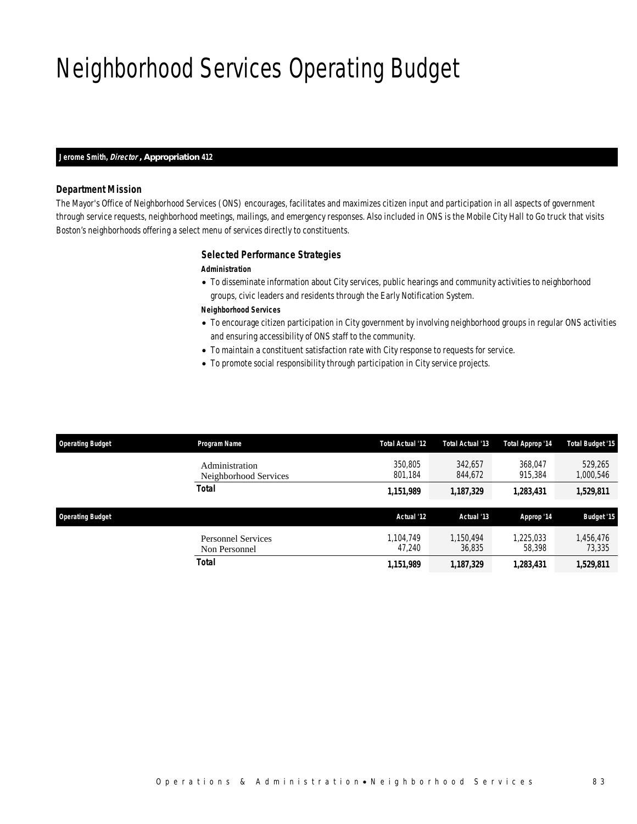## Neighborhood Services Operating Budget

#### *Jerome Smith, Director , Appropriation 412*

### *Department Mission*

The Mayor's Office of Neighborhood Services (ONS) encourages, facilitates and maximizes citizen input and participation in all aspects of government through service requests, neighborhood meetings, mailings, and emergency responses. Also included in ONS is the Mobile City Hall to Go truck that visits Boston's neighborhoods offering a select menu of services directly to constituents.

#### *Selected Performance Strategies*

#### *Administration*

• To disseminate information about City services, public hearings and community activities to neighborhood groups, civic leaders and residents through the Early Notification System.

#### *Neighborhood Services*

- To encourage citizen participation in City government by involving neighborhood groups in regular ONS activities and ensuring accessibility of ONS staff to the community.
- To maintain a constituent satisfaction rate with City response to requests for service.
- To promote social responsibility through participation in City service projects.

| <b>Operating Budget</b> | Program Name                               | Total Actual '12    | Total Actual '13    | Total Approp '14    | <b>Total Budget '15</b> |
|-------------------------|--------------------------------------------|---------------------|---------------------|---------------------|-------------------------|
|                         | Administration<br>Neighborhood Services    | 350,805<br>801.184  | 342,657<br>844,672  | 368.047<br>915,384  | 529.265<br>1,000,546    |
|                         | <b>Total</b>                               | 1,151,989           | 1,187,329           | 1,283,431           | 1,529,811               |
| <b>Operating Budget</b> |                                            | Actual '12          | Actual '13          | Approp '14          | <b>Budget '15</b>       |
|                         | <b>Personnel Services</b><br>Non Personnel | 1.104.749<br>47.240 | 1.150.494<br>36,835 | 1,225,033<br>58,398 | 1,456,476<br>73,335     |
|                         | <b>Total</b>                               | 1,151,989           | 1,187,329           | 1,283,431           | 1,529,811               |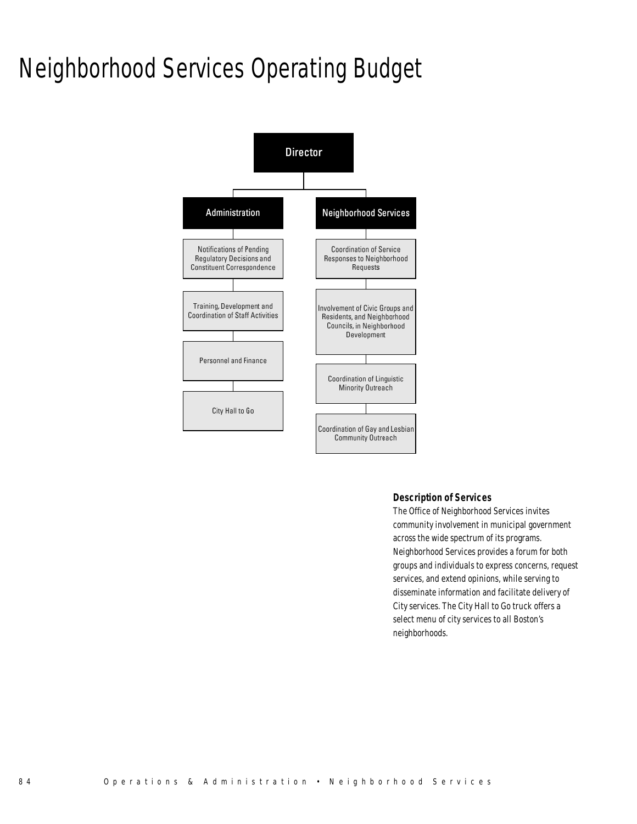## Neighborhood Services Operating Budget



### *Description of Services*

The Office of Neighborhood Services invites community involvement in municipal government across the wide spectrum of its programs. Neighborhood Services provides a forum for both groups and individuals to express concerns, request services, and extend opinions, while serving to disseminate information and facilitate delivery of City services. The City Hall to Go truck offers a select menu of city services to all Boston's neighborhoods.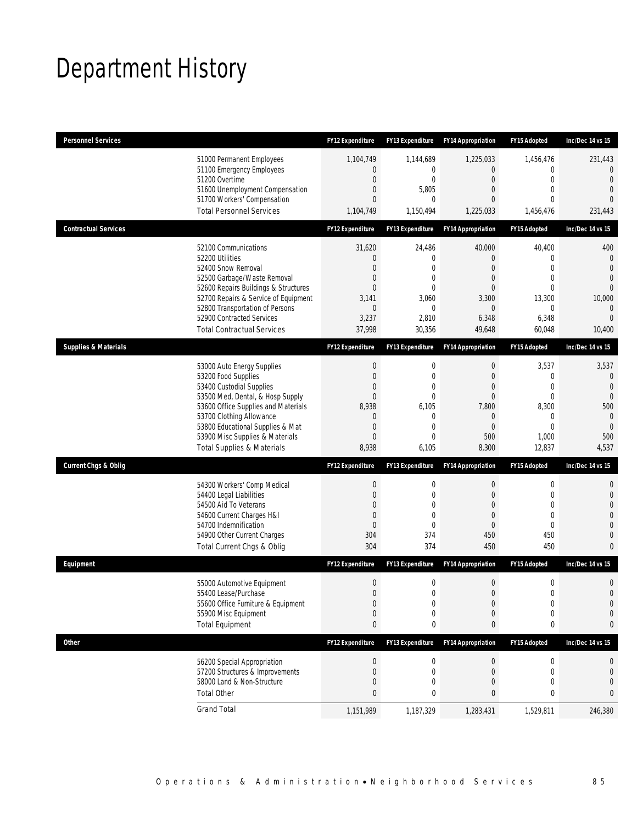## Department History

| <b>Personnel Services</b>       |                                                                                                                                                                                                                                                                                                      | <b>FY12 Expenditure</b>                                                        | <b>FY13 Expenditure</b>                                                                             | <b>FY14 Appropriation</b>                                                                                  | FY15 Adopted                                                                                             | Inc/Dec 14 vs 15                                                                                                         |
|---------------------------------|------------------------------------------------------------------------------------------------------------------------------------------------------------------------------------------------------------------------------------------------------------------------------------------------------|--------------------------------------------------------------------------------|-----------------------------------------------------------------------------------------------------|------------------------------------------------------------------------------------------------------------|----------------------------------------------------------------------------------------------------------|--------------------------------------------------------------------------------------------------------------------------|
|                                 | 51000 Permanent Employees<br>51100 Emergency Employees<br>51200 Overtime<br>51600 Unemployment Compensation<br>51700 Workers' Compensation<br><b>Total Personnel Services</b>                                                                                                                        | 1,104,749<br>0<br>0<br>0<br>0<br>1,104,749                                     | 1,144,689<br>0<br>$\overline{0}$<br>5,805<br>0<br>1,150,494                                         | 1,225,033<br>0<br>$\boldsymbol{0}$<br>0<br>0<br>1,225,033                                                  | 1,456,476<br>$\mathbf 0$<br>$\mathbf 0$<br>$\mathbf{0}$<br>$\Omega$<br>1,456,476                         | 231,443<br>$\mathbf{0}$<br>$\overline{0}$<br>$\overline{0}$<br>$\Omega$<br>231,443                                       |
| <b>Contractual Services</b>     |                                                                                                                                                                                                                                                                                                      | <b>FY12 Expenditure</b>                                                        | FY13 Expenditure                                                                                    | <b>FY14 Appropriation</b>                                                                                  | FY15 Adopted                                                                                             | Inc/Dec 14 vs 15                                                                                                         |
|                                 | 52100 Communications<br>52200 Utilities<br>52400 Snow Removal<br>52500 Garbage/Waste Removal<br>52600 Repairs Buildings & Structures<br>52700 Repairs & Service of Equipment<br>52800 Transportation of Persons<br>52900 Contracted Services<br><b>Total Contractual Services</b>                    | 31,620<br>0<br>0<br>0<br>0<br>3,141<br>0<br>3,237<br>37,998                    | 24,486<br>0<br>0<br>0<br>0<br>3,060<br>$\mathbf{0}$<br>2,810<br>30,356                              | 40,000<br>$\mathbf{0}$<br>0<br>0<br>0<br>3,300<br>$\mathbf 0$<br>6,348<br>49,648                           | 40,400<br>$\mathbf{0}$<br>$\mathbf{0}$<br>$\mathbf{0}$<br>$\mathbf{0}$<br>13,300<br>0<br>6,348<br>60,048 | 400<br>$\mathbf 0$<br>$\overline{0}$<br>$\overline{0}$<br>$\overline{0}$<br>10,000<br>$\mathbf{0}$<br>$\Omega$<br>10,400 |
| <b>Supplies &amp; Materials</b> |                                                                                                                                                                                                                                                                                                      | FY12 Expenditure                                                               | <b>FY13 Expenditure</b>                                                                             | <b>FY14 Appropriation</b>                                                                                  | FY15 Adopted                                                                                             | Inc/Dec 14 vs 15                                                                                                         |
|                                 | 53000 Auto Energy Supplies<br>53200 Food Supplies<br>53400 Custodial Supplies<br>53500 Med, Dental, & Hosp Supply<br>53600 Office Supplies and Materials<br>53700 Clothing Allowance<br>53800 Educational Supplies & Mat<br>53900 Misc Supplies & Materials<br><b>Total Supplies &amp; Materials</b> | 0<br>0<br>0<br>$\overline{0}$<br>8,938<br>0<br>0<br>0<br>8,938                 | 0<br>$\overline{0}$<br>0<br>$\overline{0}$<br>6,105<br>$\mathbf{0}$<br>$\overline{0}$<br>0<br>6,105 | $\mathbf 0$<br>$\mathbf{0}$<br>0<br>$\mathbf{0}$<br>7,800<br>$\mathbf 0$<br>$\overline{0}$<br>500<br>8,300 | 3,537<br>0<br>$\mathbf{0}$<br>$\mathbf{0}$<br>8,300<br>0<br>$\mathbf{0}$<br>1,000<br>12,837              | 3,537<br>$\mathbf 0$<br>$\overline{0}$<br>$\overline{0}$<br>500<br>$\mathbf{0}$<br>$\overline{0}$<br>500<br>4,537        |
| <b>Current Chgs &amp; Oblig</b> |                                                                                                                                                                                                                                                                                                      | FY12 Expenditure                                                               | FY13 Expenditure                                                                                    | <b>FY14 Appropriation</b>                                                                                  | <b>FY15 Adopted</b>                                                                                      | Inc/Dec 14 vs 15                                                                                                         |
|                                 | 54300 Workers' Comp Medical<br>54400 Legal Liabilities<br>54500 Aid To Veterans<br>54600 Current Charges H&I<br>54700 Indemnification<br>54900 Other Current Charges<br>Total Current Chgs & Oblig                                                                                                   | 0<br>$\boldsymbol{0}$<br>0<br>$\boldsymbol{0}$<br>$\overline{0}$<br>304<br>304 | 0<br>$\overline{0}$<br>0<br>$\overline{0}$<br>$\overline{0}$<br>374<br>374                          | $\mathbf 0$<br>$\overline{0}$<br>0<br>$\overline{0}$<br>$\overline{0}$<br>450<br>450                       | 0<br>$\mathbf 0$<br>$\mathbf{0}$<br>$\mathbf 0$<br>$\mathbf{0}$<br>450<br>450                            | $\mathbf 0$<br>$\mathbf 0$<br>$\overline{0}$<br>$\Omega$<br>$\overline{0}$<br>$\overline{0}$<br>$\overline{0}$           |
| Equipment                       |                                                                                                                                                                                                                                                                                                      | <b>FY12 Expenditure</b>                                                        | <b>FY13 Expenditure</b>                                                                             | <b>FY14 Appropriation</b>                                                                                  | FY15 Adopted                                                                                             | Inc/Dec 14 vs 15                                                                                                         |
|                                 | 55000 Automotive Equipment<br>55400 Lease/Purchase<br>55600 Office Furniture & Equipment<br>55900 Misc Equipment<br><b>Total Equipment</b>                                                                                                                                                           | $\boldsymbol{0}$<br>$\overline{0}$<br>0<br>0<br>0                              | 0<br>0<br>$\boldsymbol{0}$<br>0<br>0                                                                | $\boldsymbol{0}$<br>$\mathbf{0}$<br>$\boldsymbol{0}$<br>$\boldsymbol{0}$<br>0                              | $\mathbf 0$<br>$\mathbf 0$<br>$\boldsymbol{0}$<br>$\mathbf 0$<br>0                                       | $\mathbf 0$<br>$\overline{0}$<br>$\mathbf 0$<br>$\mathbf 0$<br>0                                                         |
| <b>Other</b>                    |                                                                                                                                                                                                                                                                                                      | <b>FY12 Expenditure</b>                                                        | <b>FY13 Expenditure</b>                                                                             | <b>FY14 Appropriation</b>                                                                                  | FY15 Adopted                                                                                             | Inc/Dec 14 vs 15                                                                                                         |
|                                 | 56200 Special Appropriation<br>57200 Structures & Improvements<br>58000 Land & Non-Structure<br><b>Total Other</b>                                                                                                                                                                                   | 0<br>0<br>0<br>0                                                               | $\boldsymbol{0}$<br>$\mathbf 0$<br>$\mathbf 0$<br>0                                                 | $\bf{0}$<br>$\mathbf 0$<br>0<br>0                                                                          | 0<br>0<br>$\overline{0}$<br>0                                                                            | 0<br>$\mathbf 0$<br>$\mathbf 0$<br>0                                                                                     |
|                                 | <b>Grand Total</b>                                                                                                                                                                                                                                                                                   | 1,151,989                                                                      | 1,187,329                                                                                           | 1,283,431                                                                                                  | 1,529,811                                                                                                | 246,380                                                                                                                  |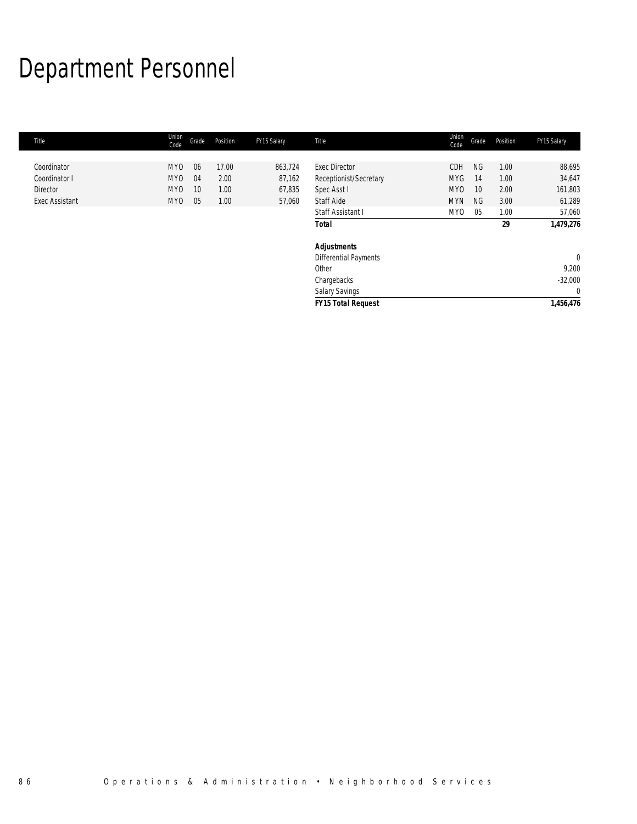## Department Personnel

| Title                 | Union<br>Code | Grade | Position | FY15 Salary | Title                     | Union<br>Code   | Grade     | Position | FY15 Salary    |
|-----------------------|---------------|-------|----------|-------------|---------------------------|-----------------|-----------|----------|----------------|
|                       |               |       |          |             |                           |                 |           |          |                |
| Coordinator           | <b>MYO</b>    | 06    | 17.00    | 863,724     | <b>Exec Director</b>      | CDH             | <b>NG</b> | 1.00     | 88,695         |
| Coordinator I         | MY0           | 04    | 2.00     | 87,162      | Receptionist/Secretary    | <b>MYG</b>      | 14        | 1.00     | 34,647         |
| Director              | MY0           | 10    | 1.00     | 67,835      | Spec Asst I               | MY <sub>0</sub> | 10        | 2.00     | 161,803        |
| <b>Exec Assistant</b> | MY0           | 05    | 1.00     | 57,060      | Staff Aide                | <b>MYN</b>      | <b>NG</b> | 3.00     | 61,289         |
|                       |               |       |          |             | Staff Assistant I         | MY0             | 05        | 1.00     | 57,060         |
|                       |               |       |          |             | <b>Total</b>              |                 |           | 29       | 1,479,276      |
|                       |               |       |          |             | <b>Adjustments</b>        |                 |           |          |                |
|                       |               |       |          |             | Differential Payments     |                 |           |          | $\overline{0}$ |
|                       |               |       |          |             | Other                     |                 |           |          | 9,200          |
|                       |               |       |          |             | Chargebacks               |                 |           |          | $-32,000$      |
|                       |               |       |          |             | <b>Salary Savings</b>     |                 |           |          | $\mathbf 0$    |
|                       |               |       |          |             | <b>FY15 Total Request</b> |                 |           |          | 1,456,476      |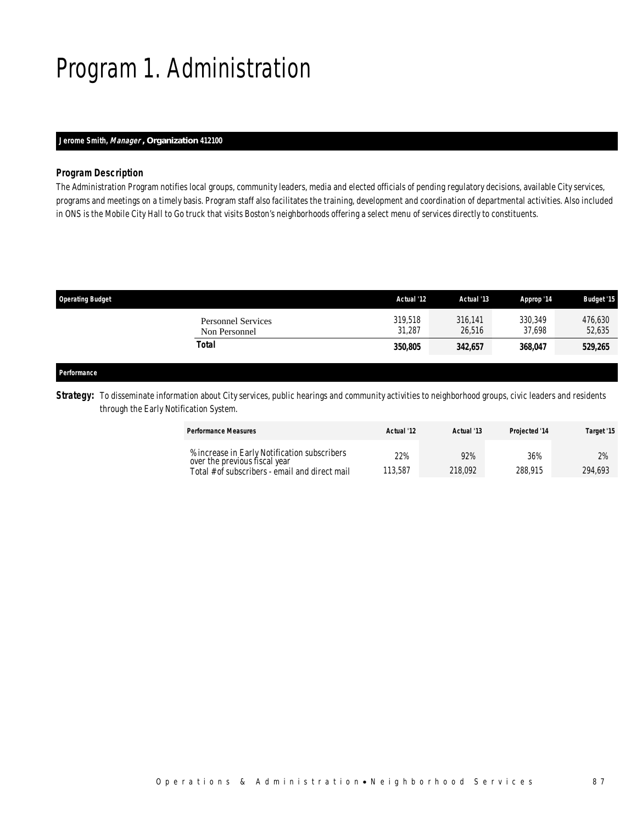## Program 1. Administration

### *Jerome Smith, Manager , Organization 412100*

### *Program Description*

The Administration Program notifies local groups, community leaders, media and elected officials of pending regulatory decisions, available City services, programs and meetings on a timely basis. Program staff also facilitates the training, development and coordination of departmental activities. Also included in ONS is the Mobile City Hall to Go truck that visits Boston's neighborhoods offering a select menu of services directly to constituents.

| <b>Operating Budget</b>                    | Actual '12        | Actual '13        | Approp '14        | <b>Budget '15</b> |
|--------------------------------------------|-------------------|-------------------|-------------------|-------------------|
| <b>Personnel Services</b><br>Non Personnel | 319,518<br>31,287 | 316.141<br>26.516 | 330,349<br>37.698 | 476,630<br>52,635 |
| Total                                      | 350,805           | 342,657           | 368,047           | 529,265           |
|                                            |                   |                   |                   |                   |

### *Performance*

**Strategy:** To disseminate information about City services, public hearings and community activities to neighborhood groups, civic leaders and residents through the Early Notification System.

| <b>Performance Measures</b>                                                                                                     | Actual '12     | Actual '13     | <b>Projected '14</b> | Target '15    |
|---------------------------------------------------------------------------------------------------------------------------------|----------------|----------------|----------------------|---------------|
| % increase in Early Notification subscribers<br>over the previous fiscal year<br>Total # of subscribers - email and direct mail | 22%<br>113.587 | 92%<br>218,092 | 36%<br>288.915       | 2%<br>294.693 |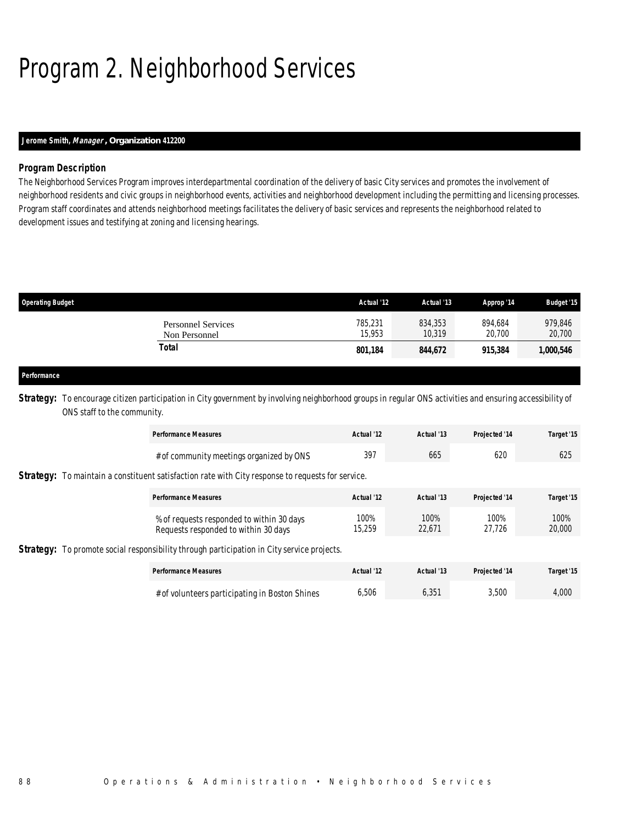# Program 2. Neighborhood Services

## *Jerome Smith, Manager , Organization 412200*

### *Program Description*

The Neighborhood Services Program improves interdepartmental coordination of the delivery of basic City services and promotes the involvement of neighborhood residents and civic groups in neighborhood events, activities and neighborhood development including the permitting and licensing processes. Program staff coordinates and attends neighborhood meetings facilitates the delivery of basic services and represents the neighborhood related to development issues and testifying at zoning and licensing hearings.

| <b>Operating Budget</b> |                                            | Actual '12        | Actual '13        | Approp '14        | <b>Budget '15</b> |
|-------------------------|--------------------------------------------|-------------------|-------------------|-------------------|-------------------|
|                         | <b>Personnel Services</b><br>Non Personnel | 785,231<br>15.953 | 834,353<br>10,319 | 894,684<br>20.700 | 979,846<br>20,700 |
|                         | Total                                      | 801,184           | 844,672           | 915,384           | <i>1,000,546</i>  |
| Performance             |                                            |                   |                   |                   |                   |

**Strategy:** To encourage citizen participation in City government by involving neighborhood groups in regular ONS activities and ensuring accessibility of ONS staff to the community.

|  | <b>Performance Measures</b>                                                                              | Actual '12     | Actual '13     | Projected '14  | Target '15     |
|--|----------------------------------------------------------------------------------------------------------|----------------|----------------|----------------|----------------|
|  | # of community meetings organized by ONS                                                                 | 397            | 665            | 620            | 625            |
|  | <b>Strategy:</b> To maintain a constituent satisfaction rate with City response to requests for service. |                |                |                |                |
|  | <b>Performance Measures</b>                                                                              | Actual '12     | Actual '13     | Projected '14  | Target '15     |
|  | % of requests responded to within 30 days<br>Requests responded to within 30 days                        | 100%<br>15.259 | 100%<br>22,671 | 100%<br>27.726 | 100%<br>20,000 |
|  | <b>Strategy:</b> To promote social responsibility through participation in City service projects.        |                |                |                |                |
|  | <b>Performance Measures</b>                                                                              | Actual '12     | Actual '13     | Projected '14  | Target '15     |
|  | # of volunteers participating in Boston Shines                                                           | 6.506          | 6.351          | 3.500          | 4.000          |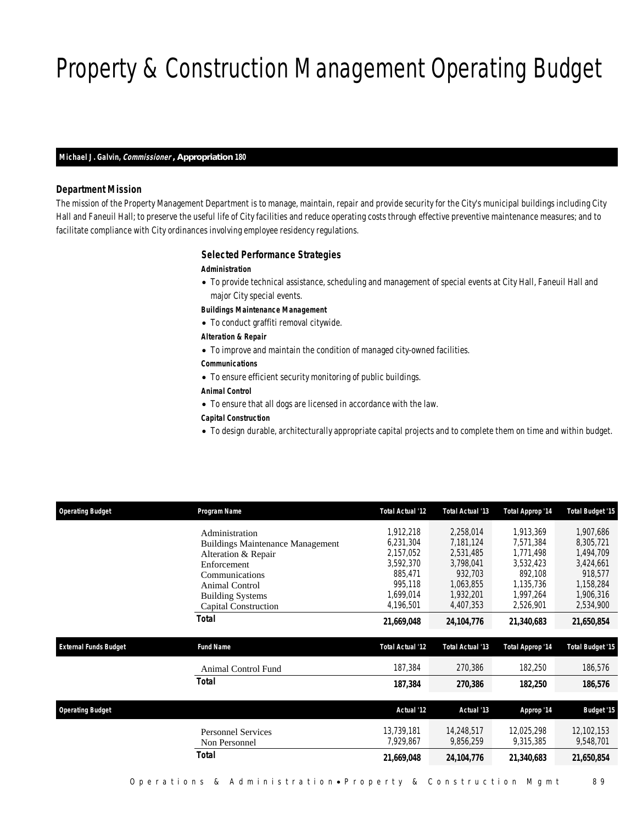## Property & Construction Management Operating Budget

#### *Michael J. Galvin, Commissioner , Appropriation 180*

#### *Department Mission*

The mission of the Property Management Department is to manage, maintain, repair and provide security for the City's municipal buildings including City Hall and Faneuil Hall; to preserve the useful life of City facilities and reduce operating costs through effective preventive maintenance measures; and to facilitate compliance with City ordinances involving employee residency regulations.

#### *Selected Performance Strategies*

#### *Administration*

- To provide technical assistance, scheduling and management of special events at City Hall, Faneuil Hall and major City special events.
- *Buildings Maintenance Management*
- To conduct graffiti removal citywide.

*Alteration & Repair* 

- To improve and maintain the condition of managed city-owned facilities.
- *Communications*
- To ensure efficient security monitoring of public buildings.
- *Animal Control*
- To ensure that all dogs are licensed in accordance with the law.
- *Capital Construction*
- To design durable, architecturally appropriate capital projects and to complete them on time and within budget.

| <b>Operating Budget</b>      | Program Name                            | Total Actual '12        | Total Actual '13 | <b>Total Approp '14</b> | Total Budget '15  |
|------------------------------|-----------------------------------------|-------------------------|------------------|-------------------------|-------------------|
|                              | Administration                          | 1.912.218               | 2.258.014        | 1,913,369               | 1,907,686         |
|                              | <b>Buildings Maintenance Management</b> | 6.231.304               | 7,181,124        | 7.571.384               | 8,305,721         |
|                              | Alteration & Repair                     | 2,157,052               | 2,531,485        | 1,771,498               | 1,494,709         |
|                              | Enforcement                             | 3,592,370               | 3,798,041        | 3,532,423               | 3,424,661         |
|                              | Communications                          | 885.471                 | 932,703          | 892,108                 | 918,577           |
|                              | Animal Control                          | 995.118                 | 1.063.855        | 1.135.736               | 1,158,284         |
|                              | <b>Building Systems</b>                 | 1,699,014               | 1,932,201        | 1,997,264               | 1,906,316         |
|                              | Capital Construction                    | 4,196,501               | 4,407,353        | 2,526,901               | 2,534,900         |
|                              | <b>Total</b>                            | 21,669,048              | 24, 104, 776     | 21,340,683              | 21,650,854        |
| <b>External Funds Budget</b> | <b>Fund Name</b>                        | <b>Total Actual '12</b> | Total Actual '13 | <b>Total Approp '14</b> | Total Budget '15  |
|                              | Animal Control Fund                     | 187,384                 | 270,386          | 182,250                 | 186,576           |
|                              | <b>Total</b>                            |                         |                  |                         |                   |
|                              |                                         | 187,384                 | 270,386          | 182,250                 | 186,576           |
| <b>Operating Budget</b>      |                                         | Actual '12              | Actual '13       | Approp '14              | <b>Budget '15</b> |
|                              | <b>Personnel Services</b>               | 13,739,181              | 14,248,517       | 12,025,298              | 12,102,153        |
|                              | Non Personnel                           | 7,929,867               | 9,856,259        | 9,315,385               | 9,548,701         |
|                              | Total                                   | 21,669,048              | 24, 104, 776     | 21,340,683              | 21,650,854        |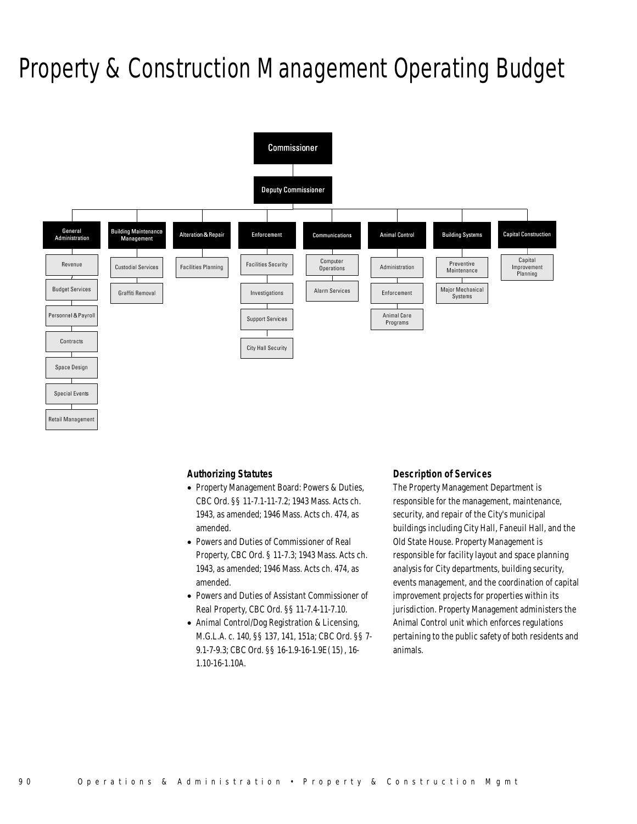## Property & Construction Management Operating Budget



#### *Authorizing Statutes*

- Property Management Board: Powers & Duties, CBC Ord. §§ 11-7.1-11-7.2; 1943 Mass. Acts ch. 1943, as amended; 1946 Mass. Acts ch. 474, as amended.
- Powers and Duties of Commissioner of Real Property, CBC Ord. § 11-7.3; 1943 Mass. Acts ch. 1943, as amended; 1946 Mass. Acts ch. 474, as amended.
- Powers and Duties of Assistant Commissioner of Real Property, CBC Ord. §§ 11-7.4-11-7.10.
- Animal Control/Dog Registration & Licensing, M.G.L.A. c. 140, §§ 137, 141, 151a; CBC Ord. §§ 7- 9.1-7-9.3; CBC Ord. §§ 16-1.9-16-1.9E(15), 16- 1.10-16-1.10A.

### *Description of Services*

The Property Management Department is responsible for the management, maintenance, security, and repair of the City's municipal buildings including City Hall, Faneuil Hall, and the Old State House. Property Management is responsible for facility layout and space planning analysis for City departments, building security, events management, and the coordination of capital improvement projects for properties within its jurisdiction. Property Management administers the Animal Control unit which enforces regulations pertaining to the public safety of both residents and animals.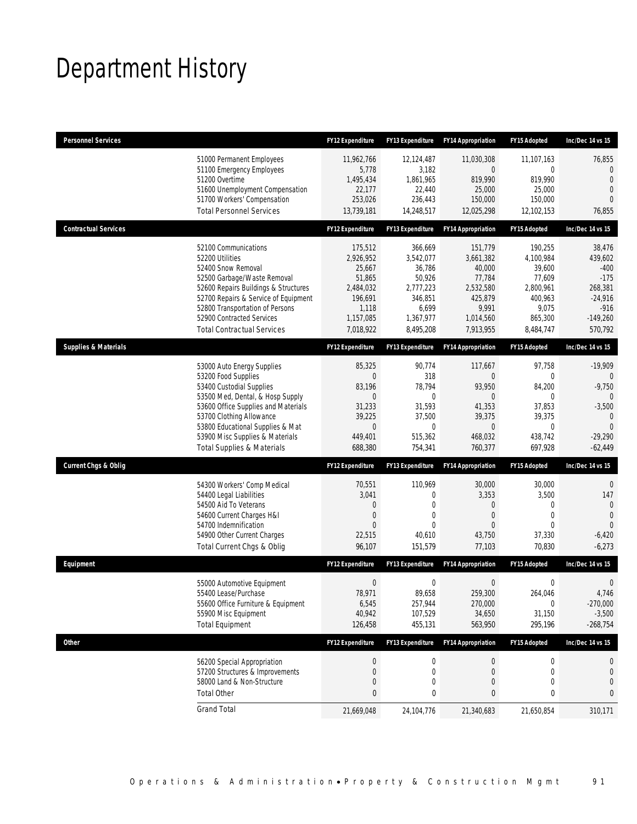## Department History

| <b>Personnel Services</b>       |                                                                                                                                                                                                                                                                                                      | <b>FY12 Expenditure</b>                                                                             | <b>FY13 Expenditure</b>                                                                             | <b>FY14 Appropriation</b>                                                                                       | FY15 Adopted                                                                                             | Inc/Dec 14 vs 15                                                                                                    |
|---------------------------------|------------------------------------------------------------------------------------------------------------------------------------------------------------------------------------------------------------------------------------------------------------------------------------------------------|-----------------------------------------------------------------------------------------------------|-----------------------------------------------------------------------------------------------------|-----------------------------------------------------------------------------------------------------------------|----------------------------------------------------------------------------------------------------------|---------------------------------------------------------------------------------------------------------------------|
|                                 | 51000 Permanent Employees<br>51100 Emergency Employees<br>51200 Overtime<br>51600 Unemployment Compensation<br>51700 Workers' Compensation<br><b>Total Personnel Services</b>                                                                                                                        | 11,962,766<br>5,778<br>1,495,434<br>22,177<br>253,026<br>13,739,181                                 | 12,124,487<br>3,182<br>1,861,965<br>22,440<br>236,443<br>14,248,517                                 | 11,030,308<br>$\mathbf 0$<br>819,990<br>25,000<br>150,000<br>12,025,298                                         | 11,107,163<br>$\mathbf 0$<br>819,990<br>25,000<br>150,000<br>12,102,153                                  | 76,855<br>$\mathbf{0}$<br>$\mathbf{0}$<br>$\overline{0}$<br>$\Omega$<br>76,855                                      |
| <b>Contractual Services</b>     |                                                                                                                                                                                                                                                                                                      | <b>FY12 Expenditure</b>                                                                             | <b>FY13 Expenditure</b>                                                                             | <b>FY14 Appropriation</b>                                                                                       | FY15 Adopted                                                                                             | Inc/Dec 14 vs 15                                                                                                    |
|                                 | 52100 Communications<br>52200 Utilities<br>52400 Snow Removal<br>52500 Garbage/Waste Removal<br>52600 Repairs Buildings & Structures<br>52700 Repairs & Service of Equipment<br>52800 Transportation of Persons<br>52900 Contracted Services<br><b>Total Contractual Services</b>                    | 175,512<br>2,926,952<br>25,667<br>51,865<br>2,484,032<br>196,691<br>1,118<br>1,157,085<br>7,018,922 | 366,669<br>3,542,077<br>36,786<br>50,926<br>2,777,223<br>346,851<br>6,699<br>1,367,977<br>8,495,208 | 151,779<br>3,661,382<br>40,000<br>77,784<br>2,532,580<br>425,879<br>9,991<br>1,014,560<br>7,913,955             | 190,255<br>4,100,984<br>39,600<br>77,609<br>2,800,961<br>400,963<br>9,075<br>865,300<br>8,484,747        | 38,476<br>439,602<br>$-400$<br>$-175$<br>268,381<br>$-24,916$<br>$-916$<br>$-149,260$<br>570,792                    |
| <b>Supplies &amp; Materials</b> |                                                                                                                                                                                                                                                                                                      | <b>FY12 Expenditure</b>                                                                             | <b>FY13 Expenditure</b>                                                                             | <b>FY14 Appropriation</b>                                                                                       | FY15 Adopted                                                                                             | Inc/Dec 14 vs 15                                                                                                    |
|                                 | 53000 Auto Energy Supplies<br>53200 Food Supplies<br>53400 Custodial Supplies<br>53500 Med, Dental, & Hosp Supply<br>53600 Office Supplies and Materials<br>53700 Clothing Allowance<br>53800 Educational Supplies & Mat<br>53900 Misc Supplies & Materials<br><b>Total Supplies &amp; Materials</b> | 85,325<br>$\overline{0}$<br>83,196<br>$\mathbf{0}$<br>31,233<br>39,225<br>0<br>449,401<br>688,380   | 90,774<br>318<br>78,794<br>$\mathbf{0}$<br>31,593<br>37,500<br>$\mathbf{0}$<br>515,362<br>754,341   | 117,667<br>$\overline{0}$<br>93,950<br>$\mathbf{0}$<br>41,353<br>39,375<br>$\overline{0}$<br>468,032<br>760,377 | 97,758<br>$\mathbf 0$<br>84,200<br>$\mathbf{0}$<br>37,853<br>39,375<br>$\mathbf 0$<br>438,742<br>697,928 | $-19,909$<br>$\mathbf{0}$<br>$-9,750$<br>$\Omega$<br>$-3,500$<br>$\mathbf{0}$<br>$\Omega$<br>$-29,290$<br>$-62,449$ |
| <b>Current Chgs &amp; Oblig</b> |                                                                                                                                                                                                                                                                                                      | <b>FY12 Expenditure</b>                                                                             | <b>FY13 Expenditure</b>                                                                             | <b>FY14 Appropriation</b>                                                                                       | FY15 Adopted                                                                                             | Inc/Dec 14 vs 15                                                                                                    |
|                                 | 54300 Workers' Comp Medical<br>54400 Legal Liabilities<br>54500 Aid To Veterans<br>54600 Current Charges H&I<br>54700 Indemnification<br>54900 Other Current Charges<br>Total Current Chgs & Oblig                                                                                                   | 70,551<br>3,041<br>$\mathbf 0$<br>$\boldsymbol{0}$<br>$\Omega$<br>22,515<br>96,107                  | 110,969<br>0<br>0<br>0<br>$\theta$<br>40,610<br>151,579                                             | 30,000<br>3,353<br>$\mathbf{0}$<br>$\mathbf{0}$<br>$\Omega$<br>43,750<br>77,103                                 | 30,000<br>3,500<br>$\mathbf{0}$<br>$\mathbf 0$<br>$\theta$<br>37,330<br>70,830                           | $\mathbf 0$<br>147<br>$\overline{0}$<br>$\theta$<br>$\theta$<br>$-6,420$<br>$-6,273$                                |
| Equipment                       |                                                                                                                                                                                                                                                                                                      | <b>FY12 Expenditure</b>                                                                             | <b>FY13 Expenditure</b>                                                                             | <b>FY14 Appropriation</b>                                                                                       | <b>FY15 Adopted</b>                                                                                      | Inc/Dec 14 vs 15                                                                                                    |
|                                 | 55000 Automotive Equipment<br>55400 Lease/Purchase<br>55600 Office Furniture & Equipment<br>55900 Misc Equipment<br><b>Total Equipment</b>                                                                                                                                                           | $\mathbf 0$<br>78,971<br>6,545<br>40,942<br>126,458                                                 | 0<br>89,658<br>257,944<br>107,529<br>455,131                                                        | $\boldsymbol{0}$<br>259,300<br>270,000<br>34,650<br>563,950                                                     | $\mathbf 0$<br>264,046<br>0<br>31,150<br>295,196                                                         | $\mathbf 0$<br>4,746<br>$-270,000$<br>$-3,500$<br>$-268,754$                                                        |
| Other                           |                                                                                                                                                                                                                                                                                                      | FY12 Expenditure                                                                                    | FY13 Expenditure                                                                                    | <b>FY14 Appropriation</b>                                                                                       | FY15 Adopted                                                                                             | Inc/Dec 14 vs 15                                                                                                    |
|                                 | 56200 Special Appropriation<br>57200 Structures & Improvements<br>58000 Land & Non-Structure<br><b>Total Other</b>                                                                                                                                                                                   | 0<br>0<br>$\mathbf{0}$<br>$\mathbf 0$                                                               | $\boldsymbol{0}$<br>$\mathbf 0$<br>0<br>0                                                           | $\boldsymbol{0}$<br>$\mathbf 0$<br>$\mathbf{0}$<br>0                                                            | 0<br>$\mathbf 0$<br>$\mathbf 0$<br>0                                                                     | 0<br>0<br>0<br>0                                                                                                    |
|                                 | <b>Grand Total</b>                                                                                                                                                                                                                                                                                   | 21,669,048                                                                                          | 24,104,776                                                                                          | 21,340,683                                                                                                      | 21,650,854                                                                                               | 310,171                                                                                                             |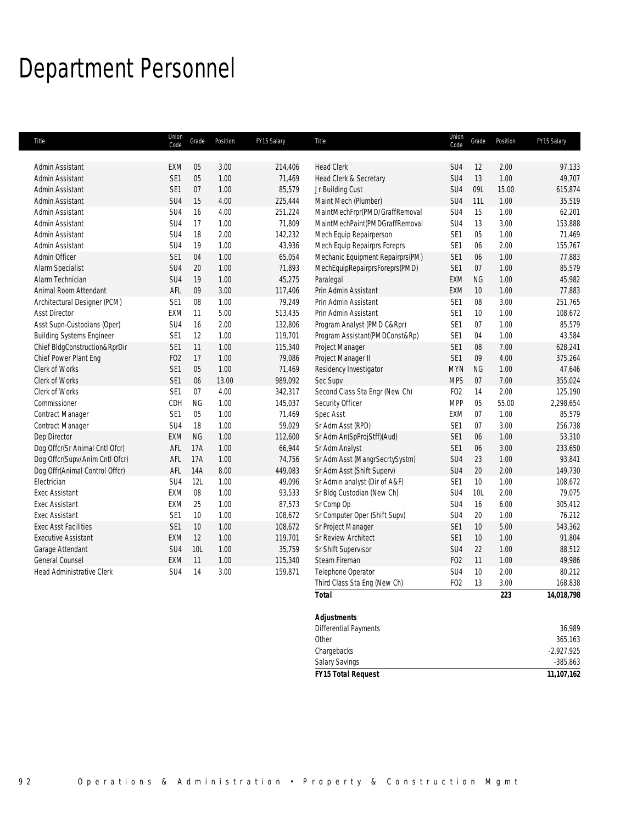## Department Personnel

| Title                            | Union<br>Code   | Grade      | Position | FY15 Salary | Title                            | Union<br>Code   | Grade     | Position | FY15 Salary |
|----------------------------------|-----------------|------------|----------|-------------|----------------------------------|-----------------|-----------|----------|-------------|
| Admin Assistant                  | <b>EXM</b>      | 05         | 3.00     | 214,406     | <b>Head Clerk</b>                | SU4             | 12        | 2.00     | 97,133      |
| Admin Assistant                  | SE <sub>1</sub> | 05         | 1.00     | 71,469      | Head Clerk & Secretary           | SU <sub>4</sub> | 13        | 1.00     | 49,707      |
| Admin Assistant                  | SE1             | 07         | 1.00     | 85,579      | Jr Building Cust                 | SU4             | 09L       | 15.00    | 615,874     |
| Admin Assistant                  | SU4             | 15         | 4.00     | 225,444     | Maint Mech (Plumber)             | SU4             | 11L       | 1.00     | 35,519      |
| Admin Assistant                  | SU <sub>4</sub> | 16         | 4.00     | 251,224     | MaintMechFrpr(PMD/GraffRemoval   | SU <sub>4</sub> | 15        | 1.00     | 62,201      |
| Admin Assistant                  | SU4             | 17         | 1.00     | 71,809      | MaintMechPaint(PMDGraffRemoval   | SU4             | 13        | 3.00     | 153,888     |
| Admin Assistant                  | SU <sub>4</sub> | 18         | 2.00     | 142,232     | Mech Equip Repairperson          | SE <sub>1</sub> | 05        | 1.00     | 71,469      |
| Admin Assistant                  | SU <sub>4</sub> | 19         | 1.00     | 43,936      | Mech Equip Repairprs Foreprs     | SE1             | 06        | 2.00     | 155,767     |
| Admin Officer                    | SE1             | 04         | 1.00     | 65,054      | Mechanic Equipment Repairprs(PM) | SE1             | 06        | 1.00     | 77,883      |
| Alarm Specialist                 | SU <sub>4</sub> | 20         | 1.00     | 71,893      | MechEquipRepairprsForeprs(PMD)   | SE <sub>1</sub> | 07        | 1.00     | 85,579      |
| Alarm Technician                 | SU4             | 19         | 1.00     | 45,275      | Paralegal                        | EXM             | <b>NG</b> | 1.00     | 45,982      |
| Animal Room Attendant            | AFL             | 09         | 3.00     | 117,406     | Prin Admin Assistant             | EXM             | 10        | 1.00     | 77,883      |
| Architectural Designer (PCM)     | SE <sub>1</sub> | 08         | 1.00     | 79,249      | Prin Admin Assistant             | SE1             | 08        | 3.00     | 251,765     |
| <b>Asst Director</b>             | <b>EXM</b>      | 11         | 5.00     | 513,435     | Prin Admin Assistant             | SE1             | 10        | 1.00     | 108,672     |
| Asst Supn-Custodians (Oper)      | SU <sub>4</sub> | 16         | 2.00     | 132,806     | Program Analyst (PMD C&Rpr)      | SE1             | 07        | 1.00     | 85,579      |
| <b>Building Systems Engineer</b> | SE1             | 12         | 1.00     | 119,701     | Program Assistant(PMDConst&Rp)   | SE1             | 04        | 1.00     | 43,584      |
| Chief BldgConstruction&RprDir    | SE <sub>1</sub> | 11         | 1.00     | 115,340     | Project Manager                  | SE <sub>1</sub> | 08        | 7.00     | 628,241     |
| Chief Power Plant Eng            | FO <sub>2</sub> | 17         | 1.00     | 79,086      | Project Manager II               | SE1             | 09        | 4.00     | 375,264     |
| Clerk of Works                   | SE1             | 05         | 1.00     | 71,469      | Residency Investigator           | <b>MYN</b>      | <b>NG</b> | 1.00     | 47,646      |
| Clerk of Works                   | SE1             | 06         | 13.00    | 989,092     | Sec Supv                         | <b>MPS</b>      | 07        | 7.00     | 355,024     |
| Clerk of Works                   | SE <sub>1</sub> | 07         | 4.00     | 342,317     | Second Class Sta Engr (New Ch)   | F <sub>02</sub> | 14        | 2.00     | 125,190     |
| Commissioner                     | CDH             | <b>NG</b>  | 1.00     | 145,037     | Security Officer                 | <b>MPP</b>      | 05        | 55.00    | 2,298,654   |
| Contract Manager                 | SE1             | 05         | 1.00     | 71,469      | Spec Asst                        | EXM             | 07        | 1.00     | 85,579      |
| Contract Manager                 | SU4             | 18         | 1.00     | 59,029      | Sr Adm Asst (RPD)                | SE <sub>1</sub> | 07        | 3.00     | 256,738     |
| Dep Director                     | <b>EXM</b>      | <b>NG</b>  | 1.00     | 112,600     | Sr Adm An(SpProjStff)(Aud)       | SE <sub>1</sub> | 06        | 1.00     | 53,310      |
| Dog Offcr(Sr Animal Cntl Ofcr)   | AFL             | 17A        | 1.00     | 66,944      | Sr Adm Analyst                   | SE1             | 06        | 3.00     | 233,650     |
| Dog Offcr(Supv/Anim Cntl Ofcr)   | AFL             | 17A        | 1.00     | 74,756      | Sr Adm Asst (MangrSecrtySystm)   | SU4             | 23        | 1.00     | 93,841      |
| Dog Offr(Animal Control Offcr)   | AFL             | <b>14A</b> | 8.00     | 449,083     | Sr Adm Asst (Shift Superv)       | SU4             | 20        | 2.00     | 149,730     |
| Electrician                      | SU <sub>4</sub> | 12L        | 1.00     | 49,096      | Sr Admin analyst (Dir of A&F)    | SE <sub>1</sub> | 10        | 1.00     | 108,672     |
| <b>Exec Assistant</b>            | EXM             | 08         | 1.00     | 93,533      | Sr Bldg Custodian (New Ch)       | SU <sub>4</sub> | 10L       | 2.00     | 79,075      |
| <b>Exec Assistant</b>            | <b>EXM</b>      | 25         | 1.00     | 87,573      | Sr Comp Op                       | SU <sub>4</sub> | 16        | 6.00     | 305,412     |
| <b>Exec Assistant</b>            | SE <sub>1</sub> | 10         | 1.00     | 108,672     | Sr Computer Oper (Shift Supv)    | SU <sub>4</sub> | 20        | 1.00     | 76,212      |
| <b>Exec Asst Facilities</b>      | SE <sub>1</sub> | 10         | 1.00     | 108,672     | Sr Project Manager               | SE <sub>1</sub> | 10        | 5.00     | 543,362     |
| <b>Executive Assistant</b>       | EXM             | 12         | 1.00     | 119,701     | <b>Sr Review Architect</b>       | SE1             | 10        | 1.00     | 91,804      |
| Garage Attendant                 | SU <sub>4</sub> | 10L        | 1.00     | 35,759      | Sr Shift Supervisor              | SU4             | 22        | 1.00     | 88,512      |
| General Counsel                  | <b>EXM</b>      | 11         | 1.00     | 115,340     | Steam Fireman                    | F <sub>02</sub> | 11        | 1.00     | 49,986      |
| <b>Head Administrative Clerk</b> | SU <sub>4</sub> | 14         | 3.00     | 159,871     | Telephone Operator               | SU <sub>4</sub> | 10        | 2.00     | 80,212      |
|                                  |                 |            |          |             | Third Class Sta Eng (New Ch)     | FO <sub>2</sub> | 13        | 3.00     | 168,838     |
|                                  |                 |            |          |             | <b>Total</b>                     |                 |           | 223      | 14,018,798  |
|                                  |                 |            |          |             | <b>Adiustments</b>               |                 |           |          |             |

| <b>FY15 Total Request</b> | 11,107,162   |
|---------------------------|--------------|
| <b>Salary Savings</b>     | $-385.863$   |
| Chargebacks               | $-2.927.925$ |
| Other                     | 365.163      |
| Differential Payments     | 36.989       |
| Adjustments               |              |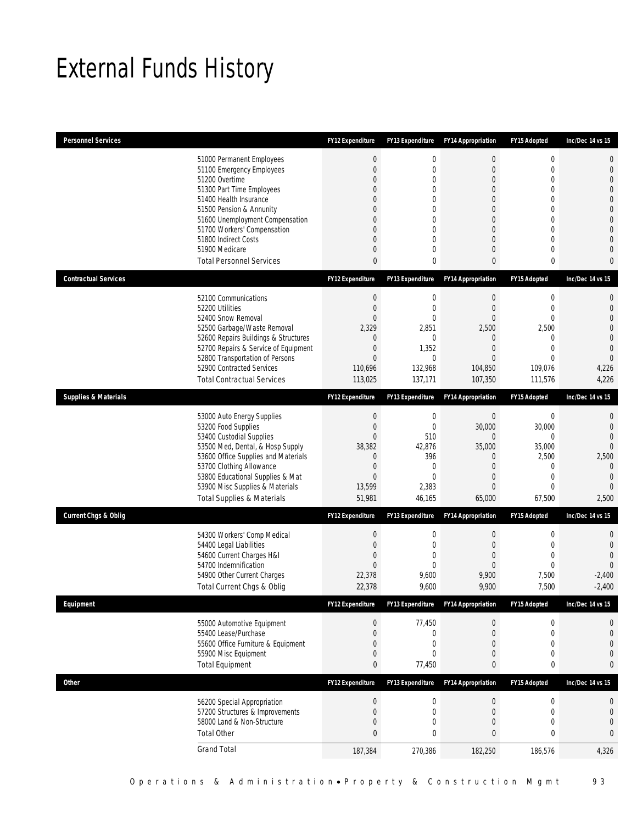## External Funds History

| <b>Personnel Services</b>       |                                                                                                                                                                                                                                                                                                            | <b>FY12 Expenditure</b>                                                                                                                        | <b>FY13 Expenditure</b>                                                                                           | <b>FY14 Appropriation</b>                                                                                                                              | <b>FY15 Adopted</b>                                                                                                                                                 | Inc/Dec 14 vs 15                                                                                                                                                                      |
|---------------------------------|------------------------------------------------------------------------------------------------------------------------------------------------------------------------------------------------------------------------------------------------------------------------------------------------------------|------------------------------------------------------------------------------------------------------------------------------------------------|-------------------------------------------------------------------------------------------------------------------|--------------------------------------------------------------------------------------------------------------------------------------------------------|---------------------------------------------------------------------------------------------------------------------------------------------------------------------|---------------------------------------------------------------------------------------------------------------------------------------------------------------------------------------|
|                                 | 51000 Permanent Employees<br>51100 Emergency Employees<br>51200 Overtime<br>51300 Part Time Employees<br>51400 Health Insurance<br>51500 Pension & Annunity<br>51600 Unemployment Compensation<br>51700 Workers' Compensation<br>51800 Indirect Costs<br>51900 Medicare<br><b>Total Personnel Services</b> | $\boldsymbol{0}$<br>$\boldsymbol{0}$<br>0<br>0<br>0<br>0<br>0<br>0<br>0<br>0<br>0                                                              | $\boldsymbol{0}$<br>$\overline{0}$<br>0<br>0<br>$\theta$<br>$\overline{0}$<br>0<br>0<br>$\overline{0}$<br>0<br>0  | $\boldsymbol{0}$<br>$\overline{0}$<br>0<br>0<br>0<br>0<br>0<br>0<br>$\overline{0}$<br>$\overline{0}$<br>0                                              | $\boldsymbol{0}$<br>$\mathbf 0$<br>$\mathbf{0}$<br>$\mathbf{0}$<br>$\mathbf{0}$<br>$\mathbf 0$<br>$\mathbf{0}$<br>$\mathbf{0}$<br>$\mathbf{0}$<br>$\mathbf{0}$<br>0 | $\mathbf 0$<br>$\mathbf 0$<br>$\overline{0}$<br>$\mathbf{0}$<br>$\overline{0}$<br>$\overline{0}$<br>$\mathbf 0$<br>$\overline{0}$<br>$\overline{0}$<br>$\overline{0}$<br>$\mathbf{0}$ |
| <b>Contractual Services</b>     |                                                                                                                                                                                                                                                                                                            | <b>FY12 Expenditure</b>                                                                                                                        | <b>FY13 Expenditure</b>                                                                                           | <b>FY14 Appropriation</b>                                                                                                                              | <b>FY15 Adopted</b>                                                                                                                                                 | Inc/Dec 14 vs 15                                                                                                                                                                      |
| <b>Supplies &amp; Materials</b> | 52100 Communications<br>52200 Utilities<br>52400 Snow Removal<br>52500 Garbage/Waste Removal<br>52600 Repairs Buildings & Structures<br>52700 Repairs & Service of Equipment<br>52800 Transportation of Persons<br>52900 Contracted Services<br><b>Total Contractual Services</b>                          | $\boldsymbol{0}$<br>$\boldsymbol{0}$<br>0<br>2,329<br>0<br>$\boldsymbol{0}$<br>$\overline{0}$<br>110,696<br>113,025<br><b>FY12 Expenditure</b> | $\boldsymbol{0}$<br>0<br>$\Omega$<br>2,851<br>0<br>1,352<br>$\mathbf 0$<br>132,968<br>137,171<br>FY13 Expenditure | $\boldsymbol{0}$<br>$\boldsymbol{0}$<br>0<br>2,500<br>$\mathbf{0}$<br>$\mathbf 0$<br>$\overline{0}$<br>104,850<br>107,350<br><b>FY14 Appropriation</b> | $\boldsymbol{0}$<br>$\mathbf 0$<br>$\mathbf{0}$<br>2,500<br>$\mathbf{0}$<br>$\mathbf{0}$<br>$\mathbf{0}$<br>109,076<br>111,576<br>FY15 Adopted                      | $\mathbf 0$<br>$\mathbf{0}$<br>$\overline{0}$<br>$\overline{0}$<br>$\overline{0}$<br>$\overline{0}$<br>$\overline{0}$<br>4,226<br>4,226<br>Inc/Dec 14 vs 15                           |
|                                 |                                                                                                                                                                                                                                                                                                            |                                                                                                                                                |                                                                                                                   |                                                                                                                                                        |                                                                                                                                                                     |                                                                                                                                                                                       |
|                                 | 53000 Auto Energy Supplies<br>53200 Food Supplies<br>53400 Custodial Supplies<br>53500 Med, Dental, & Hosp Supply<br>53600 Office Supplies and Materials<br>53700 Clothing Allowance<br>53800 Educational Supplies & Mat<br>53900 Misc Supplies & Materials<br><b>Total Supplies &amp; Materials</b>       | $\mathbf 0$<br>$\boldsymbol{0}$<br>0<br>38,382<br>$\mathbf 0$<br>$\mathbf 0$<br>$\boldsymbol{0}$<br>13,599<br>51,981                           | $\mathbf 0$<br>$\boldsymbol{0}$<br>510<br>42,876<br>396<br>$\mathbf{0}$<br>$\overline{0}$<br>2,383<br>46,165      | $\boldsymbol{0}$<br>30,000<br>$\mathbf{0}$<br>35,000<br>0<br>$\mathbf 0$<br>0<br>0<br>65,000                                                           | $\mathbf 0$<br>30,000<br>$\mathbf{0}$<br>35,000<br>2,500<br>$\mathbf 0$<br>$\mathbf 0$<br>$\overline{0}$<br>67,500                                                  | $\mathbf{0}$<br>$\mathbf{0}$<br>$\overline{0}$<br>$\Omega$<br>2,500<br>$\overline{0}$<br>$\mathbf{0}$<br>$\overline{0}$<br>2,500                                                      |
| <b>Current Chgs &amp; Oblig</b> |                                                                                                                                                                                                                                                                                                            | <b>FY12 Expenditure</b>                                                                                                                        | <b>FY13 Expenditure</b>                                                                                           | <b>FY14 Appropriation</b>                                                                                                                              | <b>FY15 Adopted</b>                                                                                                                                                 | Inc/Dec 14 vs 15                                                                                                                                                                      |
|                                 | 54300 Workers' Comp Medical<br>54400 Legal Liabilities<br>54600 Current Charges H&I<br>54700 Indemnification<br>54900 Other Current Charges<br>Total Current Chgs & Oblig                                                                                                                                  | $\boldsymbol{0}$<br>$\boldsymbol{0}$<br>0<br>$\overline{0}$<br>22,378<br>22,378                                                                | $\mathbf 0$<br>0<br>0<br>0<br>9,600<br>9,600                                                                      | $\boldsymbol{0}$<br>$\boldsymbol{0}$<br>$\theta$<br>0<br>9,900<br>9,900                                                                                | $\mathbf 0$<br>$\mathbf 0$<br>$\mathbf{0}$<br>$\mathbf{0}$<br>7,500<br>7,500                                                                                        | $\mathbf{0}$<br>$\mathbf{0}$<br>$\overline{0}$<br>$\Omega$<br>$-2,400$<br>$-2,400$                                                                                                    |
| Equipment                       |                                                                                                                                                                                                                                                                                                            | FY12 Expenditure                                                                                                                               | FY13 Expenditure                                                                                                  | <b>FY14 Appropriation</b>                                                                                                                              | FY15 Adopted                                                                                                                                                        | Inc/Dec 14 vs 15                                                                                                                                                                      |
|                                 | 55000 Automotive Equipment<br>55400 Lease/Purchase<br>55600 Office Furniture & Equipment<br>55900 Misc Equipment<br><b>Total Equipment</b>                                                                                                                                                                 | $\boldsymbol{0}$<br>$\boldsymbol{0}$<br>$\boldsymbol{0}$<br>0<br>0                                                                             | 77,450<br>$\boldsymbol{0}$<br>0<br>0<br>77,450                                                                    | $\pmb{0}$<br>0<br>$\mathbf 0$<br>$\boldsymbol{0}$<br>0                                                                                                 | $\boldsymbol{0}$<br>$\mathbf 0$<br>$\mathbf{0}$<br>$\mathbf 0$<br>0                                                                                                 | $\mathbf 0$<br>$\mathbf{0}$<br>$\mathbf 0$<br>$\mathbf 0$<br>0                                                                                                                        |
| Other                           |                                                                                                                                                                                                                                                                                                            | FY12 Expenditure                                                                                                                               | FY13 Expenditure                                                                                                  | <b>FY14 Appropriation</b>                                                                                                                              | FY15 Adopted                                                                                                                                                        | Inc/Dec 14 vs 15                                                                                                                                                                      |
|                                 | 56200 Special Appropriation<br>57200 Structures & Improvements<br>58000 Land & Non-Structure<br><b>Total Other</b>                                                                                                                                                                                         | $\boldsymbol{0}$<br>$\boldsymbol{0}$<br>0<br>$\overline{0}$                                                                                    | $\boldsymbol{0}$<br>0<br>0<br>0                                                                                   | $\boldsymbol{0}$<br>$\boldsymbol{0}$<br>0<br>0                                                                                                         | $\boldsymbol{0}$<br>$\mathbf 0$<br>$\mathbf 0$<br>$\mathbf{0}$                                                                                                      | 0<br>$\mathbf 0$<br>$\mathbf 0$<br>0                                                                                                                                                  |
|                                 | <b>Grand Total</b>                                                                                                                                                                                                                                                                                         | 187,384                                                                                                                                        | 270,386                                                                                                           | 182,250                                                                                                                                                | 186,576                                                                                                                                                             | 4,326                                                                                                                                                                                 |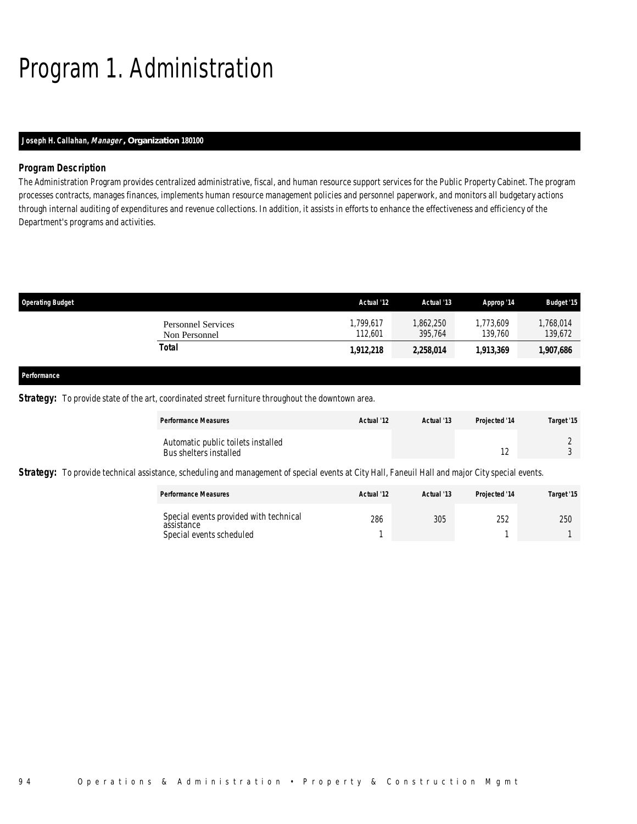## Program 1. Administration

### *Joseph H. Callahan, Manager , Organization 180100*

### *Program Description*

The Administration Program provides centralized administrative, fiscal, and human resource support services for the Public Property Cabinet. The program processes contracts, manages finances, implements human resource management policies and personnel paperwork, and monitors all budgetary actions through internal auditing of expenditures and revenue collections. In addition, it assists in efforts to enhance the effectiveness and efficiency of the Department's programs and activities.

| <b>Operating Budget</b> |                                            | Actual '12           | Actual '13           | Approp '14           | <b>Budget '15</b>   |
|-------------------------|--------------------------------------------|----------------------|----------------------|----------------------|---------------------|
|                         | <b>Personnel Services</b><br>Non Personnel | 1,799,617<br>112.601 | 1,862,250<br>395.764 | 1,773,609<br>139.760 | ,768,014<br>139,672 |
|                         | Total                                      | 1,912,218            | 2,258,014            | 1,913,369            | 1,907,686           |
| $\sim$ $\sim$           |                                            |                      |                      |                      |                     |

#### *Performance*

**Strategy:** To provide state of the art, coordinated street furniture throughout the downtown area.

| <b>Performance Measures</b>                                  | Actual '12 | Actual '13 | Projected '14 | Target '15 |
|--------------------------------------------------------------|------------|------------|---------------|------------|
| Automatic public toilets installed<br>Bus shelters installed |            |            |               |            |

**Strategy:** To provide technical assistance, scheduling and management of special events at City Hall, Faneuil Hall and major City special events.

| <b>Performance Measures</b>                                                      | Actual '12 | Actual '13 | <b>Projected '14</b> | Target '15 |
|----------------------------------------------------------------------------------|------------|------------|----------------------|------------|
| Special events provided with technical<br>assistance<br>Special events scheduled | 286        | 305        | 252                  | 250        |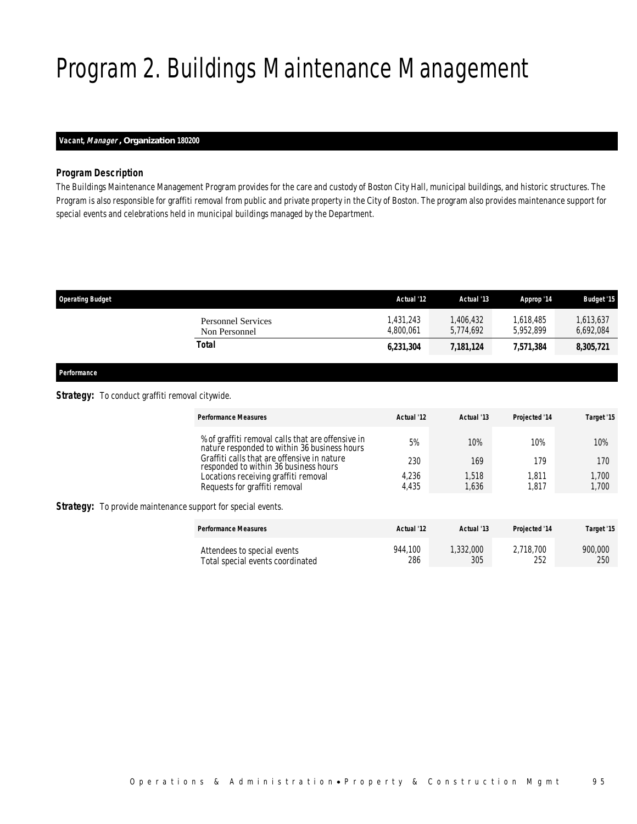## Program 2. Buildings Maintenance Management

#### *Vacant, Manager , Organization 180200*

#### *Program Description*

The Buildings Maintenance Management Program provides for the care and custody of Boston City Hall, municipal buildings, and historic structures. The Program is also responsible for graffiti removal from public and private property in the City of Boston. The program also provides maintenance support for special events and celebrations held in municipal buildings managed by the Department.

| <b>Operating Budget</b>                    | Actual '12            | Actual '13            | Approp '14             | <b>Budget '15</b>    |
|--------------------------------------------|-----------------------|-----------------------|------------------------|----------------------|
| <b>Personnel Services</b><br>Non Personnel | ,431,243<br>4.800.061 | ,406,432<br>5.774.692 | 1,618,485<br>5.952.899 | 613,637<br>6,692,084 |
| Total                                      | 6,231,304             | 7,181,124             | 7.571.384              | 8,305,721            |

## *Performance*

### Strategy: To conduct graffiti removal citywide.

| <b>Performance Measures</b>                                         |                                                                                                   | Actual '12     | Actual '13       | Projected '14    | Target '15     |
|---------------------------------------------------------------------|---------------------------------------------------------------------------------------------------|----------------|------------------|------------------|----------------|
|                                                                     | % of graffiti removal calls that are offensive in<br>nature responded to within 36 business hours | 5%             | 10%              | 10%              | 10%            |
|                                                                     | Graffiti calls that are offensive in nature<br>responded to within 36 business hours              | 230            | 169              | 179              | 170            |
|                                                                     | Locations receiving graffiti removal<br>Requests for graffiti removal                             | 4,236<br>4,435 | 1,518<br>.636    | 1,811<br>1,817   | 1,700<br>1,700 |
| <b>Strategy:</b> To provide maintenance support for special events. |                                                                                                   |                |                  |                  |                |
|                                                                     |                                                                                                   |                |                  |                  |                |
| <b>Performance Measures</b>                                         |                                                                                                   | Actual '12     | Actual '13       | Projected '14    | Target '15     |
| Attendees to special events                                         | Total special events coordinated                                                                  | 944.100<br>286 | 1,332,000<br>305 | 2.718.700<br>252 | 900,000<br>250 |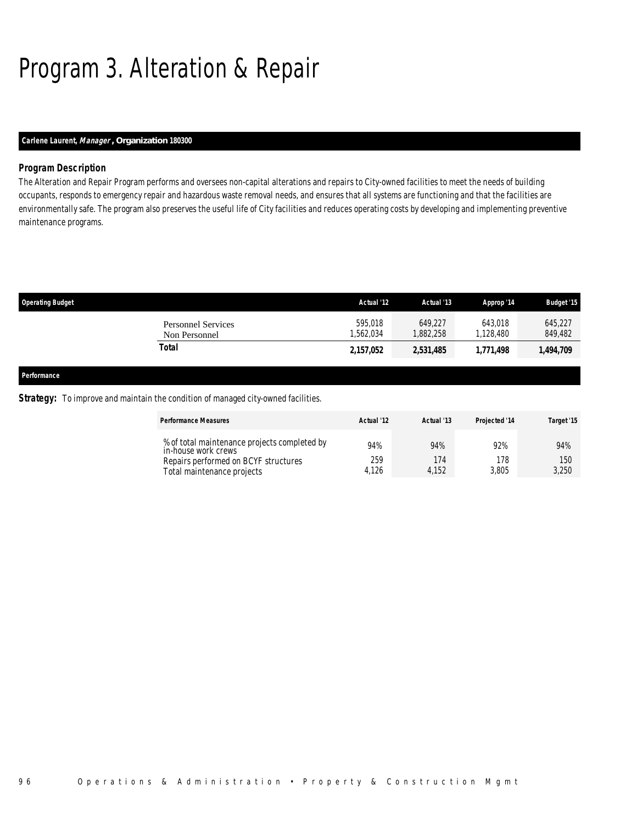## Program 3. Alteration & Repair

### *Carlene Laurent, Manager , Organization 180300*

### *Program Description*

The Alteration and Repair Program performs and oversees non-capital alterations and repairs to City-owned facilities to meet the needs of building occupants, responds to emergency repair and hazardous waste removal needs, and ensures that all systems are functioning and that the facilities are environmentally safe. The program also preserves the useful life of City facilities and reduces operating costs by developing and implementing preventive maintenance programs.

| <b>Operating Budget</b>             | Actual '12          | Actual '13           | Approp '14           | <b>Budget '15</b>  |
|-------------------------------------|---------------------|----------------------|----------------------|--------------------|
| Personnel Services<br>Non Personnel | 595.018<br>,562,034 | 649.227<br>1,882,258 | 643.018<br>1,128,480 | 645,227<br>849,482 |
| Total                               | 2,157,052           | 2,531,485            | 1,771,498            | 1,494,709          |
|                                     |                     |                      |                      |                    |

#### *Performance*

#### **Strategy:** To improve and maintain the condition of managed city-owned facilities.

| <b>Performance Measures</b>                                         | Actual '12 | Actual '13 | Projected '14 | Target '15 |
|---------------------------------------------------------------------|------------|------------|---------------|------------|
| % of total maintenance projects completed by<br>in-house work crews | 94%        | 94%        | 92%           | 94%        |
| Repairs performed on BCYF structures                                | 259        | 174        | 178           | 150        |
| Total maintenance projects                                          | 4.126      | 4.152      | 3.805         | 3,250      |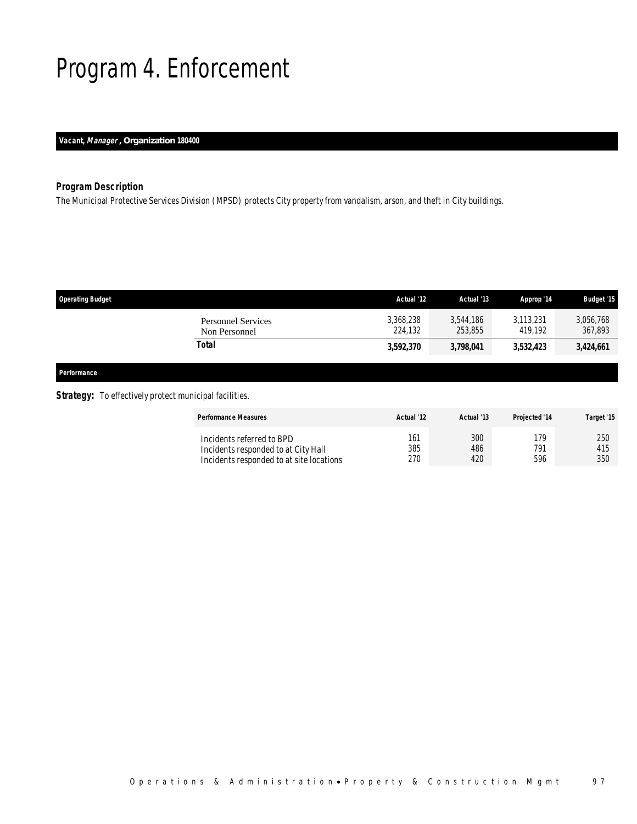## Program 4. Enforcement

### *Vacant, Manager , Organization 180400*

### *Program Description*

The Municipal Protective Services Division (MPSD) protects City property from vandalism, arson, and theft in City buildings.

|                      |                      |                      | <b>Budget '15</b>    |
|----------------------|----------------------|----------------------|----------------------|
| 3,368,238<br>224.132 | 3.544.186<br>253,855 | 3.113.231<br>419.192 | 3,056,768<br>367,893 |
| 3,592,370            | 3,798,041            | 3,532,423            | 3,424,661            |
|                      |                      |                      |                      |

## *Performance*

### **Strategy:** To effectively protect municipal facilities.

| <b>Performance Measures</b>              | Actual '12 | Actual '13 | <b>Projected '14</b> | Target '15 |
|------------------------------------------|------------|------------|----------------------|------------|
| Incidents referred to BPD                | 161        | 300        | 179                  | 250        |
| Incidents responded to at City Hall      | 385        | 486        | 791                  | 415        |
| Incidents responded to at site locations | 270        | 420        | 596                  | 350        |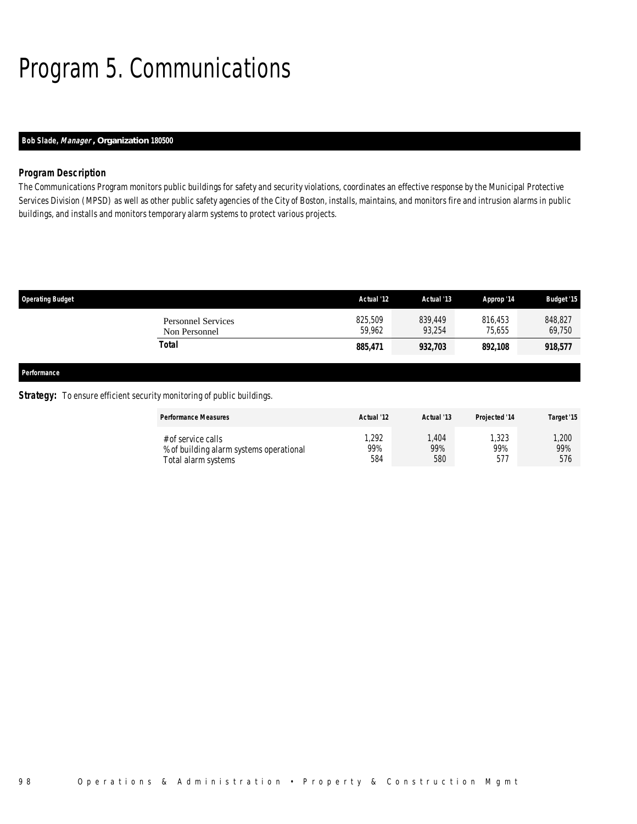# Program 5. Communications

### *Bob Slade, Manager , Organization 180500*

#### *Program Description*

The Communications Program monitors public buildings for safety and security violations, coordinates an effective response by the Municipal Protective Services Division (MPSD) as well as other public safety agencies of the City of Boston, installs, maintains, and monitors fire and intrusion alarms in public buildings, and installs and monitors temporary alarm systems to protect various projects.

| <b>Operating Budget</b>                    | Actual '12        | Actual '13        | Approp '14        | <b>Budget '15</b> |
|--------------------------------------------|-------------------|-------------------|-------------------|-------------------|
| <b>Personnel Services</b><br>Non Personnel | 825,509<br>59.962 | 839,449<br>93,254 | 816,453<br>75.655 | 848,827<br>69,750 |
| Total                                      | 885,471           | 932,703           | 892,108           | 918,577           |
| Performance                                |                   |                   |                   |                   |

### **Strategy:** To ensure efficient security monitoring of public buildings.

| <b>Performance Measures</b>             | Actual '12 | Actual '13 | <b>Projected '14</b> | Target '15 |
|-----------------------------------------|------------|------------|----------------------|------------|
| # of service calls                      | .292       | .404       | .323                 | .200       |
| % of building alarm systems operational | 99%        | 99%        | 99%                  | 99%        |
| Total alarm systems                     | 584        | 580        | 577                  | 576        |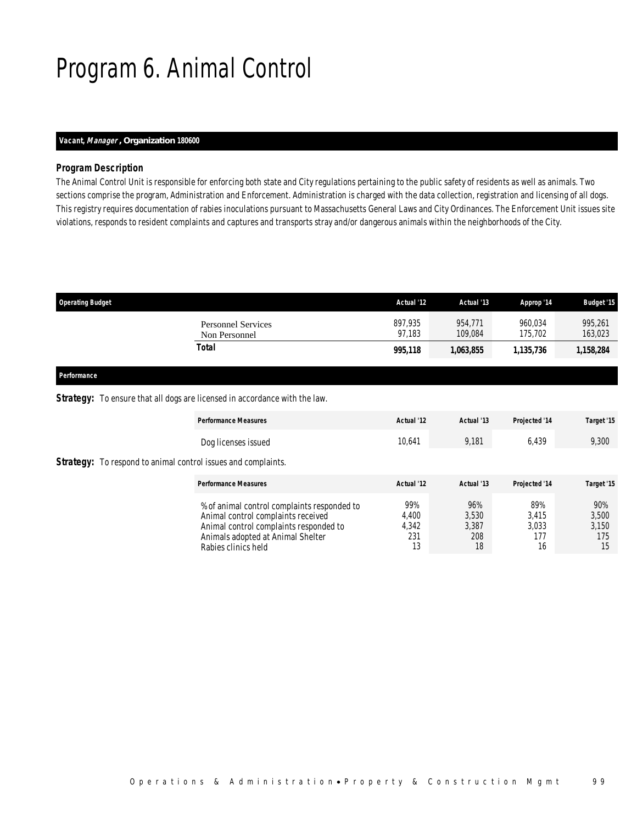## Program 6. Animal Control

#### *Vacant, Manager , Organization 180600*

### *Program Description*

The Animal Control Unit is responsible for enforcing both state and City regulations pertaining to the public safety of residents as well as animals. Two sections comprise the program, Administration and Enforcement. Administration is charged with the data collection, registration and licensing of all dogs. This registry requires documentation of rabies inoculations pursuant to Massachusetts General Laws and City Ordinances. The Enforcement Unit issues site violations, responds to resident complaints and captures and transports stray and/or dangerous animals within the neighborhoods of the City.

| <b>Operating Budget</b>                    | Actual '12        | Actual '13         | Approp '14         | <b>Budget '15</b>  |
|--------------------------------------------|-------------------|--------------------|--------------------|--------------------|
| <b>Personnel Services</b><br>Non Personnel | 897.935<br>97.183 | 954.771<br>109,084 | 960.034<br>175.702 | 995.261<br>163,023 |
| Total                                      | 995.118           | 1,063,855          | 1.135.736          | 1,158,284          |

#### *Performance*

#### Strategy: To ensure that all dogs are licensed in accordance with the law.

|                                                                      | <b>Performance Measures</b>                                                                                                                                                             | Actual '12                         | Actual '13                         | Projected '14                      | Target '15                         |
|----------------------------------------------------------------------|-----------------------------------------------------------------------------------------------------------------------------------------------------------------------------------------|------------------------------------|------------------------------------|------------------------------------|------------------------------------|
|                                                                      | Dog licenses issued                                                                                                                                                                     | 10.641                             | 9,181                              | 6,439                              | 9,300                              |
| <b>Strategy:</b> To respond to animal control issues and complaints. |                                                                                                                                                                                         |                                    |                                    |                                    |                                    |
|                                                                      | <b>Performance Measures</b>                                                                                                                                                             | Actual '12                         | Actual '13                         | Projected '14                      | Target '15                         |
|                                                                      | % of animal control complaints responded to<br>Animal control complaints received<br>Animal control complaints responded to<br>Animals adopted at Animal Shelter<br>Rabies clinics held | 99%<br>4,400<br>4,342<br>231<br>13 | 96%<br>3,530<br>3.387<br>208<br>18 | 89%<br>3.415<br>3.033<br>177<br>16 | 90%<br>3,500<br>3,150<br>175<br>15 |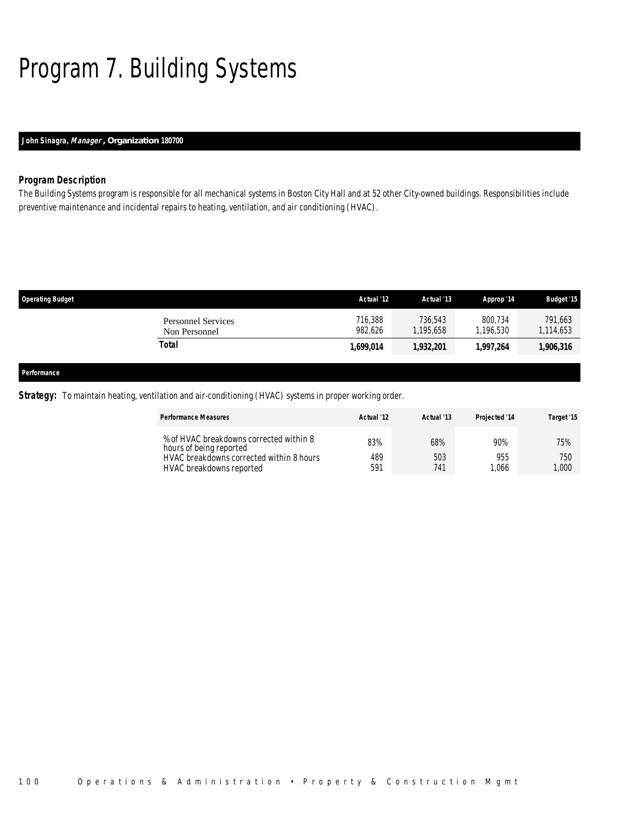# Program 7. Building Systems

### *John Sinagra, Manager , Organization 180700*

### *Program Description*

The Building Systems program is responsible for all mechanical systems in Boston City Hall and at 52 other City-owned buildings. Responsibilities include preventive maintenance and incidental repairs to heating, ventilation, and air conditioning (HVAC).

| <b>Operating Budget</b> |                                            | Actual '12         | Actual '13           | Approp '14           | <b>Budget '15</b>   |
|-------------------------|--------------------------------------------|--------------------|----------------------|----------------------|---------------------|
|                         | <b>Personnel Services</b><br>Non Personnel | 716.388<br>982.626 | 736,543<br>1.195.658 | 800.734<br>1.196.530 | 791,663<br>,114,653 |
|                         | <b>Total</b>                               | 1,699,014          | 1,932,201            | 1,997,264            | 1,906,316           |
| Performance             |                                            |                    |                      |                      |                     |

*Strategy:* To maintain heating, ventilation and air-conditioning (HVAC) systems in proper working order.

| <b>Performance Measures</b>                                                                                                                | Actual '12        | Actual '13        | Projected '14      | Target '15          |
|--------------------------------------------------------------------------------------------------------------------------------------------|-------------------|-------------------|--------------------|---------------------|
| % of HVAC breakdowns corrected within 8<br>hours of being reported<br>HVAC breakdowns corrected within 8 hours<br>HVAC breakdowns reported | 83%<br>489<br>591 | 68%<br>503<br>741 | 90%<br>955<br>066' | 75%<br>750<br>1.000 |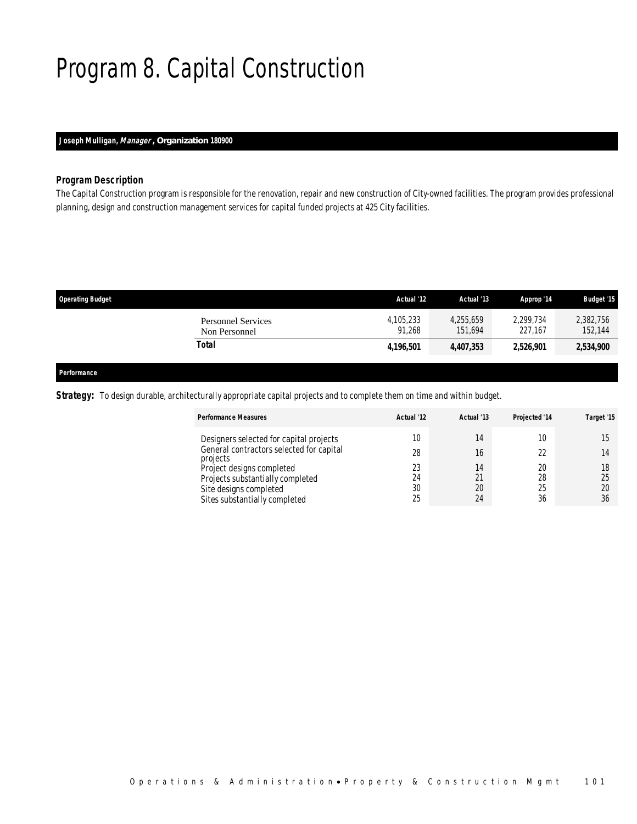## Program 8. Capital Construction

### *Joseph Mulligan, Manager , Organization 180900*

#### *Program Description*

The Capital Construction program is responsible for the renovation, repair and new construction of City-owned facilities. The program provides professional planning, design and construction management services for capital funded projects at 425 City facilities.

| <b>Operating Budget</b>                    | Actual '12          | Actual '13           | Approp '14           | <b>Budget '15</b>    |
|--------------------------------------------|---------------------|----------------------|----------------------|----------------------|
| <b>Personnel Services</b><br>Non Personnel | 4,105,233<br>91.268 | 4,255,659<br>151.694 | 2,299,734<br>227.167 | 2,382,756<br>152,144 |
| Total                                      | 4,196,501           | 4,407,353            | 2,526,901            | 2,534,900            |

### *Performance*

*Strategy:* To design durable, architecturally appropriate capital projects and to complete them on time and within budget.

| <b>Performance Measures</b>                          | Actual '12 | Actual '13 | Projected '14 | Target '15 |
|------------------------------------------------------|------------|------------|---------------|------------|
| Designers selected for capital projects              | 10         | 14         | 10            | 15         |
| General contractors selected for capital<br>projects | 28         | 16         | 22            | 14         |
| Project designs completed                            | 23         | 14         | 20            | 18         |
| Projects substantially completed                     | 24         | 21         | 28            | 25         |
| Site designs completed                               | 30         | 20         | 25            | 20         |
| Sites substantially completed                        | 25         | 24         | 36            | 36         |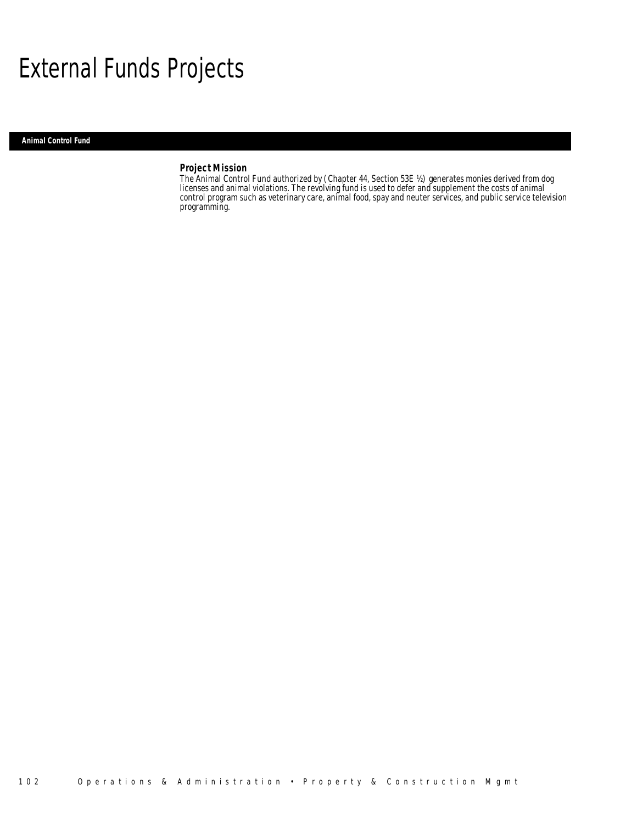## External Funds Projects

#### *Animal Control Fund*

### *Project Mission*

The Animal Control Fund authorized by (Chapter 44, Section 53E ½) generates monies derived from dog licenses and animal violations. The revolving fund is used to defer and supplement the costs of animal control program such as veterinary care, animal food, spay and neuter services, and public service television programming. Î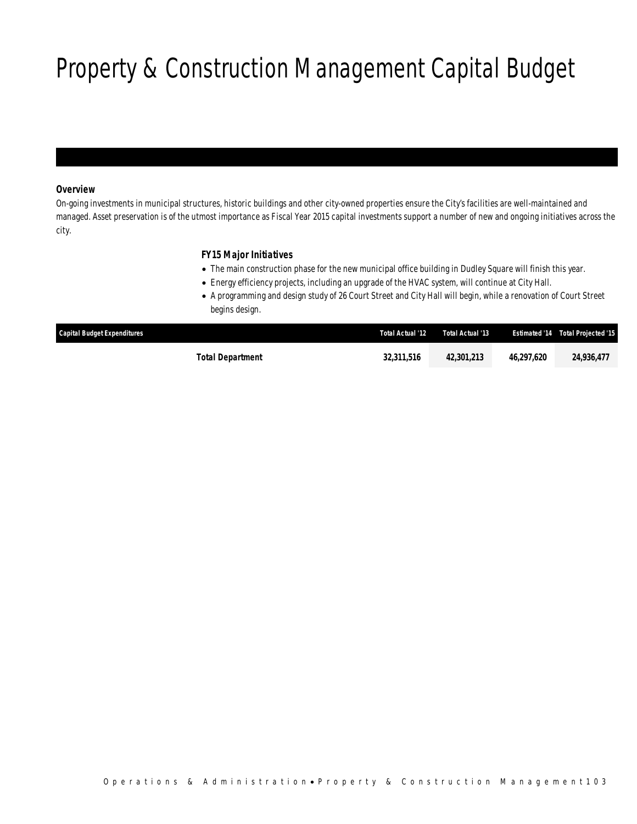# Property & Construction Management Capital Budget

### *Overview*

On-going investments in municipal structures, historic buildings and other city-owned properties ensure the City's facilities are well-maintained and managed. Asset preservation is of the utmost importance as Fiscal Year 2015 capital investments support a number of new and ongoing initiatives across the city.

### *FY15 Major Initiatives*

- The main construction phase for the new municipal office building in Dudley Square will finish this year.
- Energy efficiency projects, including an upgrade of the HVAC system, will continue at City Hall.
- A programming and design study of 26 Court Street and City Hall will begin, while a renovation of Court Street begins design.

| <b>Capital Budget Expenditures</b> | Total Actual '12 | Total Actual '13 |            | <b>Estimated '14 Total Projected '15</b> |
|------------------------------------|------------------|------------------|------------|------------------------------------------|
| Total Department                   | 32,311,516       | 42,301,213       | 46.297.620 | 24.936.477                               |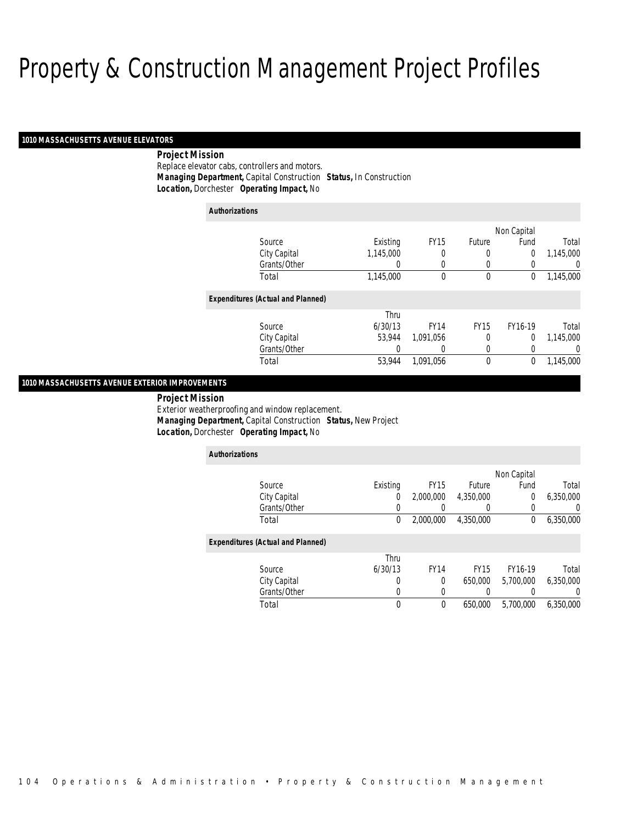#### *1010 MASSACHUSETTS AVENUE ELEVATORS*

### *Project Mission*

Replace elevator cabs, controllers and motors. *Managing Department,* Capital Construction *Status,* In Construction*Location,* Dorchester *Operating Impact,* No

### *Authorizations*

|                                          |           |             |             | Non Capital |           |
|------------------------------------------|-----------|-------------|-------------|-------------|-----------|
| Source                                   | Existing  | <b>FY15</b> | Future      | Fund        | Total     |
| City Capital                             | 1,145,000 | 0           | 0           | 0           | 1,145,000 |
| Grants/Other                             | 0         | 0           | 0           | 0           | 0         |
| Total                                    | 1,145,000 | 0           | 0           | 0           | 1,145,000 |
| <b>Expenditures (Actual and Planned)</b> |           |             |             |             |           |
|                                          | Thru      |             |             |             |           |
| Source                                   | 6/30/13   | <b>FY14</b> | <b>FY15</b> | FY16-19     | Total     |
| City Capital                             | 53.944    | 1,091,056   | 0           | $\Omega$    | 1,145,000 |
| Grants/Other                             |           | 0           | 0           |             | 0         |
| Total                                    | 53.944    | 1.091.056   | $\theta$    | $\theta$    | 1,145,000 |

### *1010 MASSACHUSETTS AVENUE EXTERIOR IMPROVEMENTS*

 *Project Mission* Exterior weatherproofing and window replacement. *Managing Department,* Capital Construction *Status,* New Project*Location,* Dorchester *Operating Impact,* No

| <b>Authorizations</b>                    |          |             |             |                |           |  |
|------------------------------------------|----------|-------------|-------------|----------------|-----------|--|
|                                          |          |             |             | Non Capital    |           |  |
| Source                                   | Existing | <b>FY15</b> | Future      | Fund           | Total     |  |
| City Capital                             | $\left($ | 2,000,000   | 4,350,000   | $\overline{0}$ | 6,350,000 |  |
| Grants/Other                             |          |             |             | 0              |           |  |
| Total                                    | $\theta$ | 2,000,000   | 4,350,000   | 0              | 6,350,000 |  |
| <b>Expenditures (Actual and Planned)</b> |          |             |             |                |           |  |
|                                          | Thru     |             |             |                |           |  |
| Source                                   | 6/30/13  | <b>FY14</b> | <b>FY15</b> | FY16-19        | Total     |  |
| City Capital                             | 0        | $\Omega$    | 650,000     | 5.700.000      | 6,350,000 |  |
| Grants/Other                             | $\left($ | 0           | 0           | 0              |           |  |
| Total                                    | $\theta$ | $\theta$    | 650,000     | 5.700.000      | 6.350.000 |  |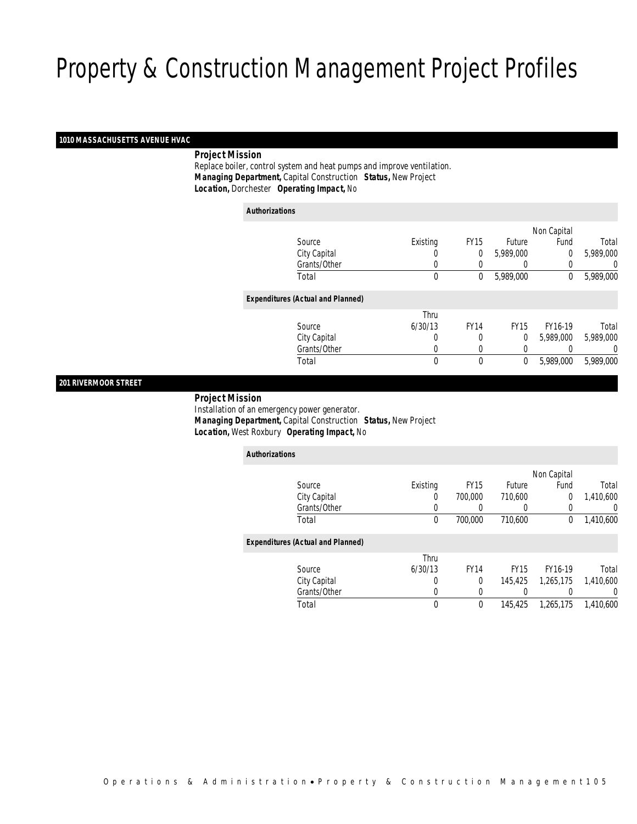#### *1010 MASSACHUSETTS AVENUE HVAC*

#### *Project Mission*

 Replace boiler, control system and heat pumps and improve ventilation. *Managing Department,* Capital Construction *Status,* New Project*Location,* Dorchester *Operating Impact,* No

*Authorizations*

|                                          |          |             |             | Non Capital    |           |
|------------------------------------------|----------|-------------|-------------|----------------|-----------|
| Source                                   | Existing | <b>FY15</b> | Future      | Fund           | Total     |
| City Capital                             | O        | 0           | 5,989,000   | $\overline{0}$ | 5,989,000 |
| Grants/Other                             | $\left($ |             |             |                | 0         |
| Total                                    | 0        | 0           | 5,989,000   | 0              | 5,989,000 |
| <b>Expenditures (Actual and Planned)</b> |          |             |             |                |           |
|                                          | Thru     |             |             |                |           |
| Source                                   | 6/30/13  | <b>FY14</b> | <b>FY15</b> | FY16-19        | Total     |
| City Capital                             | 0        | 0           | 0           | 5.989.000      | 5,989,000 |
| Grants/Other                             | 0        | 0           | 0           |                | 0         |
| Total                                    | 0        | $\mathbf 0$ | 0           | 5,989,000      | 5,989,000 |
|                                          |          |             |             |                |           |

### *201 RIVERMOOR STREET*

## *Project Mission*

 Installation of an emergency power generator. *Managing Department,* Capital Construction *Status,* New Project*Location,* West Roxbury *Operating Impact,* No

| <b>Authorizations</b>                    |             |             |             |             |           |
|------------------------------------------|-------------|-------------|-------------|-------------|-----------|
|                                          |             |             |             | Non Capital |           |
| Source                                   | Existing    | <b>FY15</b> | Future      | Fund        | Total     |
| City Capital                             | 0           | 700,000     | 710,600     | 0           | 1,410,600 |
| Grants/Other                             | 0           |             | 0           | 0           | 0         |
| Total                                    | $\mathbf 0$ | 700.000     | 710.600     | 0           | 1,410,600 |
| <b>Expenditures (Actual and Planned)</b> |             |             |             |             |           |
|                                          | Thru        |             |             |             |           |
| Source                                   | 6/30/13     | <b>FY14</b> | <b>FY15</b> | FY16-19     | Total     |
| City Capital                             | $\theta$    | $\theta$    | 145.425     | 1,265,175   | 1,410,600 |
| Grants/Other                             | 0           | 0           | 0           |             | $\left($  |
| Total                                    | $\mathbf 0$ | $\theta$    | 145,425     | 1.265.175   | 1,410,600 |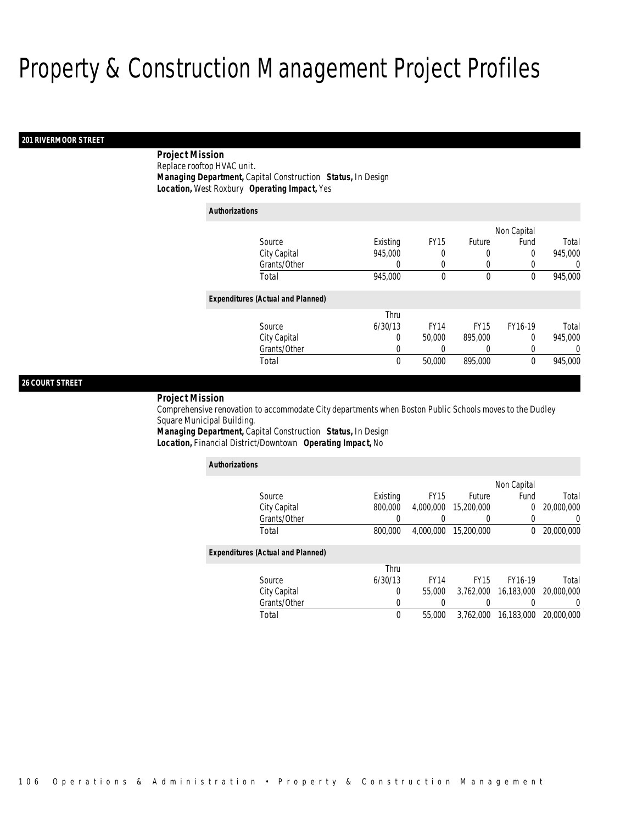#### *201 RIVERMOOR STREET*

 *Project Mission* Replace rooftop HVAC unit. *Managing Department,* Capital Construction *Status,* In Design*Location,* West Roxbury *Operating Impact,* Yes

| <b>Authorizations</b>                    |          |             |                  |             |                |
|------------------------------------------|----------|-------------|------------------|-------------|----------------|
|                                          |          |             |                  | Non Capital |                |
| Source                                   | Existing | <b>FY15</b> | Future           | Fund        | Total          |
| City Capital                             | 945,000  | 0           | 0                | 0           | 945,000        |
| Grants/Other                             | 0        | 0           | 0                | 0           | 0              |
| Total                                    | 945,000  | 0           | $\mathbf 0$      | 0           | 945,000        |
| <b>Expenditures (Actual and Planned)</b> |          |             |                  |             |                |
|                                          | Thru     |             |                  |             |                |
| Source                                   | 6/30/13  | <b>FY14</b> | <b>FY15</b>      | FY16-19     | Total          |
| City Capital                             | 0        | 50,000      | 895,000          | 0           | 945,000        |
| Grants/Other                             | 0        | 0           | $\left( \right)$ | 0           | $\overline{0}$ |
| Total                                    | 0        | 50,000      | 895,000          | 0           | 945,000        |

### *26 COURT STREET*

#### *Project Mission*

Comprehensive renovation to accommodate City departments when Boston Public Schools moves to the Dudley Square Municipal Building.

*Managing Department,* Capital Construction *Status,* In Design*Location,* Financial District/Downtown *Operating Impact,* No

| <b>Authorizations</b>                    |          |             |                  |             |            |
|------------------------------------------|----------|-------------|------------------|-------------|------------|
|                                          |          |             |                  | Non Capital |            |
| Source                                   | Existing | <b>FY15</b> | Future           | Fund        | Total      |
| City Capital                             | 800,000  | 4.000.000   | 15,200,000       | $\Omega$    | 20,000,000 |
| Grants/Other                             | 0        | 0           | $\left( \right)$ | 0           | $\Omega$   |
| Total                                    | 800,000  | 4.000.000   | 15,200,000       | $^{0}$      | 20,000,000 |
| <b>Expenditures (Actual and Planned)</b> |          |             |                  |             |            |
|                                          | Thru     |             |                  |             |            |
| Source                                   | 6/30/13  | <b>FY14</b> | <b>FY15</b>      | FY16-19     | Total      |
| City Capital                             | 0        | 55,000      | 3.762.000        | 16,183,000  | 20,000,000 |
| Grants/Other                             |          | 0           |                  |             | $\Omega$   |
| Total                                    | 0        | 55,000      | 3.762.000        | 16.183.000  | 20,000,000 |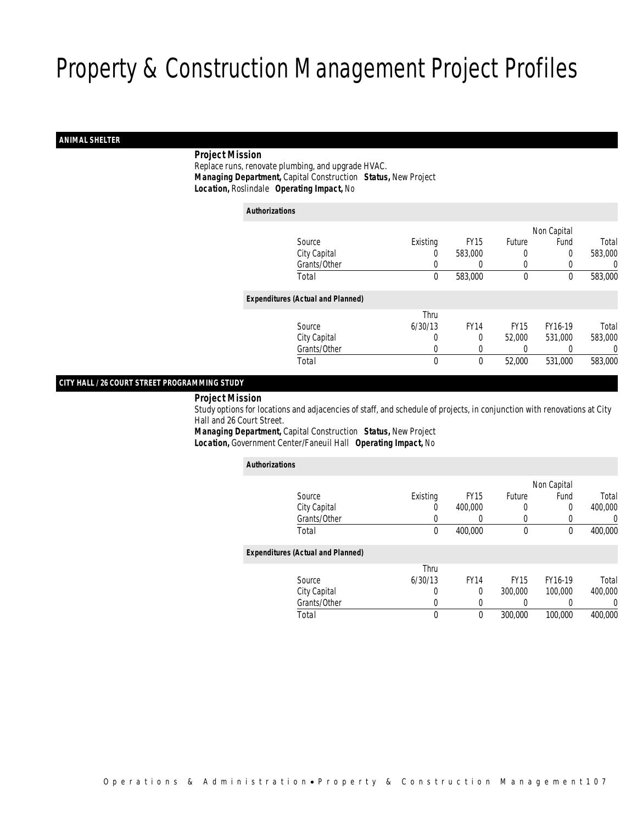#### *ANIMAL SHELTER*

### *Project Mission*

 Replace runs, renovate plumbing, and upgrade HVAC. *Managing Department,* Capital Construction *Status,* New Project*Location,* Roslindale *Operating Impact,* No

|                                                                                                                                                |             |              | Non Capital |         |
|------------------------------------------------------------------------------------------------------------------------------------------------|-------------|--------------|-------------|---------|
| Existing                                                                                                                                       | <b>FY15</b> | Future       | Fund        | Total   |
| 0                                                                                                                                              | 583,000     | 0            | 0           | 583,000 |
| 0                                                                                                                                              | 0           | 0            | 0           | 0       |
| 0                                                                                                                                              | 583,000     | $\mathbf{0}$ | 0           | 583,000 |
|                                                                                                                                                |             |              |             |         |
| Thru                                                                                                                                           |             |              |             |         |
| 6/30/13                                                                                                                                        | <b>FY14</b> | <b>FY15</b>  | FY16-19     | Total   |
| 0                                                                                                                                              | 0           | 52,000       | 531,000     | 583,000 |
| 0                                                                                                                                              | 0           | 0            | 0           | 0       |
| $\mathbf 0$                                                                                                                                    | 0           | 52,000       | 531,000     | 583,000 |
| Source<br>City Capital<br>Grants/Other<br>Total<br><b>Expenditures (Actual and Planned)</b><br>Source<br>City Capital<br>Grants/Other<br>Total |             |              |             |         |

*CITY HALL / 26 COURT STREET PROGRAMMING STUDY* 

#### *Project Mission*

 Study options for locations and adjacencies of staff, and schedule of projects, in conjunction with renovations at City Hall and 26 Court Street.

*Managing Department,* Capital Construction *Status,* New Project*Location,* Government Center/Faneuil Hall *Operating Impact,* No

| <b>Authorizations</b>                    |          |             |             |             |                |
|------------------------------------------|----------|-------------|-------------|-------------|----------------|
|                                          |          |             |             | Non Capital |                |
| Source                                   | Existing | <b>FY15</b> | Future      | Fund        | Total          |
| City Capital                             | 0        | 400.000     | 0           | 0           | 400,000        |
| Grants/Other                             | 0        | 0           | 0           |             | 0              |
| Total                                    | 0        | 400,000     | $\mathbf 0$ | 0           | 400,000        |
| <b>Expenditures (Actual and Planned)</b> |          |             |             |             |                |
|                                          | Thru     |             |             |             |                |
| Source                                   | 6/30/13  | <b>FY14</b> | <b>FY15</b> | FY16-19     | Total          |
| City Capital                             | 0        | 0           | 300,000     | 100,000     | 400,000        |
| Grants/Other                             | 0        | 0           | 0           |             | $\overline{0}$ |
| Total                                    | 0        | 0           | 300,000     | 100,000     | 400,000        |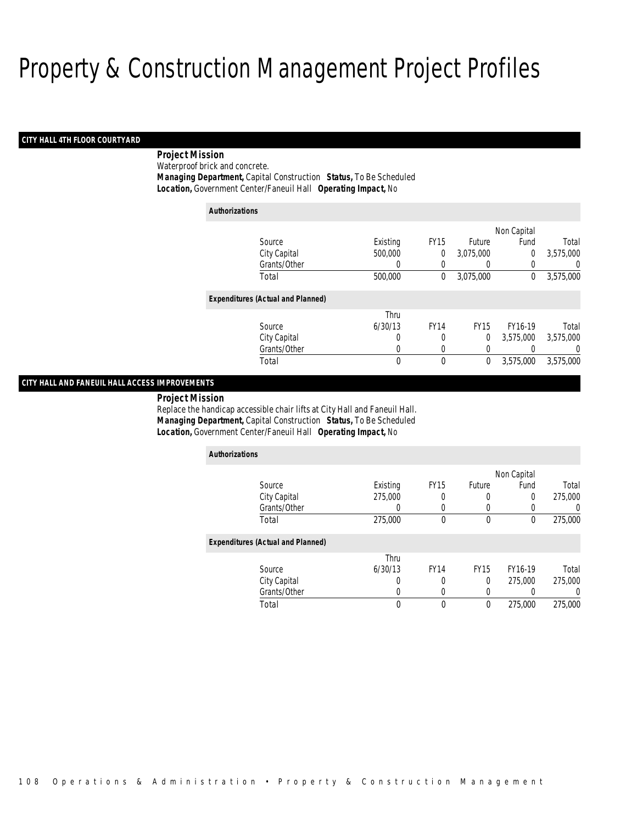#### *CITY HALL 4TH FLOOR COURTYARD*

*Project Mission* 

Waterproof brick and concrete.

*Managing Department,* Capital Construction *Status,* To Be Scheduled

*Location,* Government Center/Faneuil Hall *Operating Impact,* No

| <b>Authorizations</b> |                                          |          |             |             |             |           |
|-----------------------|------------------------------------------|----------|-------------|-------------|-------------|-----------|
|                       |                                          |          |             |             | Non Capital |           |
|                       | Source                                   | Existing | <b>FY15</b> | Future      | Fund        | Total     |
|                       | City Capital                             | 500,000  | 0           | 3,075,000   | 0           | 3,575,000 |
|                       | Grants/Other                             | 0        | 0           |             | 0           | 0         |
|                       | Total                                    | 500,000  | 0           | 3,075,000   | 0           | 3,575,000 |
|                       | <b>Expenditures (Actual and Planned)</b> |          |             |             |             |           |
|                       |                                          | Thru     |             |             |             |           |
|                       | Source                                   | 6/30/13  | <b>FY14</b> | <b>FY15</b> | FY16-19     | Total     |
|                       | City Capital                             | 0        | 0           | 0           | 3,575,000   | 3,575,000 |
|                       | Grants/Other                             | 0        | 0           | 0           |             | 0         |
|                       | Total                                    | 0        | 0           | 0           | 3,575,000   | 3,575,000 |

#### *CITY HALL AND FANEUIL HALL ACCESS IMPROVEMENTS*

 *Project Mission* Replace the handicap accessible chair lifts at City Hall and Faneuil Hall. *Managing Department,* Capital Construction *Status,* To Be Scheduled*Location,* Government Center/Faneuil Hall *Operating Impact,* No

| <b>Authorizations</b>                    |          |             |             |             |         |
|------------------------------------------|----------|-------------|-------------|-------------|---------|
|                                          |          |             |             | Non Capital |         |
| Source                                   | Existing | <b>FY15</b> | Future      | Fund        | Total   |
| City Capital                             | 275,000  |             | 0           | 0           | 275,000 |
| Grants/Other                             |          |             |             | 0           | 0       |
| Total                                    | 275,000  | 0           | $\theta$    | 0           | 275,000 |
| <b>Expenditures (Actual and Planned)</b> |          |             |             |             |         |
|                                          | Thru     |             |             |             |         |
| Source                                   | 6/30/13  | <b>FY14</b> | <b>FY15</b> | FY16-19     | Total   |
| City Capital                             | 0        | 0           | $\theta$    | 275,000     | 275,000 |
| Grants/Other                             | 0        | 0           | 0           | 0           | 0       |
| Total                                    | 0        | 0           | 0           | 275,000     | 275,000 |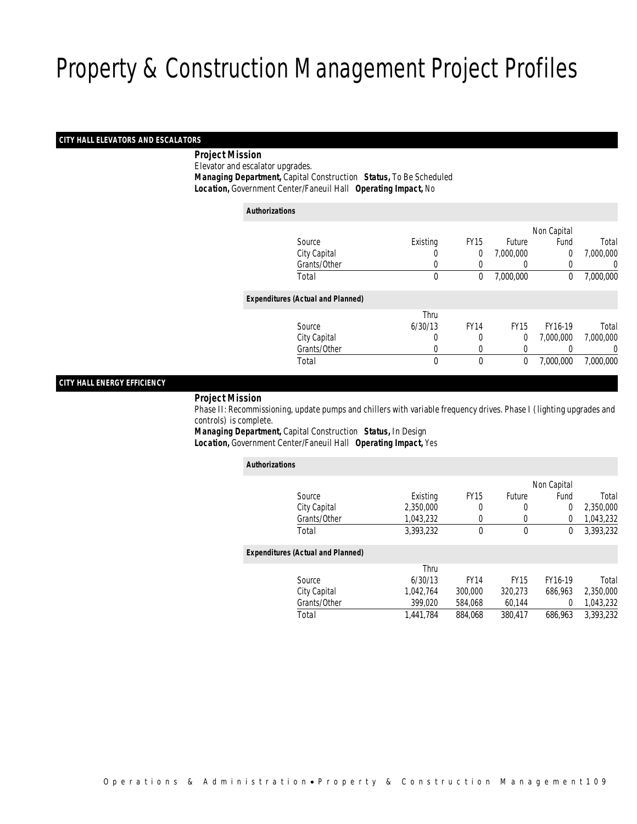#### *CITY HALL ELEVATORS AND ESCALATORS*

### *Project Mission*

Elevator and escalator upgrades.

*Managing Department,* Capital Construction *Status,* To Be Scheduled

*Location,* Government Center/Faneuil Hall *Operating Impact,* No

| <b>Authorizations</b>                    |          |             |               |                |           |
|------------------------------------------|----------|-------------|---------------|----------------|-----------|
|                                          |          |             |               | Non Capital    |           |
| Source                                   | Existing | <b>FY15</b> | <b>Future</b> | Fund           | Total     |
| City Capital                             |          | 0           | 7,000,000     | $\overline{0}$ | 7,000,000 |
| Grants/Other                             | 0        |             |               | 0              | 0         |
| Total                                    | 0        | 0           | 7,000,000     | 0              | 7,000,000 |
| <b>Expenditures (Actual and Planned)</b> |          |             |               |                |           |
|                                          | Thru     |             |               |                |           |
| Source                                   | 6/30/13  | <b>FY14</b> | <b>FY15</b>   | FY16-19        | Total     |
| City Capital                             | 0        | 0           | 0             | 7,000,000      | 7,000,000 |
| Grants/Other                             | 0        |             |               |                | 0         |
| Total                                    | 0        | $\theta$    | 0             | 7.000.000      | 7,000,000 |
|                                          |          |             |               |                |           |

### *CITY HALL ENERGY EFFICIENCY*

#### *Project Mission*

 Phase II: Recommissioning, update pumps and chillers with variable frequency drives. Phase I (lighting upgrades and controls) is complete.

*Managing Department,* Capital Construction *Status,* In Design*Location,* Government Center/Faneuil Hall *Operating Impact,* Yes

| <b>Authorizations</b> |                                          |           |             |             |             |           |
|-----------------------|------------------------------------------|-----------|-------------|-------------|-------------|-----------|
|                       |                                          |           |             |             | Non Capital |           |
|                       | Source                                   | Existing  | <b>FY15</b> | Future      | Fund        | Total     |
|                       | City Capital                             | 2.350.000 | 0           | 0           | 0           | 2.350.000 |
|                       | Grants/Other                             | 1.043.232 | 0           | 0           | 0           | 1,043,232 |
|                       | Total                                    | 3.393.232 | 0           | $\theta$    | 0           | 3,393,232 |
|                       | <b>Expenditures (Actual and Planned)</b> |           |             |             |             |           |
|                       |                                          | Thru      |             |             |             |           |
|                       | Source                                   | 6/30/13   | <b>FY14</b> | <b>FY15</b> | FY16-19     | Total     |
|                       | City Capital                             | 1.042.764 | 300,000     | 320.273     | 686.963     | 2.350.000 |
|                       | Grants/Other                             | 399.020   | 584.068     | 60.144      | 0           | 1,043,232 |
|                       | Total                                    | 1.441.784 | 884.068     | 380.417     | 686.963     | 3.393.232 |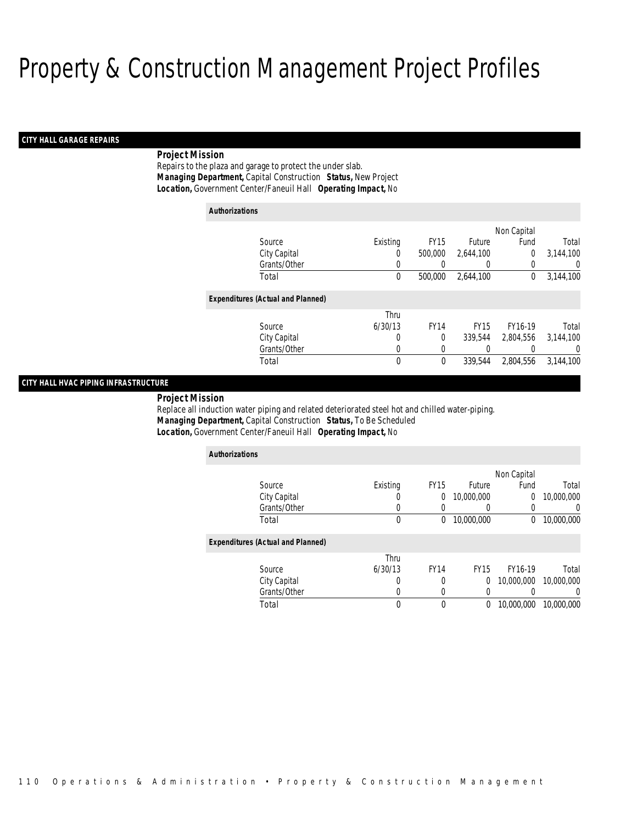### *CITY HALL GARAGE REPAIRS*

#### *Project Mission*

Repairs to the plaza and garage to protect the under slab. *Managing Department,* Capital Construction *Status,* New Project*Location,* Government Center/Faneuil Hall *Operating Impact,* No

| <b>Authorizations</b>                    |              |             |             |             |           |
|------------------------------------------|--------------|-------------|-------------|-------------|-----------|
|                                          |              |             |             | Non Capital |           |
| Source                                   | Existing     | <b>FY15</b> | Future      | Fund        | Total     |
| City Capital                             | 0            | 500,000     | 2.644.100   | 0           | 3.144.100 |
| Grants/Other                             | 0            |             | 0           |             | 0         |
| Total                                    | 0            | 500,000     | 2,644,100   | 0           | 3,144,100 |
| <b>Expenditures (Actual and Planned)</b> |              |             |             |             |           |
|                                          | Thru         |             |             |             |           |
| Source                                   | 6/30/13      | <b>FY14</b> | <b>FY15</b> | FY16-19     | Total     |
| City Capital                             | 0            | 0           | 339.544     | 2.804.556   | 3.144.100 |
| Grants/Other                             | $\Omega$     | 0           | 0           |             | 0         |
| Total                                    | $\mathbf{0}$ | 0           | 339.544     | 2.804.556   | 3.144.100 |

### *CITY HALL HVAC PIPING INFRASTRUCTURE*

*Project Mission* 

Replace all induction water piping and related deteriorated steel hot and chilled water-piping. *Managing Department,* Capital Construction *Status,* To Be Scheduled*Location,* Government Center/Faneuil Hall *Operating Impact,* No

| <b>Authorizations</b>                    |          |             |             |             |                  |
|------------------------------------------|----------|-------------|-------------|-------------|------------------|
|                                          |          |             |             | Non Capital |                  |
| Source                                   | Existing | <b>FY15</b> | Future      | Fund        | Total            |
| City Capital                             | U        | 0           | 10,000,000  | 0           | 10,000,000       |
| Grants/Other                             | 0        |             |             | 0           | 0                |
| Total                                    | 0        | 0           | 10,000,000  | 0           | 10,000,000       |
| <b>Expenditures (Actual and Planned)</b> |          |             |             |             |                  |
|                                          | Thru     |             |             |             |                  |
| Source                                   | 6/30/13  | <b>FY14</b> | <b>FY15</b> | FY16-19     | Total            |
| City Capital                             | 0        | 0           | 0           | 10,000,000  | 10,000,000       |
| Grants/Other                             | 0        | 0           |             |             | $\left( \right)$ |
| Total                                    | 0        | $\theta$    | 0           | 10,000,000  | 10,000,000       |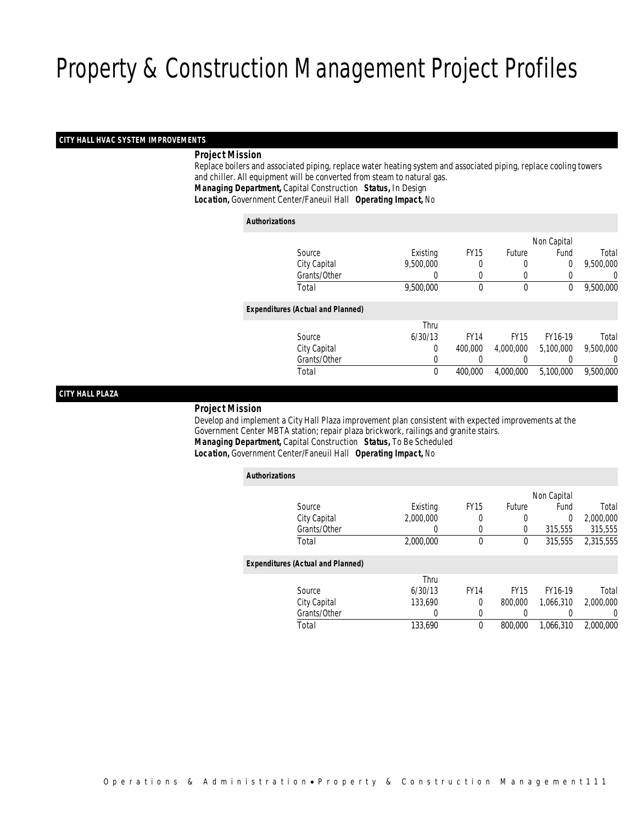#### *CITY HALL HVAC SYSTEM IMPROVEMENTS*

#### *Project Mission*

 Replace boilers and associated piping, replace water heating system and associated piping, replace cooling towers and chiller. All equipment will be converted from steam to natural gas. *Managing Department,* Capital Construction *Status,* In Design

*Location,* Government Center/Faneuil Hall *Operating Impact,* No

#### *Authorizations*

|                                          |                  |             |               | Non Capital    |           |
|------------------------------------------|------------------|-------------|---------------|----------------|-----------|
| Source                                   | Existing         | <b>FY15</b> | <b>Future</b> | Fund           | Total     |
| City Capital                             | 9,500,000        | 0           | 0             | $\overline{0}$ | 9,500,000 |
| Grants/Other                             | $\left( \right)$ | 0           | $\left($      |                | 0         |
| Total                                    | 9,500,000        | $\theta$    | $\theta$      | 0              | 9,500,000 |
| <b>Expenditures (Actual and Planned)</b> |                  |             |               |                |           |
|                                          | Thru             |             |               |                |           |
| Source                                   | 6/30/13          | <b>FY14</b> | <b>FY15</b>   | FY16-19        | Total     |
| City Capital                             | 0                | 400,000     | 4,000,000     | 5,100,000      | 9,500,000 |
| Grants/Other                             | 0                |             |               |                | 0         |
| Total                                    | $\mathbf 0$      | 400,000     | 4.000.000     | 5,100,000      | 9,500,000 |
|                                          |                  |             |               |                |           |

#### *CITY HALL PLAZA*

#### *Project Mission*

 Develop and implement a City Hall Plaza improvement plan consistent with expected improvements at the Government Center MBTA station; repair plaza brickwork, railings and granite stairs. *Managing Department,* Capital Construction *Status,* To Be Scheduled*Location,* Government Center/Faneuil Hall *Operating Impact,* No

| <b>Authorizations</b>                    |           |             |             |             |           |
|------------------------------------------|-----------|-------------|-------------|-------------|-----------|
|                                          |           |             |             | Non Capital |           |
| Source                                   | Existing  | <b>FY15</b> | Future      | Fund        | Total     |
| City Capital                             | 2.000.000 | 0           | 0           | 0           | 2,000,000 |
| Grants/Other                             | 0         | $\left($    | 0           | 315,555     | 315,555   |
| Total                                    | 2,000,000 | 0           | 0           | 315,555     | 2,315,555 |
| <b>Expenditures (Actual and Planned)</b> |           |             |             |             |           |
|                                          | Thru      |             |             |             |           |
| Source                                   | 6/30/13   | <b>FY14</b> | <b>FY15</b> | FY16-19     | Total     |
| City Capital                             | 133,690   | $\Omega$    | 800,000     | 1.066.310   | 2.000.000 |
| Grants/Other                             | 0         | 0           | 0           |             | 0         |
| Total                                    | 133.690   | 0           | 800.000     | 1.066.310   | 2.000.000 |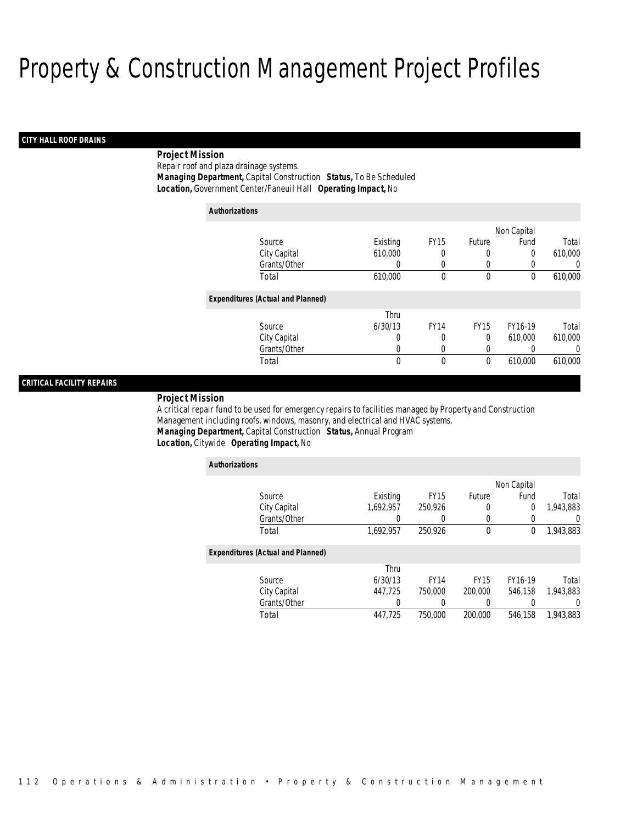#### *CITY HALL ROOF DRAINS*

## *Project Mission*

Repair roof and plaza drainage systems.

*Managing Department,* Capital Construction *Status,* To Be Scheduled

*Location,* Government Center/Faneuil Hall *Operating Impact,* No

| <b>Authorizations</b>                    |          |             |             |             |          |
|------------------------------------------|----------|-------------|-------------|-------------|----------|
|                                          |          |             |             | Non Capital |          |
| Source                                   | Existing | <b>FY15</b> | Future      | Fund        | Total    |
| City Capital                             | 610,000  | 0           | 0           | 0           | 610,000  |
| Grants/Other                             |          | 0           | 0           | 0           | $\Omega$ |
| Total                                    | 610,000  | 0           | 0           | $\theta$    | 610,000  |
| <b>Expenditures (Actual and Planned)</b> |          |             |             |             |          |
|                                          | Thru     |             |             |             |          |
| Source                                   | 6/30/13  | <b>FY14</b> | <b>FY15</b> | FY16-19     | Total    |
| City Capital                             | 0        | 0           | $\theta$    | 610,000     | 610,000  |
| Grants/Other                             | 0        | 0           | 0           |             | 0        |
| Total                                    | $\theta$ | $\theta$    | 0           | 610,000     | 610,000  |

#### *CRITICAL FACILITY REPAIRS*

#### *Project Mission*

A critical repair fund to be used for emergency repairs to facilities managed by Property and Construction Management including roofs, windows, masonry, and electrical and HVAC systems. *Managing Department,* Capital Construction *Status,* Annual Program*Location,* Citywide *Operating Impact,* No

| <b>Authorizations</b>                    |           |             |             |             |           |
|------------------------------------------|-----------|-------------|-------------|-------------|-----------|
|                                          |           |             |             | Non Capital |           |
| Source                                   | Existing  | <b>FY15</b> | Future      | Fund        | Total     |
| City Capital                             | 1.692.957 | 250.926     | 0           | $\Omega$    | 1,943,883 |
| Grants/Other                             |           | 0           | O           |             |           |
| Total                                    | 1,692,957 | 250.926     | $\mathbf 0$ | $\theta$    | 1,943,883 |
| <b>Expenditures (Actual and Planned)</b> |           |             |             |             |           |
|                                          | Thru      |             |             |             |           |
| Source                                   | 6/30/13   | <b>FY14</b> | <b>FY15</b> | FY16-19     | Total     |
| City Capital                             | 447.725   | 750,000     | 200,000     | 546.158     | 1,943,883 |
| Grants/Other                             | 0         |             |             |             |           |
| Total                                    | 447.725   | 750,000     | 200,000     | 546,158     | 1.943.883 |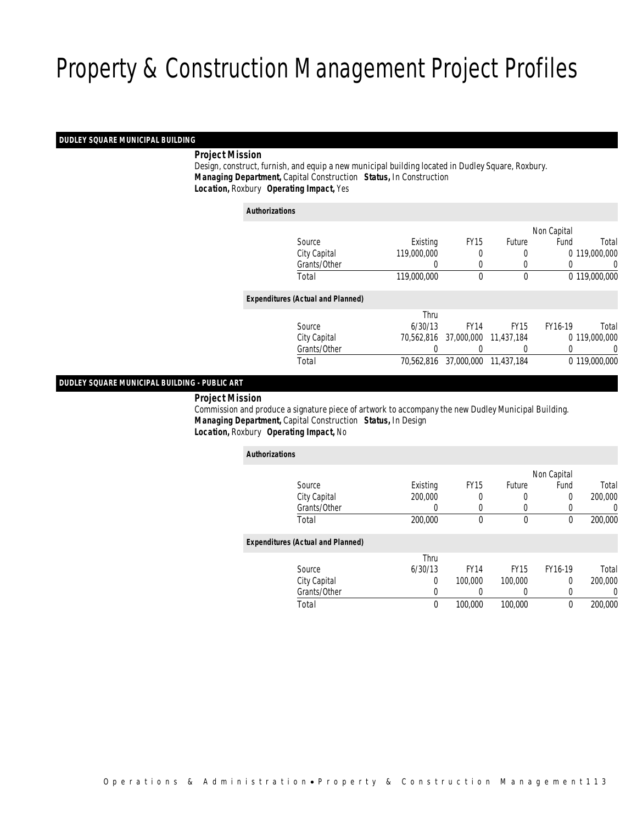#### *DUDLEY SQUARE MUNICIPAL BUILDING*

#### *Project Mission*

 Design, construct, furnish, and equip a new municipal building located in Dudley Square, Roxbury. *Managing Department,* Capital Construction *Status,* In Construction*Location,* Roxbury *Operating Impact,* Yes

*Authorizations*

|                                          |             |                       |             | Non Capital |               |
|------------------------------------------|-------------|-----------------------|-------------|-------------|---------------|
| Source                                   | Existing    | <b>FY15</b>           | Future      | Fund        | Total         |
| City Capital                             | 119,000,000 | 0                     | 0           |             | 0 119,000,000 |
| Grants/Other                             | $\left($    | 0                     | 0           |             | 0             |
| Total                                    | 119,000,000 | 0                     | $\theta$    |             | 0 119,000,000 |
| <b>Expenditures (Actual and Planned)</b> |             |                       |             |             |               |
|                                          | Thru        |                       |             |             |               |
| Source                                   | 6/30/13     | <b>FY14</b>           | <b>FY15</b> | FY16-19     | Total         |
| City Capital                             | 70.562.816  | 37,000,000 11,437,184 |             |             | 0 119,000,000 |
| Grants/Other                             | 0           |                       | 0           |             | 0             |
| Total                                    | 70,562,816  | 37,000,000            | 11,437,184  |             | 0 119,000,000 |
|                                          |             |                       |             |             |               |

#### *DUDLEY SQUARE MUNICIPAL BUILDING - PUBLIC ART*

#### *Project Mission*

 Commission and produce a signature piece of artwork to accompany the new Dudley Municipal Building. *Managing Department,* Capital Construction *Status,* In Design*Location,* Roxbury *Operating Impact,* No

| <b>Authorizations</b>                    |          |             |             |             |         |
|------------------------------------------|----------|-------------|-------------|-------------|---------|
|                                          |          |             |             | Non Capital |         |
| Source                                   | Existing | <b>FY15</b> | Future      | Fund        | Total   |
| City Capital                             | 200,000  | 0           | 0           | 0           | 200,000 |
| Grants/Other                             | 0        | 0           | 0           | 0           | 0       |
| Total                                    | 200,000  | 0           | $\mathbf 0$ | $\mathbf 0$ | 200,000 |
| <b>Expenditures (Actual and Planned)</b> |          |             |             |             |         |
|                                          | Thru     |             |             |             |         |
| Source                                   | 6/30/13  | <b>FY14</b> | <b>FY15</b> | FY16-19     | Total   |
| City Capital                             | $\Omega$ | 100,000     | 100,000     | 0           | 200,000 |
| Grants/Other                             | 0        | 0           | 0           | 0           | 0       |
| Total                                    | 0        | 100,000     | 100,000     | $\theta$    | 200,000 |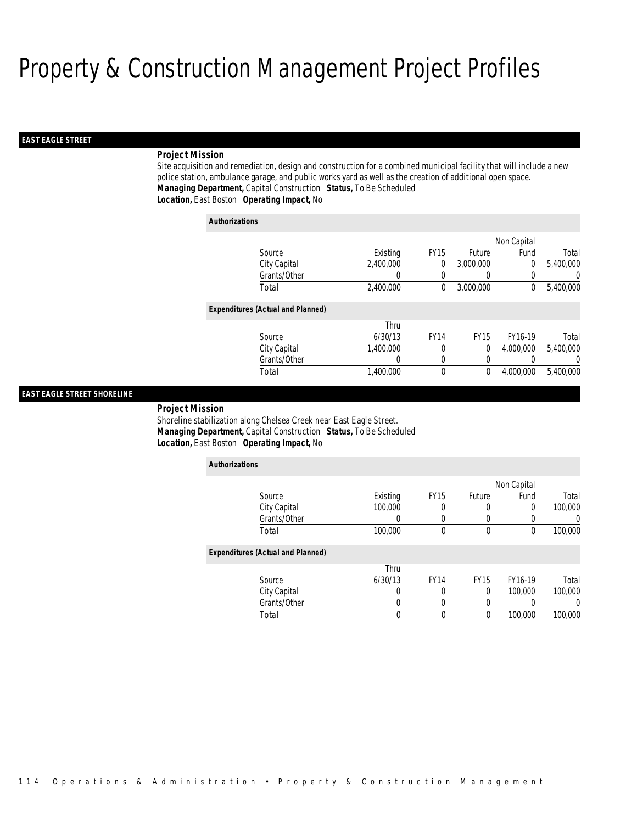#### *EAST EAGLE STREET*

#### *Project Mission*

Site acquisition and remediation, design and construction for a combined municipal facility that will include a new police station, ambulance garage, and public works yard as well as the creation of additional open space. *Managing Department,* Capital Construction *Status,* To Be Scheduled*Location,* East Boston *Operating Impact,* No

| <b>Authorizations</b>                    |           |             |             |                |           |
|------------------------------------------|-----------|-------------|-------------|----------------|-----------|
|                                          |           |             |             | Non Capital    |           |
| Source                                   | Existing  | <b>FY15</b> | Future      | Fund           | Total     |
| City Capital                             | 2,400,000 | 0           | 3,000,000   | $\overline{0}$ | 5,400,000 |
| Grants/Other                             | 0         | 0           | 0           | 0              | 0         |
| Total                                    | 2,400,000 | 0           | 3,000,000   | $\theta$       | 5,400,000 |
| <b>Expenditures (Actual and Planned)</b> |           |             |             |                |           |
|                                          | Thru      |             |             |                |           |
| Source                                   | 6/30/13   | <b>FY14</b> | <b>FY15</b> | FY16-19        | Total     |
| City Capital                             | 1.400.000 | 0           | 0           | 4.000.000      | 5,400,000 |
| Grants/Other                             | 0         | 0           | 0           |                | $\left($  |
| Total                                    | 1.400.000 | 0           | 0           | 4.000.000      | 5,400,000 |

#### *EAST EAGLE STREET SHORELINE*

#### *Project Mission*

Shoreline stabilization along Chelsea Creek near East Eagle Street. *Managing Department,* Capital Construction *Status,* To Be Scheduled*Location,* East Boston *Operating Impact,* No

| <b>Authorizations</b>                    |          |             |             |             |         |
|------------------------------------------|----------|-------------|-------------|-------------|---------|
|                                          |          |             |             | Non Capital |         |
| Source                                   | Existing | <b>FY15</b> | Future      | Fund        | Total   |
| City Capital                             | 100,000  | 0           |             | $\Omega$    | 100,000 |
| Grants/Other                             | 0        | 0           |             | 0           | 0       |
| Total                                    | 100,000  | 0           | $\theta$    | $\theta$    | 100,000 |
| <b>Expenditures (Actual and Planned)</b> |          |             |             |             |         |
|                                          | Thru     |             |             |             |         |
| Source                                   | 6/30/13  | <b>FY14</b> | <b>FY15</b> | FY16-19     | Total   |
| City Capital                             | 0        | 0           | 0           | 100,000     | 100,000 |
| Grants/Other                             | 0        | 0           |             |             |         |
| Total                                    | 0        | 0           | $\theta$    | 100,000     | 100,000 |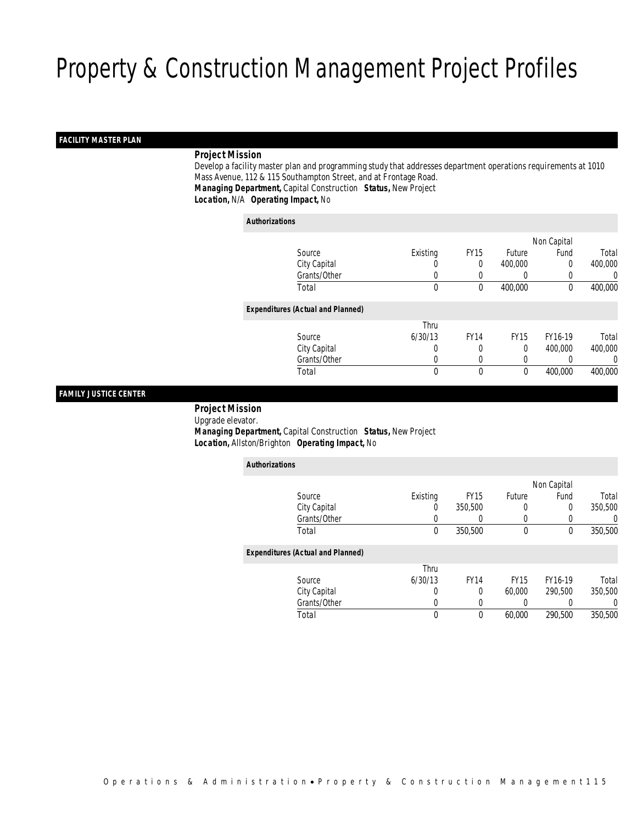#### *FACILITY MASTER PLAN*

#### *Project Mission*

 Develop a facility master plan and programming study that addresses department operations requirements at 1010 Mass Avenue, 112 & 115 Southampton Street, and at Frontage Road. *Managing Department,* Capital Construction *Status,* New Project*Location,* N/A *Operating Impact,* No

#### *Authorizations*

|                                          |          |             |             | Non Capital |         |
|------------------------------------------|----------|-------------|-------------|-------------|---------|
| Source                                   | Existing | <b>FY15</b> | Future      | Fund        | Total   |
| City Capital                             |          | 0           | 400,000     | 0           | 400,000 |
| Grants/Other                             |          |             |             |             | 0       |
| Total                                    | 0        | $\theta$    | 400,000     | $\theta$    | 400,000 |
| <b>Expenditures (Actual and Planned)</b> |          |             |             |             |         |
|                                          | Thru     |             |             |             |         |
| Source                                   | 6/30/13  | <b>FY14</b> | <b>FY15</b> | FY16-19     | Total   |
| City Capital                             | 0        | $\Omega$    | 0           | 400,000     | 400,000 |
| Grants/Other                             | 0        |             |             |             | 0       |
| Total                                    | 0        | $\Omega$    | $\theta$    | 400,000     | 400,000 |
|                                          |          |             |             |             |         |

### *FAMILY JUSTICE CENTER*

 *Project Mission* Upgrade elevator. *Managing Department,* Capital Construction *Status,* New Project*Location,* Allston/Brighton *Operating Impact,* No

*Authorizations*

| AUUIVIIZAUVIIS |                                          |                  |             |             |             |         |
|----------------|------------------------------------------|------------------|-------------|-------------|-------------|---------|
|                |                                          |                  |             |             | Non Capital |         |
|                | Source                                   | Existing         | <b>FY15</b> | Future      | Fund        | Total   |
|                | City Capital                             | $\left( \right)$ | 350,500     | 0           | 0           | 350,500 |
|                | Grants/Other                             | 0                |             | $\left($    |             | 0       |
|                | Total                                    | 0                | 350,500     | $\mathbf 0$ | 0           | 350,500 |
|                | <b>Expenditures (Actual and Planned)</b> |                  |             |             |             |         |
|                |                                          | Thru             |             |             |             |         |
|                | Source                                   | 6/30/13          | <b>FY14</b> | <b>FY15</b> | FY16-19     | Total   |
|                | City Capital                             | 0                | 0           | 60,000      | 290.500     | 350,500 |
|                | Grants/Other                             | 0                |             |             |             | 0       |
|                | Total                                    | 0                | $\theta$    | 60,000      | 290,500     | 350,500 |
|                |                                          |                  |             |             |             |         |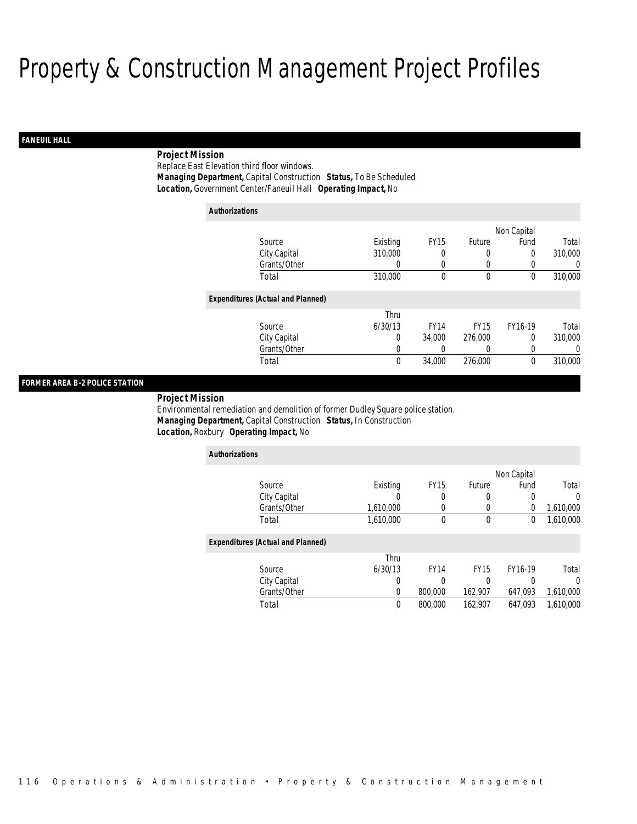### *FANEUIL HALL*

## *Project Mission*

Replace East Elevation third floor windows.

*Managing Department,* Capital Construction *Status,* To Be Scheduled

*Location,* Government Center/Faneuil Hall *Operating Impact,* No

| <b>Authorizations</b>                    |              |             |             |                  |             |                |
|------------------------------------------|--------------|-------------|-------------|------------------|-------------|----------------|
|                                          |              |             |             |                  | Non Capital |                |
|                                          | Source       | Existing    | <b>FY15</b> | Future           | Fund        | Total          |
|                                          | City Capital | 310,000     | 0           | 0                | 0           | 310,000        |
|                                          | Grants/Other | 0           | $\left($    | 0                | 0           | $\overline{0}$ |
| Total                                    |              | 310,000     | $\theta$    | $\mathbf 0$      | $\Omega$    | 310,000        |
| <b>Expenditures (Actual and Planned)</b> |              |             |             |                  |             |                |
|                                          |              | Thru        |             |                  |             |                |
|                                          | Source       | 6/30/13     | <b>FY14</b> | <b>FY15</b>      | FY16-19     | Total          |
|                                          | City Capital | 0           | 34,000      | 276,000          | $\Omega$    | 310,000        |
|                                          | Grants/Other | 0           | 0           | $\left( \right)$ | $\Omega$    | $\overline{0}$ |
| Total                                    |              | $\mathbf 0$ | 34,000      | 276,000          | $\theta$    | 310,000        |

### *FORMER AREA B-2 POLICE STATION*

*Project Mission* 

Environmental remediation and demolition of former Dudley Square police station. *Managing Department,* Capital Construction *Status,* In Construction*Location,* Roxbury *Operating Impact,* No

| <b>Authorizations</b>                    |           |             |             |             |           |
|------------------------------------------|-----------|-------------|-------------|-------------|-----------|
|                                          |           |             |             | Non Capital |           |
| Source                                   | Existing  | <b>FY15</b> | Future      | Fund        | Total     |
| City Capital                             |           | 0           | 0           | 0           | 0         |
| Grants/Other                             | 1,610,000 | 0           | 0           | 0           | 1,610,000 |
| Total                                    | 1,610,000 | $\theta$    | 0           | 0           | 1,610,000 |
| <b>Expenditures (Actual and Planned)</b> |           |             |             |             |           |
|                                          | Thru      |             |             |             |           |
| Source                                   | 6/30/13   | <b>FY14</b> | <b>FY15</b> | FY16-19     | Total     |
| City Capital                             | 0         | 0           | 0           | 0           | 0         |
| Grants/Other                             | $\Omega$  | 800,000     | 162,907     | 647,093     | 1,610,000 |
| Total                                    | $\theta$  | 800,000     | 162.907     | 647.093     | 1,610,000 |